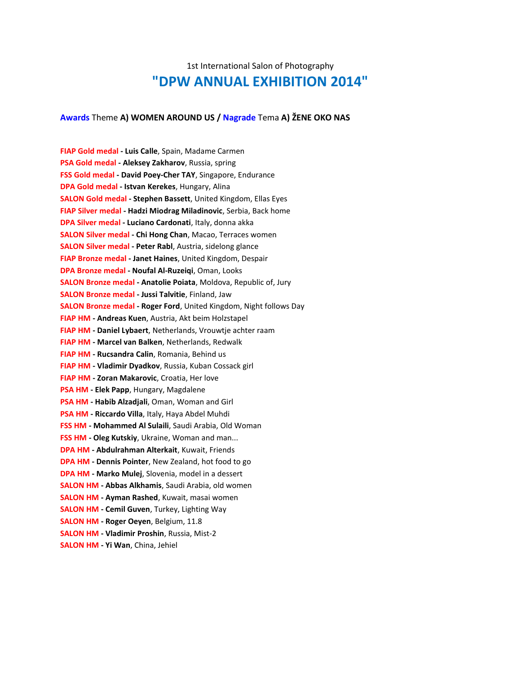# 1st International Salon of Photography **"DPW ANNUAL EXHIBITION 2014"**

## **Awards** Theme **A) WOMEN AROUND US / Nagrade** Tema **A) ŽENE OKO NAS**

**FIAP Gold medal - Luis Calle**, Spain, Madame Carmen **PSA Gold medal - Aleksey Zakharov**, Russia, spring **FSS Gold medal - David Poey-Cher TAY**, Singapore, Endurance **DPA Gold medal - Istvan Kerekes**, Hungary, Alina **SALON Gold medal - Stephen Bassett**, United Kingdom, Ellas Eyes **FIAP Silver medal - Hadzi Miodrag Miladinovic**, Serbia, Back home **DPA Silver medal - Luciano Cardonati**, Italy, donna akka **SALON Silver medal - Chi Hong Chan**, Macao, Terraces women **SALON Silver medal - Peter Rabl**, Austria, sidelong glance **FIAP Bronze medal - Janet Haines**, United Kingdom, Despair **DPA Bronze medal - Noufal Al-Ruzeiqi**, Oman, Looks **SALON Bronze medal - Anatolie Poiata**, Moldova, Republic of, Jury **SALON Bronze medal - Jussi Talvitie**, Finland, Jaw **SALON Bronze medal - Roger Ford**, United Kingdom, Night follows Day **FIAP HM - Andreas Kuen**, Austria, Akt beim Holzstapel **FIAP HM - Daniel Lybaert**, Netherlands, Vrouwtje achter raam **FIAP HM - Marcel van Balken**, Netherlands, Redwalk **FIAP HM - Rucsandra Calin**, Romania, Behind us **FIAP HM - Vladimir Dyadkov**, Russia, Kuban Cossack girl **FIAP HM - Zoran Makarovic**, Croatia, Her love **PSA HM - Elek Papp**, Hungary, Magdalene **PSA HM - Habib Alzadjali**, Oman, Woman and Girl **PSA HM - Riccardo Villa**, Italy, Haya Abdel Muhdi **FSS HM - Mohammed Al Sulaili**, Saudi Arabia, Old Woman **FSS HM - Oleg Kutskiy**, Ukraine, Woman and man... **DPA HM - Abdulrahman Alterkait**, Kuwait, Friends **DPA HM - Dennis Pointer**, New Zealand, hot food to go **DPA HM - Marko Mulej**, Slovenia, model in a dessert **SALON HM - Abbas Alkhamis**, Saudi Arabia, old women **SALON HM - Ayman Rashed**, Kuwait, masai women **SALON HM - Cemil Guven**, Turkey, Lighting Way **SALON HM - Roger Oeyen**, Belgium, 11.8 **SALON HM - Vladimir Proshin**, Russia, Mist-2 **SALON HM - Yi Wan**, China, Jehiel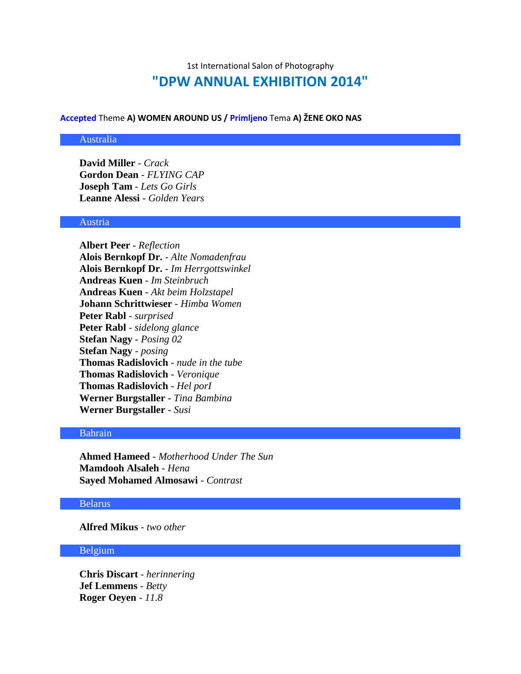# 1st International Salon of Photography **"DPW ANNUAL EXHIBITION 2014"**

## **Accepted** Theme **A) WOMEN AROUND US / Primljeno** Tema **A) ŽENE OKO NAS**

#### Australia

**David Miller** - *Crack* **Gordon Dean** - *FLYING CAP* **Joseph Tam** - *Lets Go Girls* **Leanne Alessi** - *Golden Years*

#### Austria

**Albert Peer** - *Reflection* **Alois Bernkopf Dr.** - *Alte Nomadenfrau* **Alois Bernkopf Dr.** - *Im Herrgottswinkel* **Andreas Kuen** - *Im Steinbruch* **Andreas Kuen** - *Akt beim Holzstapel* **Johann Schrittwieser** - *Himba Women* **Peter Rabl** - *surprised* **Peter Rabl** - *sidelong glance* **Stefan Nagy** - *Posing 02* **Stefan Nagy** - *posing* **Thomas Radislovich** - *nude in the tube* **Thomas Radislovich** - *Veronique* **Thomas Radislovich** - *Hel porI* **Werner Burgstaller** - *Tina Bambina* **Werner Burgstaller** - *Susi*

#### Bahrain

**Ahmed Hameed** - *Motherhood Under The Sun* **Mamdooh Alsaleh** - *Hena* **Sayed Mohamed Almosawi** - *Contrast*

## Belarus

**Alfred Mikus** - *two other*

#### Belgium

**Chris Discart** - *herinnering* **Jef Lemmens** - *Betty* **Roger Oeyen** - *11.8*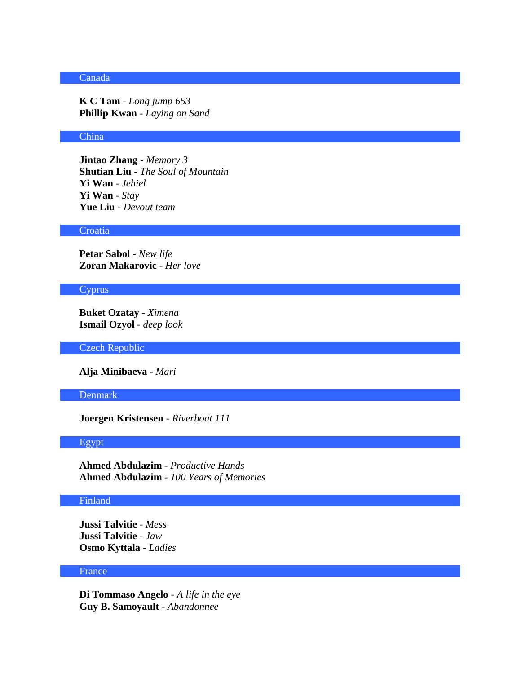# Canada

**K C Tam** - *Long jump 653* **Phillip Kwan** - *Laying on Sand*

# China

**Jintao Zhang** - *Memory 3* **Shutian Liu** - *The Soul of Mountain* **Yi Wan** - *Jehiel* **Yi Wan** - *Stay* **Yue Liu** - *Devout team*

#### **Croatia**

**Petar Sabol** - *New life* **Zoran Makarovic** - *Her love*

#### **Cyprus**

**Buket Ozatay** - *Ximena* **Ismail Ozyol** - *deep look*

Czech Republic

**Alja Minibaeva** - *Mari*

# Denmark

**Joergen Kristensen** - *Riverboat 111*

## Egypt

**Ahmed Abdulazim** - *Productive Hands* **Ahmed Abdulazim** - *100 Years of Memories*

## Finland

**Jussi Talvitie** - *Mess* **Jussi Talvitie** - *Jaw* **Osmo Kyttala** - *Ladies*

# France

**Di Tommaso Angelo** - *A life in the eye* **Guy B. Samoyault** - *Abandonnee*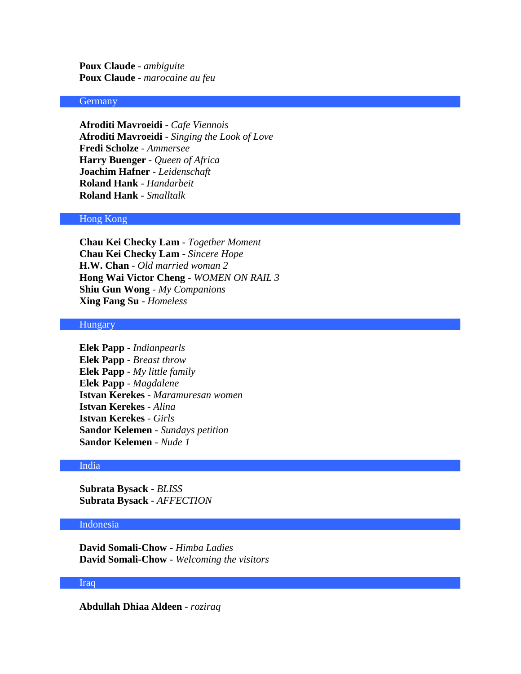**Poux Claude** - *ambiguite* **Poux Claude** - *marocaine au feu*

#### Germany

**Afroditi Mavroeidi** - *Cafe Viennois* **Afroditi Mavroeidi** - *Singing the Look of Love* **Fredi Scholze** - *Ammersee* **Harry Buenger** - *Queen of Africa* **Joachim Hafner** - *Leidenschaft* **Roland Hank** - *Handarbeit* **Roland Hank** - *Smalltalk*

# Hong Kong

**Chau Kei Checky Lam** - *Together Moment* **Chau Kei Checky Lam** - *Sincere Hope* **H.W. Chan** - *Old married woman 2* **Hong Wai Victor Cheng** - *WOMEN ON RAIL 3* **Shiu Gun Wong** - *My Companions* **Xing Fang Su** - *Homeless*

## Hungary

**Elek Papp** - *Indianpearls* **Elek Papp** - *Breast throw* **Elek Papp** - *My little family* **Elek Papp** - *Magdalene* **Istvan Kerekes** - *Maramuresan women* **Istvan Kerekes** - *Alina* **Istvan Kerekes** - *Girls* **Sandor Kelemen** - *Sundays petition* **Sandor Kelemen** - *Nude 1*

#### India

**Subrata Bysack** - *BLISS* **Subrata Bysack** - *AFFECTION*

## Indonesia

**David Somali-Chow** - *Himba Ladies* **David Somali-Chow** - *Welcoming the visitors*

## Iraq

**Abdullah Dhiaa Aldeen** - *roziraq*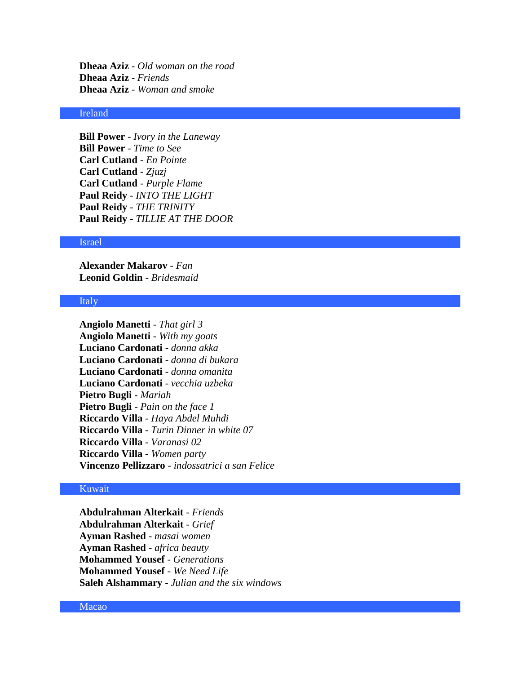**Dheaa Aziz** - *Old woman on the road* **Dheaa Aziz** - *Friends* **Dheaa Aziz** - *Woman and smoke*

# Ireland

**Bill Power** - *Ivory in the Laneway* **Bill Power** - *Time to See* **Carl Cutland** - *En Pointe* **Carl Cutland** - *Zjuzj* **Carl Cutland** - *Purple Flame* **Paul Reidy** - *INTO THE LIGHT* **Paul Reidy** - *THE TRINITY* **Paul Reidy** - *TILLIE AT THE DOOR*

#### Israel

**Alexander Makarov** - *Fan* **Leonid Goldin** - *Bridesmaid*

#### Italy

**Angiolo Manetti** - *That girl 3* **Angiolo Manetti** - *With my goats* **Luciano Cardonati** - *donna akka* **Luciano Cardonati** - *donna di bukara* **Luciano Cardonati** - *donna omanita* **Luciano Cardonati** - *vecchia uzbeka* **Pietro Bugli** - *Mariah* **Pietro Bugli** - *Pain on the face 1* **Riccardo Villa** - *Haya Abdel Muhdi* **Riccardo Villa** - *Turin Dinner in white 07* **Riccardo Villa** - *Varanasi 02* **Riccardo Villa** - *Women party* **Vincenzo Pellizzaro** - *indossatrici a san Felice*

## Kuwait

**Abdulrahman Alterkait** - *Friends* **Abdulrahman Alterkait** - *Grief* **Ayman Rashed** - *masai women* **Ayman Rashed** - *africa beauty* **Mohammed Yousef** - *Generations* **Mohammed Yousef** - *We Need Life* **Saleh Alshammary** - *Julian and the six windows*

Macao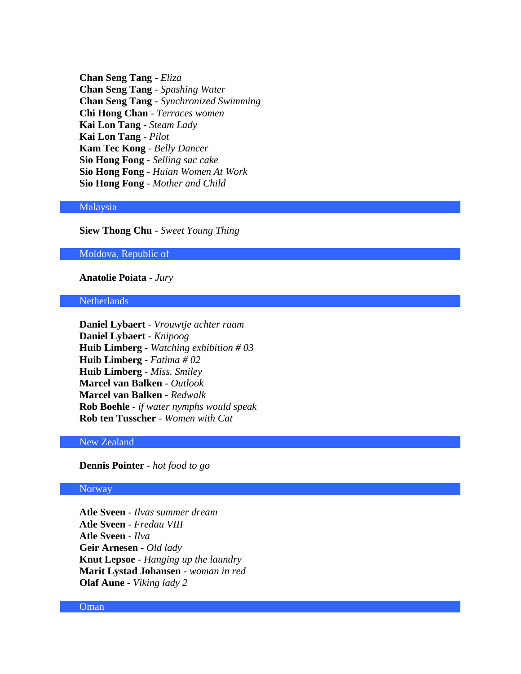**Chan Seng Tang** - *Eliza* **Chan Seng Tang** - *Spashing Water* **Chan Seng Tang** - *Synchronized Swimming* **Chi Hong Chan** - *Terraces women* **Kai Lon Tang** - *Steam Lady* **Kai Lon Tang** - *Pilot* **Kam Tec Kong** - *Belly Dancer* **Sio Hong Fong** - *Selling sac cake* **Sio Hong Fong** - *Huian Women At Work* **Sio Hong Fong** - *Mother and Child*

# Malaysia

# **Siew Thong Chu** - *Sweet Young Thing*

#### Moldova, Republic of

# **Anatolie Poiata** - *Jury*

#### **Netherlands**

**Daniel Lybaert** - *Vrouwtje achter raam* **Daniel Lybaert** - *Knipoog* **Huib Limberg** - *Watching exhibition # 03* **Huib Limberg** - *Fatima # 02* **Huib Limberg** - *Miss. Smiley* **Marcel van Balken** - *Outlook* **Marcel van Balken** - *Redwalk* **Rob Boehle** - *if water nymphs would speak* **Rob ten Tusscher** - *Women with Cat*

# New Zealand

# **Dennis Pointer** - *hot food to go*

## Norway

**Atle Sveen** - *Ilvas summer dream* **Atle Sveen** - *Fredau VIII* **Atle Sveen** - *Ilva* **Geir Arnesen** - *Old lady* **Knut Lepsoe** - *Hanging up the laundry* **Marit Lystad Johansen** - *woman in red* **Olaf Aune** - *Viking lady 2*

#### Oman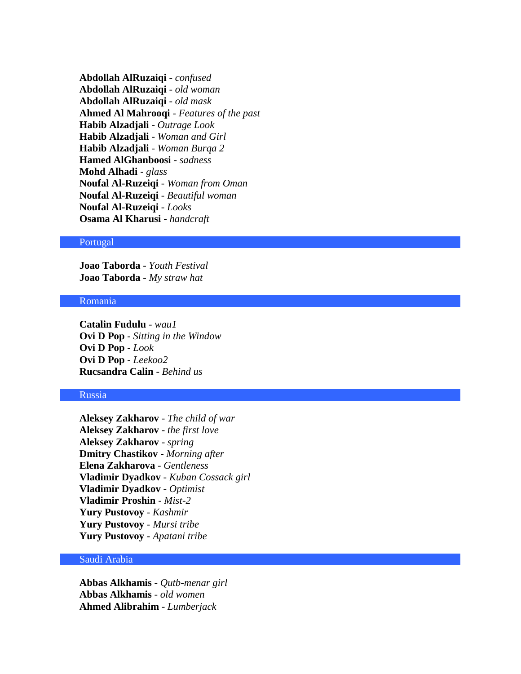**Abdollah AlRuzaiqi** - *confused* **Abdollah AlRuzaiqi** - *old woman* **Abdollah AlRuzaiqi** - *old mask* **Ahmed Al Mahrooqi** - *Features of the past* **Habib Alzadjali** - *Outrage Look* **Habib Alzadjali** - *Woman and Girl* **Habib Alzadjali** - *Woman Burqa 2* **Hamed AlGhanboosi** - *sadness* **Mohd Alhadi** - *glass* **Noufal Al-Ruzeiqi** - *Woman from Oman* **Noufal Al-Ruzeiqi** - *Beautiful woman* **Noufal Al-Ruzeiqi** - *Looks* **Osama Al Kharusi** - *handcraft*

#### Portugal

**Joao Taborda** - *Youth Festival* **Joao Taborda** - *My straw hat*

# Romania

**Catalin Fudulu** - *wau1* **Ovi D Pop** - *Sitting in the Window* **Ovi D Pop** - *Look* **Ovi D Pop** - *Leekoo2* **Rucsandra Calin** - *Behind us*

# Russia

**Aleksey Zakharov** - *The child of war* **Aleksey Zakharov** - *the first love* **Aleksey Zakharov** - *spring* **Dmitry Chastikov** - *Morning after* **Elena Zakharova** - *Gentleness* **Vladimir Dyadkov** - *Kuban Cossack girl* **Vladimir Dyadkov** - *Optimist* **Vladimir Proshin** - *Mist-2* **Yury Pustovoy** - *Kashmir* **Yury Pustovoy** - *Mursi tribe* **Yury Pustovoy** - *Apatani tribe*

## Saudi Arabia

**Abbas Alkhamis** - *Qutb-menar girl* **Abbas Alkhamis** - *old women* **Ahmed Alibrahim** - *Lumberjack*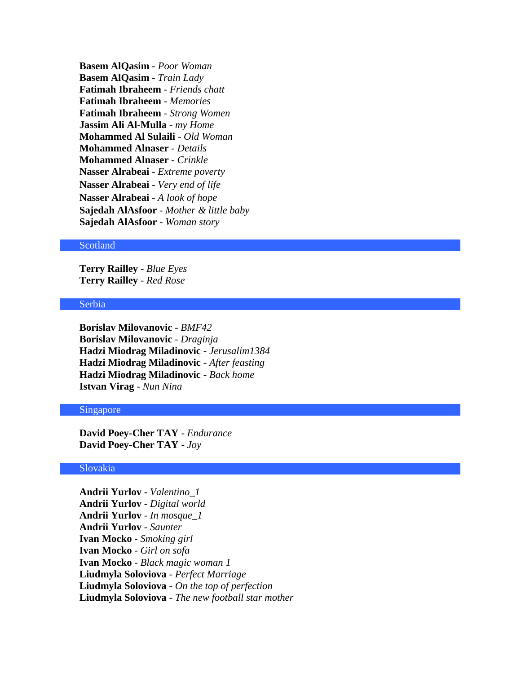**Basem AlQasim** - *Poor Woman* **Basem AlQasim** - *Train Lady* **Fatimah Ibraheem** - *Friends chatt* **Fatimah Ibraheem** - *Memories* **Fatimah Ibraheem** - *Strong Women* **Jassim Ali Al-Mulla** - *my Home* **Mohammed Al Sulaili** - *Old Woman* **Mohammed Alnaser** - *Details* **Mohammed Alnaser** - *Crinkle* **Nasser Alrabeai** - *Extreme poverty* **Nasser Alrabeai** - *Very end of life*  **Nasser Alrabeai** - *A look of hope*  **Sajedah AlAsfoor** - *Mother & little baby* **Sajedah AlAsfoor** - *Woman story*

## Scotland

**Terry Railley** - *Blue Eyes* **Terry Railley** - *Red Rose*

## Serbia

**Borislav Milovanovic** - *BMF42* **Borislav Milovanovic** - *Draginja* **Hadzi Miodrag Miladinovic** - *Jerusalim1384* **Hadzi Miodrag Miladinovic** - *After feasting* **Hadzi Miodrag Miladinovic** - *Back home* **Istvan Virag** - *Nun Nina*

#### Singapore

**David Poey-Cher TAY** - *Endurance* **David Poey-Cher TAY** - *Joy*

## Slovakia

**Andrii Yurlov** - *Valentino\_1* **Andrii Yurlov** - *Digital world* **Andrii Yurlov** - *In mosque\_1* **Andrii Yurlov** - *Saunter* **Ivan Mocko** - *Smoking girl* **Ivan Mocko** - *Girl on sofa* **Ivan Mocko** - *Black magic woman 1* **Liudmyla Soloviova** - *Perfect Marriage* **Liudmyla Soloviova** - *On the top of perfection* **Liudmyla Soloviova** - *The new football star mother*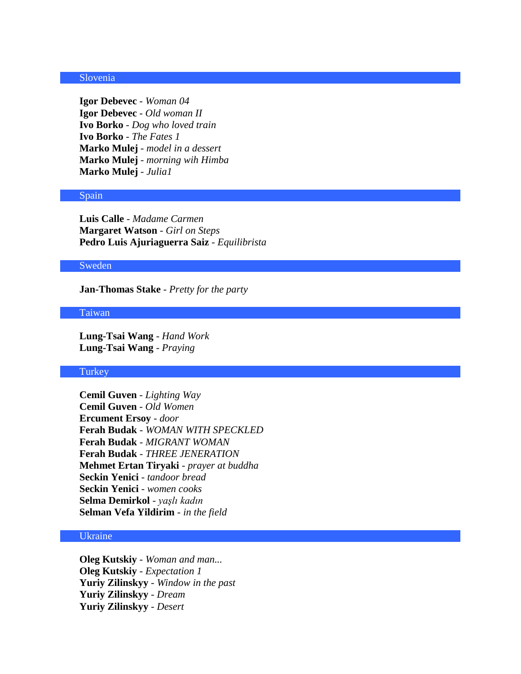## Slovenia

**Igor Debevec** - *Woman 04* **Igor Debevec** - *Old woman II* **Ivo Borko** - *Dog who loved train* **Ivo Borko** - *The Fates 1* **Marko Mulej** - *model in a dessert* **Marko Mulej** - *morning wih Himba* **Marko Mulej** - *Julia1*

#### Spain

**Luis Calle** - *Madame Carmen* **Margaret Watson** - *Girl on Steps* **Pedro Luis Ajuriaguerra Saiz** - *Equilibrista*

#### Sweden

**Jan-Thomas Stake** - *Pretty for the party*

# Taiwan

**Lung-Tsai Wang** - *Hand Work* **Lung-Tsai Wang** - *Praying*

## **Turkey**

**Cemil Guven** - *Lighting Way* **Cemil Guven** - *Old Women* **Ercument Ersoy** - *door* **Ferah Budak** - *WOMAN WITH SPECKLED* **Ferah Budak** - *MIGRANT WOMAN* **Ferah Budak** - *THREE JENERATION* **Mehmet Ertan Tiryaki** - *prayer at buddha* **Seckin Yenici** - *tandoor bread* **Seckin Yenici** - *women cooks* **Selma Demirkol** - *yaşlı kadın* **Selman Vefa Yildirim** - *in the field*

# Ukraine

**Oleg Kutskiy** - *Woman and man...* **Oleg Kutskiy** - *Expectation 1* **Yuriy Zilinskyy** - *Window in the past* **Yuriy Zilinskyy** - *Dream* **Yuriy Zilinskyy** - *Desert*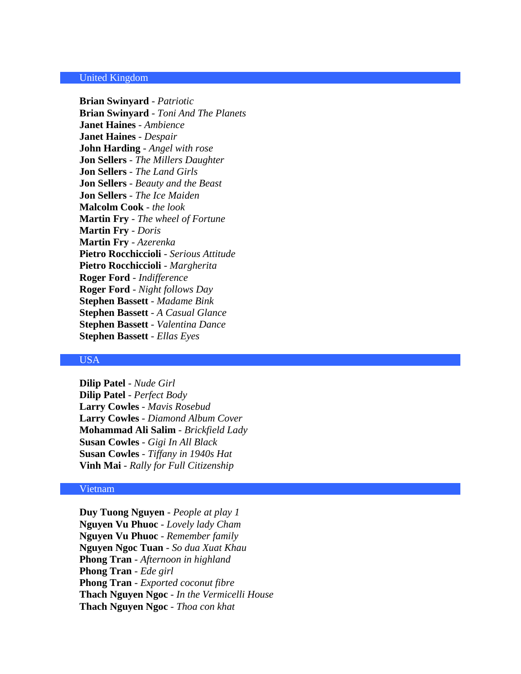# United Kingdom

**Brian Swinyard** - *Patriotic* **Brian Swinyard** - *Toni And The Planets* **Janet Haines** - *Ambience* **Janet Haines** - *Despair* **John Harding** - *Angel with rose* **Jon Sellers** - *The Millers Daughter* **Jon Sellers** - *The Land Girls* **Jon Sellers** - *Beauty and the Beast* **Jon Sellers** - *The Ice Maiden* **Malcolm Cook** - *the look* **Martin Fry** - *The wheel of Fortune* **Martin Fry** - *Doris* **Martin Fry** - *Azerenka* **Pietro Rocchiccioli** - *Serious Attitude* **Pietro Rocchiccioli** - *Margherita* **Roger Ford** - *Indifference* **Roger Ford** - *Night follows Day* **Stephen Bassett** - *Madame Bink* **Stephen Bassett** - *A Casual Glance* **Stephen Bassett** - *Valentina Dance* **Stephen Bassett** - *Ellas Eyes*

#### USA

**Dilip Patel** - *Nude Girl* **Dilip Patel** - *Perfect Body* **Larry Cowles** - *Mavis Rosebud* **Larry Cowles** - *Diamond Album Cover* **Mohammad Ali Salim** - *Brickfield Lady* **Susan Cowles** - *Gigi In All Black* **Susan Cowles** - *Tiffany in 1940s Hat* **Vinh Mai** - *Rally for Full Citizenship*

#### Vietnam

**Duy Tuong Nguyen** - *People at play 1* **Nguyen Vu Phuoc** - *Lovely lady Cham* **Nguyen Vu Phuoc** - *Remember family* **Nguyen Ngoc Tuan** - *So dua Xuat Khau* **Phong Tran** - *Afternoon in highland* **Phong Tran** - *Ede girl* **Phong Tran** - *Exported coconut fibre* **Thach Nguyen Ngoc** - *In the Vermicelli House* **Thach Nguyen Ngoc** - *Thoa con khat*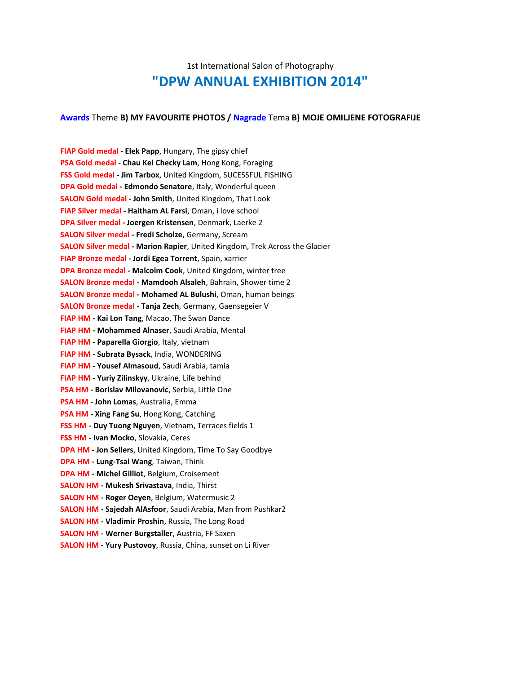# 1st International Salon of Photography **"DPW ANNUAL EXHIBITION 2014"**

#### **Awards** Theme **B) MY FAVOURITE PHOTOS / Nagrade** Tema **B) MOJE OMILJENE FOTOGRAFIJE**

**FIAP Gold medal - Elek Papp**, Hungary, The gipsy chief **PSA Gold medal - Chau Kei Checky Lam**, Hong Kong, Foraging **FSS Gold medal - Jim Tarbox**, United Kingdom, SUCESSFUL FISHING **DPA Gold medal - Edmondo Senatore**, Italy, Wonderful queen **SALON Gold medal - John Smith**, United Kingdom, That Look **FIAP Silver medal - Haitham AL Farsi**, Oman, i love school **DPA Silver medal - Joergen Kristensen**, Denmark, Laerke 2 **SALON Silver medal - Fredi Scholze**, Germany, Scream **SALON Silver medal - Marion Rapier**, United Kingdom, Trek Across the Glacier **FIAP Bronze medal - Jordi Egea Torrent**, Spain, xarrier **DPA Bronze medal - Malcolm Cook**, United Kingdom, winter tree **SALON Bronze medal - Mamdooh Alsaleh**, Bahrain, Shower time 2 **SALON Bronze medal - Mohamed AL Bulushi**, Oman, human beings **SALON Bronze medal - Tanja Zech**, Germany, Gaensegeier V **FIAP HM - Kai Lon Tang**, Macao, The Swan Dance **FIAP HM - Mohammed Alnaser**, Saudi Arabia, Mental **FIAP HM - Paparella Giorgio**, Italy, vietnam **FIAP HM - Subrata Bysack**, India, WONDERING **FIAP HM - Yousef Almasoud**, Saudi Arabia, tamia **FIAP HM - Yuriy Zilinskyy**, Ukraine, Life behind **PSA HM - Borislav Milovanovic**, Serbia, Little One **PSA HM - John Lomas**, Australia, Emma **PSA HM - Xing Fang Su**, Hong Kong, Catching **FSS HM - Duy Tuong Nguyen**, Vietnam, Terraces fields 1 **FSS HM - Ivan Mocko**, Slovakia, Ceres **DPA HM - Jon Sellers**, United Kingdom, Time To Say Goodbye **DPA HM - Lung-Tsai Wang**, Taiwan, Think **DPA HM - Michel Gilliot**, Belgium, Croisement **SALON HM - Mukesh Srivastava**, India, Thirst **SALON HM - Roger Oeyen**, Belgium, Watermusic 2 **SALON HM - Sajedah AlAsfoor**, Saudi Arabia, Man from Pushkar2 **SALON HM - Vladimir Proshin**, Russia, The Long Road **SALON HM - Werner Burgstaller**, Austria, FF Saxen **SALON HM - Yury Pustovoy**, Russia, China, sunset on Li River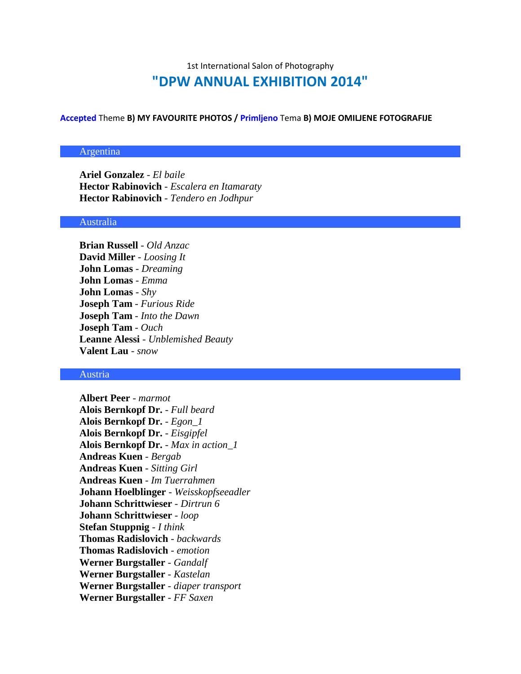# 1st International Salon of Photography **"DPW ANNUAL EXHIBITION 2014"**

**Accepted** Theme **B) MY FAVOURITE PHOTOS / Primljeno** Tema **B) MOJE OMILJENE FOTOGRAFIJE**

# Argentina

**Ariel Gonzalez** - *El baile* **Hector Rabinovich** - *Escalera en Itamaraty* **Hector Rabinovich** - *Tendero en Jodhpur*

#### Australia

**Brian Russell** - *Old Anzac* **David Miller** - *Loosing It* **John Lomas** - *Dreaming* **John Lomas** - *Emma* **John Lomas** - *Shy* **Joseph Tam** - *Furious Ride* **Joseph Tam** - *Into the Dawn* **Joseph Tam** - *Ouch* **Leanne Alessi** - *Unblemished Beauty* **Valent Lau** - *snow*

# Austria

**Albert Peer** - *marmot* **Alois Bernkopf Dr.** - *Full beard* **Alois Bernkopf Dr.** - *Egon\_1* **Alois Bernkopf Dr.** - *Eisgipfel* **Alois Bernkopf Dr.** - *Max in action\_1* **Andreas Kuen** - *Bergab* **Andreas Kuen** - *Sitting Girl* **Andreas Kuen** - *Im Tuerrahmen* **Johann Hoelblinger** - *Weisskopfseeadler* **Johann Schrittwieser** - *Dirtrun 6* **Johann Schrittwieser** - *loop* **Stefan Stuppnig** - *I think* **Thomas Radislovich** - *backwards* **Thomas Radislovich** - *emotion* **Werner Burgstaller** - *Gandalf* **Werner Burgstaller** - *Kastelan* **Werner Burgstaller** - *diaper transport* **Werner Burgstaller** - *FF Saxen*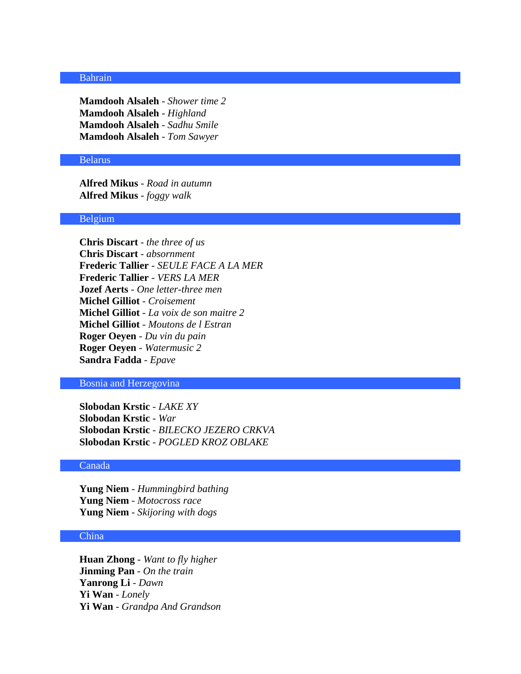## Bahrain

**Mamdooh Alsaleh** - *Shower time 2* **Mamdooh Alsaleh** - *Highland* **Mamdooh Alsaleh** - *Sadhu Smile* **Mamdooh Alsaleh** - *Tom Sawyer*

#### Belarus

**Alfred Mikus** - *Road in autumn* **Alfred Mikus** - *foggy walk*

#### Belgium

**Chris Discart** - *the three of us* **Chris Discart** - *absornment* **Frederic Tallier** - *SEULE FACE A LA MER* **Frederic Tallier** - *VERS LA MER* **Jozef Aerts** - *One letter-three men* **Michel Gilliot** - *Croisement* **Michel Gilliot** - *La voix de son maitre 2* **Michel Gilliot** - *Moutons de l Estran* **Roger Oeyen** - *Du vin du pain* **Roger Oeyen** - *Watermusic 2* **Sandra Fadda** - *Epave*

#### Bosnia and Herzegovina

**Slobodan Krstic** - *LAKE XY* **Slobodan Krstic** - *War* **Slobodan Krstic** - *BILECKO JEZERO CRKVA* **Slobodan Krstic** - *POGLED KROZ OBLAKE*

#### Canada

**Yung Niem** - *Hummingbird bathing* **Yung Niem** - *Motocross race* **Yung Niem** - *Skijoring with dogs*

#### China

**Huan Zhong** - *Want to fly higher* **Jinming Pan** - *On the train* **Yanrong Li** - *Dawn* **Yi Wan** - *Lonely* **Yi Wan** - *Grandpa And Grandson*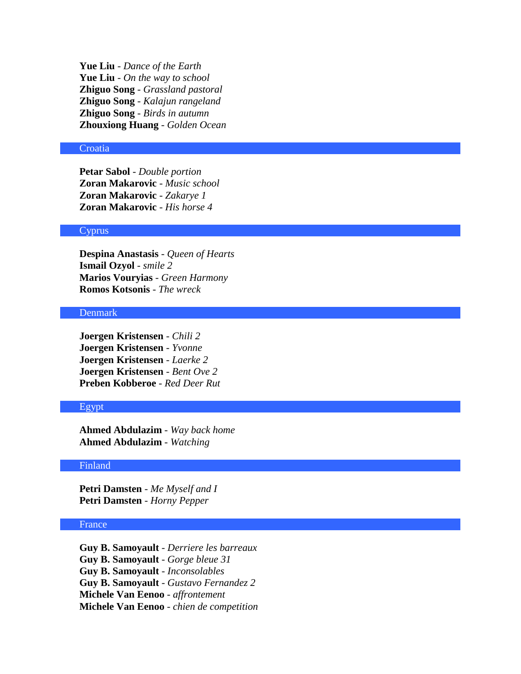**Yue Liu** - *Dance of the Earth* **Yue Liu** - *On the way to school* **Zhiguo Song** - *Grassland pastoral* **Zhiguo Song** - *Kalajun rangeland* **Zhiguo Song** - *Birds in autumn* **Zhouxiong Huang** - *Golden Ocean*

# **Croatia**

**Petar Sabol** - *Double portion* **Zoran Makarovic** - *Music school* **Zoran Makarovic** - *Zakarye 1* **Zoran Makarovic** - *His horse 4*

## **Cyprus**

**Despina Anastasis** - *Queen of Hearts* **Ismail Ozyol** - *smile 2* **Marios Vouryias** - *Green Harmony* **Romos Kotsonis** - *The wreck*

#### Denmark

**Joergen Kristensen** - *Chili 2* **Joergen Kristensen** - *Yvonne* **Joergen Kristensen** - *Laerke 2* **Joergen Kristensen** - *Bent Ove 2* **Preben Kobberoe** - *Red Deer Rut*

## Egypt

**Ahmed Abdulazim** - *Way back home* **Ahmed Abdulazim** - *Watching*

#### Finland

**Petri Damsten** - *Me Myself and I* **Petri Damsten** - *Horny Pepper*

# France

**Guy B. Samoyault** - *Derriere les barreaux* **Guy B. Samoyault** - *Gorge bleue 31* **Guy B. Samoyault** - *Inconsolables* **Guy B. Samoyault** - *Gustavo Fernandez 2* **Michele Van Eenoo** - *affrontement* **Michele Van Eenoo** - *chien de competition*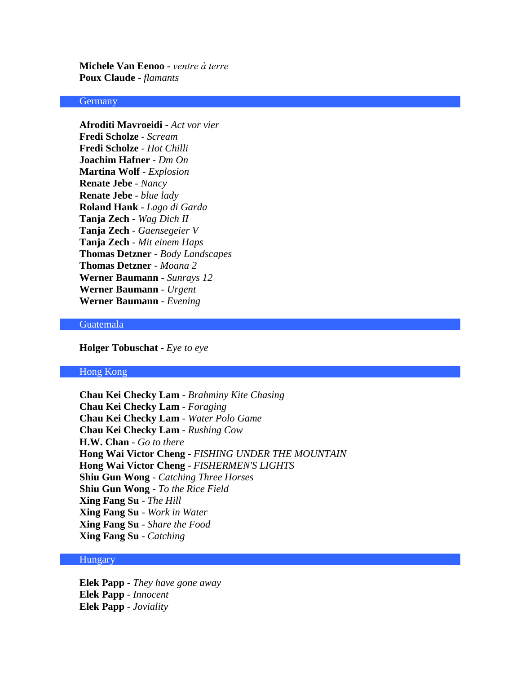**Michele Van Eenoo** - *ventre à terre* **Poux Claude** - *flamants*

#### **Germany**

**Afroditi Mavroeidi** - *Act vor vier* **Fredi Scholze** - *Scream* **Fredi Scholze** - *Hot Chilli* **Joachim Hafner** - *Dm On* **Martina Wolf** - *Explosion* **Renate Jebe** - *Nancy* **Renate Jebe** - *blue lady* **Roland Hank** - *Lago di Garda* **Tanja Zech** - *Wag Dich II* **Tanja Zech** - *Gaensegeier V* **Tanja Zech** - *Mit einem Haps* **Thomas Detzner** - *Body Landscapes* **Thomas Detzner** - *Moana 2* **Werner Baumann** - *Sunrays 12* **Werner Baumann** - *Urgent* **Werner Baumann** - *Evening*

## Guatemala

**Holger Tobuschat** - *Eye to eye*

# Hong Kong

**Chau Kei Checky Lam** - *Brahminy Kite Chasing* **Chau Kei Checky Lam** - *Foraging* **Chau Kei Checky Lam** - *Water Polo Game* **Chau Kei Checky Lam** - *Rushing Cow* **H.W. Chan** - *Go to there* **Hong Wai Victor Cheng** - *FISHING UNDER THE MOUNTAIN* **Hong Wai Victor Cheng** - *FISHERMEN'S LIGHTS* **Shiu Gun Wong** - *Catching Three Horses* **Shiu Gun Wong** - *To the Rice Field* **Xing Fang Su** - *The Hill* **Xing Fang Su** - *Work in Water* **Xing Fang Su** - *Share the Food* **Xing Fang Su** - *Catching*

## **Hungary**

**Elek Papp** - *They have gone away* **Elek Papp** - *Innocent* **Elek Papp** - *Joviality*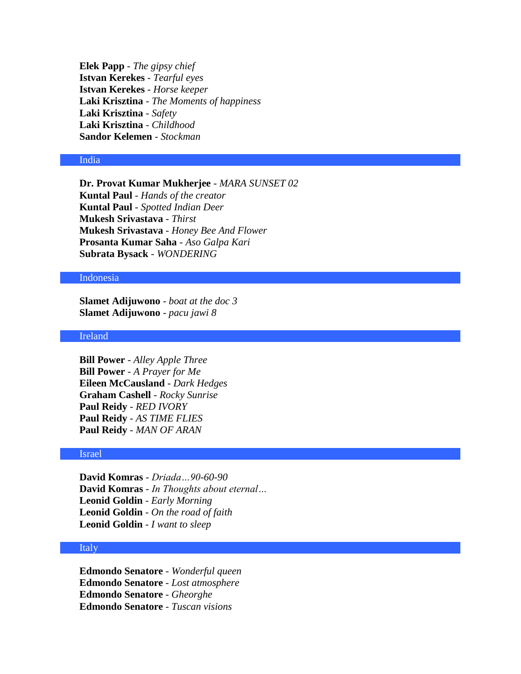**Elek Papp** - *The gipsy chief* **Istvan Kerekes** - *Tearful eyes* **Istvan Kerekes** - *Horse keeper* **Laki Krisztina** - *The Moments of happiness* **Laki Krisztina** - *Safety* **Laki Krisztina** - *Childhood* **Sandor Kelemen** - *Stockman*

## India

**Dr. Provat Kumar Mukherjee** - *MARA SUNSET 02* **Kuntal Paul** - *Hands of the creator* **Kuntal Paul** - *Spotted Indian Deer* **Mukesh Srivastava** - *Thirst* **Mukesh Srivastava** - *Honey Bee And Flower* **Prosanta Kumar Saha** - *Aso Galpa Kari* **Subrata Bysack** - *WONDERING*

# Indonesia

**Slamet Adijuwono** - *boat at the doc 3* **Slamet Adijuwono** - *pacu jawi 8*

#### Ireland

**Bill Power** - *Alley Apple Three* **Bill Power** - *A Prayer for Me* **Eileen McCausland** - *Dark Hedges* **Graham Cashell** - *Rocky Sunrise* **Paul Reidy** - *RED IVORY* **Paul Reidy** - *AS TIME FLIES* **Paul Reidy** - *MAN OF ARAN*

# Israel

**David Komras** - *Driada…90-60-90* **David Komras** - *In Thoughts about eternal…* **Leonid Goldin** - *Early Morning* **Leonid Goldin** - *On the road of faith* **Leonid Goldin** - *I want to sleep*

### Italy

**Edmondo Senatore** - *Wonderful queen* **Edmondo Senatore** - *Lost atmosphere* **Edmondo Senatore** - *Gheorghe* **Edmondo Senatore** - *Tuscan visions*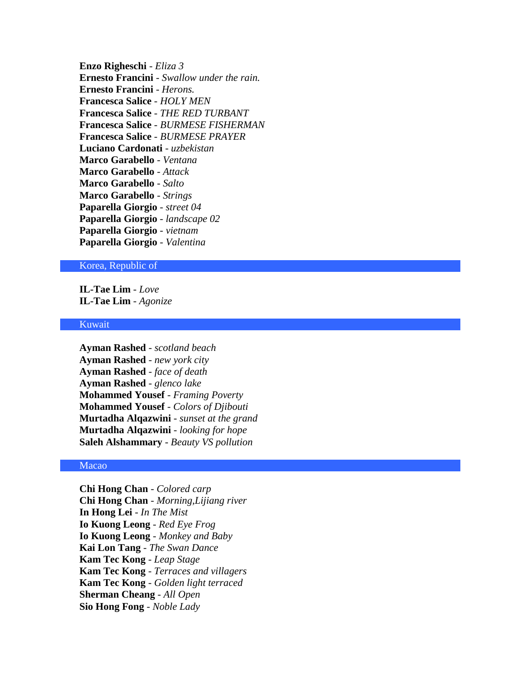**Enzo Righeschi** - *Eliza 3* **Ernesto Francini** - *Swallow under the rain.* **Ernesto Francini** - *Herons.* **Francesca Salice** - *HOLY MEN* **Francesca Salice** - *THE RED TURBANT* **Francesca Salice** - *BURMESE FISHERMAN* **Francesca Salice** - *BURMESE PRAYER* **Luciano Cardonati** - *uzbekistan* **Marco Garabello** - *Ventana* **Marco Garabello** - *Attack* **Marco Garabello** - *Salto* **Marco Garabello** - *Strings* **Paparella Giorgio** - *street 04* **Paparella Giorgio** - *landscape 02* **Paparella Giorgio** - *vietnam* **Paparella Giorgio** - *Valentina*

#### Korea, Republic of

**IL-Tae Lim** - *Love* **IL-Tae Lim** - *Agonize*

## Kuwait

**Ayman Rashed** - *scotland beach* **Ayman Rashed** - *new york city* **Ayman Rashed** - *face of death* **Ayman Rashed** - *glenco lake* **Mohammed Yousef** - *Framing Poverty* **Mohammed Yousef** - *Colors of Djibouti* **Murtadha Alqazwini** - *sunset at the grand* **Murtadha Alqazwini** - *looking for hope* **Saleh Alshammary** - *Beauty VS pollution*

# Macao

**Chi Hong Chan** - *Colored carp* **Chi Hong Chan** - *Morning,Lijiang river* **In Hong Lei** - *In The Mist* **Io Kuong Leong** - *Red Eye Frog* **Io Kuong Leong** - *Monkey and Baby* **Kai Lon Tang** - *The Swan Dance* **Kam Tec Kong** - *Leap Stage* **Kam Tec Kong** - *Terraces and villagers* **Kam Tec Kong** - *Golden light terraced* **Sherman Cheang** - *All Open* **Sio Hong Fong** - *Noble Lady*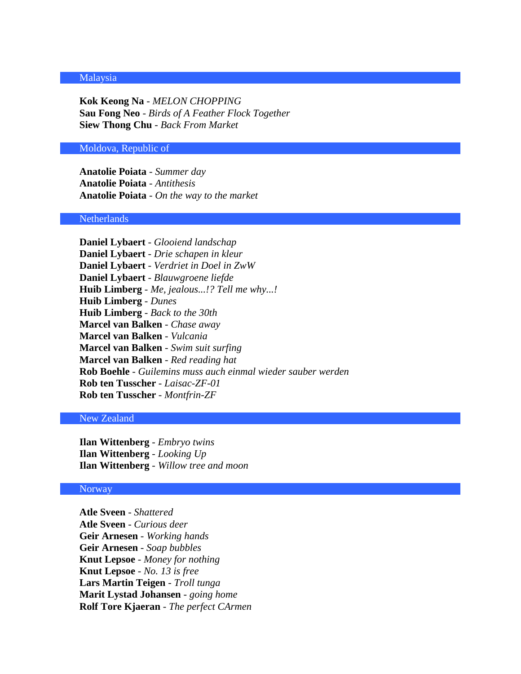#### Malaysia

**Kok Keong Na** - *MELON CHOPPING* **Sau Fong Neo** - *Birds of A Feather Flock Together* **Siew Thong Chu** - *Back From Market*

## Moldova, Republic of

**Anatolie Poiata** - *Summer day* **Anatolie Poiata** - *Antithesis* **Anatolie Poiata** - *On the way to the market*

## **Netherlands**

**Daniel Lybaert** - *Glooiend landschap* **Daniel Lybaert** - *Drie schapen in kleur* **Daniel Lybaert** - *Verdriet in Doel in ZwW* **Daniel Lybaert** - *Blauwgroene liefde* **Huib Limberg** - *Me, jealous...!? Tell me why...!* **Huib Limberg** - *Dunes* **Huib Limberg** - *Back to the 30th* **Marcel van Balken** - *Chase away* **Marcel van Balken** - *Vulcania* **Marcel van Balken** - *Swim suit surfing* **Marcel van Balken** - *Red reading hat* **Rob Boehle** - *Guilemins muss auch einmal wieder sauber werden* **Rob ten Tusscher** - *Laisac-ZF-01* **Rob ten Tusscher** - *Montfrin-ZF*

## New Zealand

**Ilan Wittenberg** - *Embryo twins* **Ilan Wittenberg** - *Looking Up* **Ilan Wittenberg** - *Willow tree and moon*

## Norway

**Atle Sveen** - *Shattered* **Atle Sveen** - *Curious deer* **Geir Arnesen** - *Working hands* **Geir Arnesen** - *Soap bubbles* **Knut Lepsoe** - *Money for nothing* **Knut Lepsoe** - *No. 13 is free* **Lars Martin Teigen** - *Troll tunga* **Marit Lystad Johansen** - *going home* **Rolf Tore Kjaeran** - *The perfect CArmen*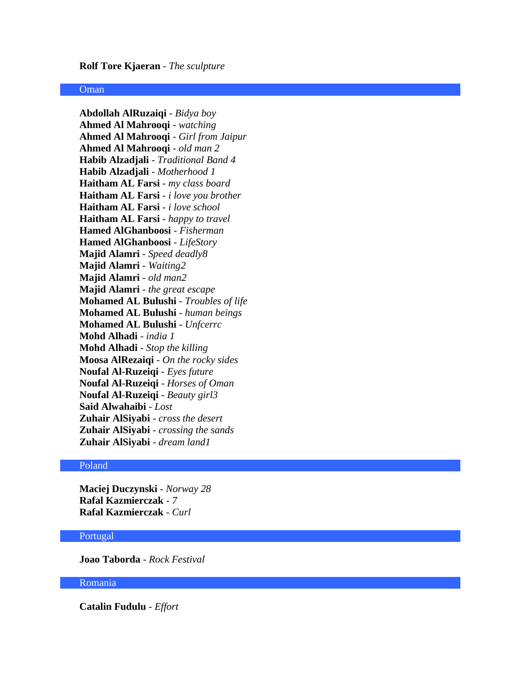#### **Rolf Tore Kjaeran** - *The sculpture*

# **Oman**

**Abdollah AlRuzaiqi** - *Bidya boy* **Ahmed Al Mahrooqi** - *watching* **Ahmed Al Mahrooqi** - *Girl from Jaipur* **Ahmed Al Mahrooqi** - *old man 2* **Habib Alzadjali** - *Traditional Band 4* **Habib Alzadjali** - *Motherhood 1* **Haitham AL Farsi** - *my class board* **Haitham AL Farsi** - *i love you brother* **Haitham AL Farsi** - *i love school* **Haitham AL Farsi** - *happy to travel* **Hamed AlGhanboosi** - *Fisherman* **Hamed AlGhanboosi** - *LifeStory* **Majid Alamri** - *Speed deadly8* **Majid Alamri** - *Waiting2* **Majid Alamri** - *old man2* **Majid Alamri** - *the great escape* **Mohamed AL Bulushi** - *Troubles of life* **Mohamed AL Bulushi** - *human beings* **Mohamed AL Bulushi** - *Unfcerrc* **Mohd Alhadi** - *india 1* **Mohd Alhadi** - *Stop the killing* **Moosa AlRezaiqi** - *On the rocky sides* **Noufal Al-Ruzeiqi** - *Eyes future* **Noufal Al-Ruzeiqi** - *Horses of Oman* **Noufal Al-Ruzeiqi** - *Beauty girl3* **Said Alwahaibi** - *Lost* **Zuhair AlSiyabi** - *cross the desert* **Zuhair AlSiyabi** - *crossing the sands* **Zuhair AlSiyabi** - *dream land1*

# Poland

**Maciej Duczynski** - *Norway 28* **Rafal Kazmierczak** - *7* **Rafal Kazmierczak** - *Curl*

#### Portugal

**Joao Taborda** - *Rock Festival*

## Romania

**Catalin Fudulu** - *Effort*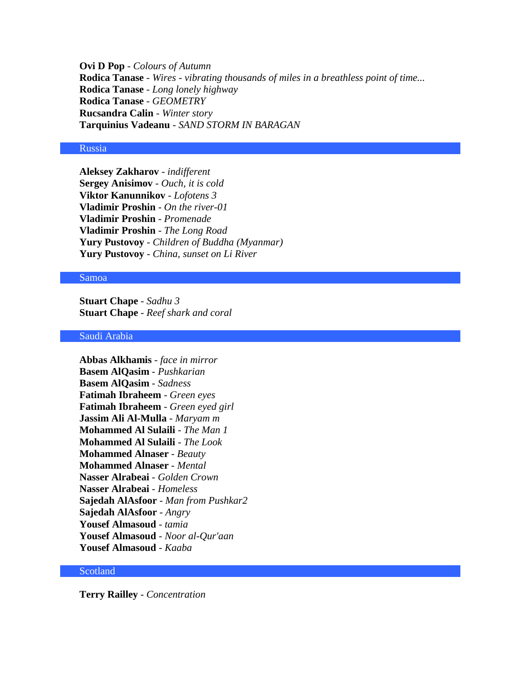**Ovi D Pop** - *Colours of Autumn* **Rodica Tanase** - *Wires - vibrating thousands of miles in a breathless point of time...* **Rodica Tanase** - *Long lonely highway* **Rodica Tanase** - *GEOMETRY* **Rucsandra Calin** - *Winter story* **Tarquinius Vadeanu** - *SAND STORM IN BARAGAN*

# Russia

**Aleksey Zakharov** - *indifferent* **Sergey Anisimov** - *Ouch, it is cold* **Viktor Kanunnikov** - *Lofotens 3* **Vladimir Proshin** - *On the river-01* **Vladimir Proshin** - *Promenade* **Vladimir Proshin** - *The Long Road* **Yury Pustovoy** - *Children of Buddha (Myanmar)* **Yury Pustovoy** - *China, sunset on Li River*

# Samoa

**Stuart Chape** - *Sadhu 3* **Stuart Chape** - *Reef shark and coral*

# Saudi Arabia

**Abbas Alkhamis** - *face in mirror* **Basem AlQasim** - *Pushkarian* **Basem AlQasim** - *Sadness* **Fatimah Ibraheem** - *Green eyes* **Fatimah Ibraheem** - *Green eyed girl* **Jassim Ali Al-Mulla** - *Maryam m* **Mohammed Al Sulaili** - *The Man 1* **Mohammed Al Sulaili** - *The Look* **Mohammed Alnaser** - *Beauty* **Mohammed Alnaser** - *Mental* **Nasser Alrabeai** - *Golden Crown* **Nasser Alrabeai** - *Homeless* **Sajedah AlAsfoor** - *Man from Pushkar2* **Sajedah AlAsfoor** - *Angry* **Yousef Almasoud** - *tamia* **Yousef Almasoud** - *Noor al-Qur'aan* **Yousef Almasoud** - *Kaaba*

# Scotland

**Terry Railley** - *Concentration*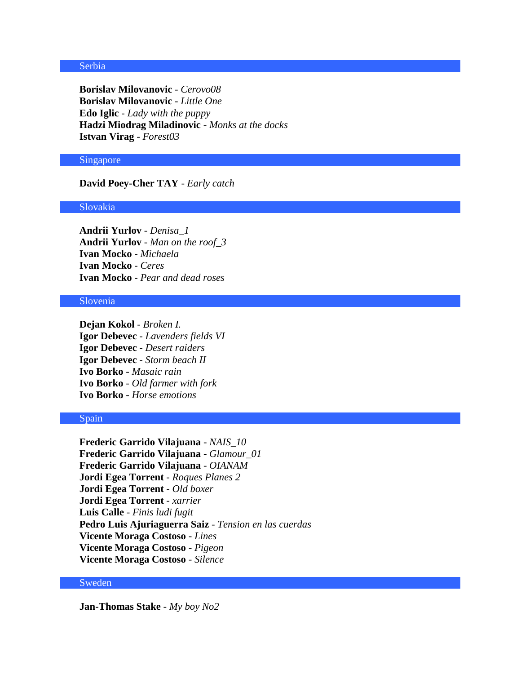# Serbia

**Borislav Milovanovic** - *Cerovo08* **Borislav Milovanovic** - *Little One* **Edo Iglic** - *Lady with the puppy* **Hadzi Miodrag Miladinovic** - *Monks at the docks* **Istvan Virag** - *Forest03*

#### Singapore

**David Poey-Cher TAY** - *Early catch*

#### Slovakia

**Andrii Yurlov** - *Denisa\_1* **Andrii Yurlov** - *Man on the roof\_3* **Ivan Mocko** - *Michaela* **Ivan Mocko** - *Ceres* **Ivan Mocko** - *Pear and dead roses*

# Slovenia

**Dejan Kokol** - *Broken I.* **Igor Debevec** - *Lavenders fields VI* **Igor Debevec** - *Desert raiders* **Igor Debevec** - *Storm beach II* **Ivo Borko** - *Masaic rain* **Ivo Borko** - *Old farmer with fork* **Ivo Borko** - *Horse emotions*

#### Spain

**Frederic Garrido Vilajuana** - *NAIS\_10* **Frederic Garrido Vilajuana** - *Glamour\_01* **Frederic Garrido Vilajuana** - *OIANAM* **Jordi Egea Torrent** - *Roques Planes 2* **Jordi Egea Torrent** - *Old boxer* **Jordi Egea Torrent** - *xarrier* **Luis Calle** - *Finis ludi fugit* **Pedro Luis Ajuriaguerra Saiz** - *Tension en las cuerdas* **Vicente Moraga Costoso** - *Lines* **Vicente Moraga Costoso** - *Pigeon* **Vicente Moraga Costoso** - *Silence*

# Sweden

**Jan-Thomas Stake** - *My boy No2*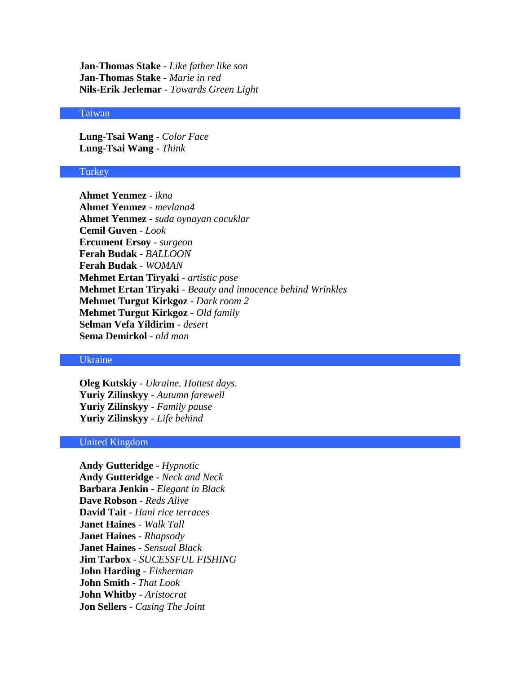**Jan-Thomas Stake** - *Like father like son* **Jan-Thomas Stake** - *Marie in red* **Nils-Erik Jerlemar** - *Towards Green Light*

## Taiwan

**Lung-Tsai Wang** - *Color Face* **Lung-Tsai Wang** - *Think*

#### **Turkey**

**Ahmet Yenmez** - *ikna* **Ahmet Yenmez** - *mevlana4* **Ahmet Yenmez** - *suda oynayan cocuklar* **Cemil Guven** - *Look* **Ercument Ersoy** - *surgeon* **Ferah Budak** - *BALLOON* **Ferah Budak** - *WOMAN* **Mehmet Ertan Tiryaki** - *artistic pose* **Mehmet Ertan Tiryaki** - *Beauty and innocence behind Wrinkles* **Mehmet Turgut Kirkgoz** - *Dark room 2* **Mehmet Turgut Kirkgoz** - *Old family* **Selman Vefa Yildirim** - *desert* **Sema Demirkol** - *old man*

# Ukraine

**Oleg Kutskiy** - *Ukraine. Hottest days.* **Yuriy Zilinskyy** - *Autumn farewell* **Yuriy Zilinskyy** - *Family pause* **Yuriy Zilinskyy** - *Life behind*

# United Kingdom

**Andy Gutteridge** - *Hypnotic* **Andy Gutteridge** - *Neck and Neck* **Barbara Jenkin** - *Elegant in Black* **Dave Robson** - *Reds Alive* **David Tait** - *Hani rice terraces* **Janet Haines** - *Walk Tall* **Janet Haines** - *Rhapsody* **Janet Haines** - *Sensual Black* **Jim Tarbox** - *SUCESSFUL FISHING* **John Harding** - *Fisherman* **John Smith** - *That Look* **John Whitby** - *Aristocrat* **Jon Sellers** - *Casing The Joint*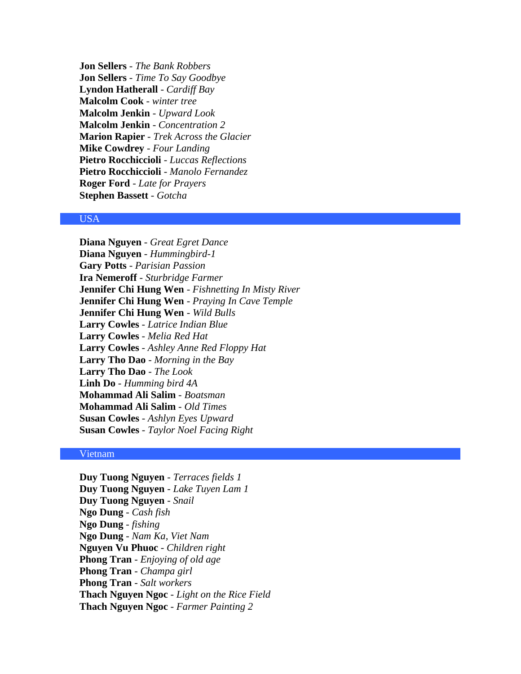**Jon Sellers** - *The Bank Robbers* **Jon Sellers** - *Time To Say Goodbye* **Lyndon Hatherall** - *Cardiff Bay* **Malcolm Cook** - *winter tree* **Malcolm Jenkin** - *Upward Look* **Malcolm Jenkin** - *Concentration 2* **Marion Rapier** - *Trek Across the Glacier* **Mike Cowdrey** - *Four Landing* **Pietro Rocchiccioli** - *Luccas Reflections* **Pietro Rocchiccioli** - *Manolo Fernandez* **Roger Ford** - *Late for Prayers* **Stephen Bassett** - *Gotcha*

## USA

**Diana Nguyen** - *Great Egret Dance* **Diana Nguyen** - *Hummingbird-1* **Gary Potts** - *Parisian Passion* **Ira Nemeroff** - *Sturbridge Farmer* **Jennifer Chi Hung Wen** - *Fishnetting In Misty River* **Jennifer Chi Hung Wen** - *Praying In Cave Temple* **Jennifer Chi Hung Wen** - *Wild Bulls* **Larry Cowles** - *Latrice Indian Blue* **Larry Cowles** - *Melia Red Hat* **Larry Cowles** - *Ashley Anne Red Floppy Hat* **Larry Tho Dao** - *Morning in the Bay* **Larry Tho Dao** - *The Look* **Linh Do** - *Humming bird 4A* **Mohammad Ali Salim** - *Boatsman* **Mohammad Ali Salim** - *Old Times* **Susan Cowles** - *Ashlyn Eyes Upward* **Susan Cowles** - *Taylor Noel Facing Right*

### Vietnam

**Duy Tuong Nguyen** - *Terraces fields 1* **Duy Tuong Nguyen** - *Lake Tuyen Lam 1* **Duy Tuong Nguyen** - *Snail* **Ngo Dung** - *Cash fish* **Ngo Dung** - *fishing* **Ngo Dung** - *Nam Ka, Viet Nam* **Nguyen Vu Phuoc** - *Children right* **Phong Tran** - *Enjoying of old age* **Phong Tran** - *Champa girl* **Phong Tran** - *Salt workers* **Thach Nguyen Ngoc** - *Light on the Rice Field* **Thach Nguyen Ngoc** - *Farmer Painting 2*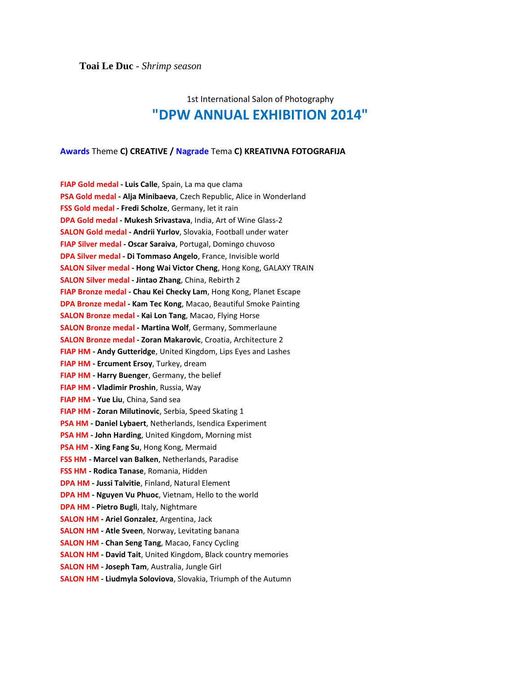# 1st International Salon of Photography **"DPW ANNUAL EXHIBITION 2014"**

# **Awards** Theme **C) CREATIVE / Nagrade** Tema **C) KREATIVNA FOTOGRAFIJA**

| FIAP Gold medal - Luis Calle, Spain, La ma que clama<br>PSA Gold medal - Alja Minibaeva, Czech Republic, Alice in Wonderland<br>FSS Gold medal - Fredi Scholze, Germany, let it rain<br>DPA Gold medal - Mukesh Srivastava, India, Art of Wine Glass-2<br>SALON Gold medal - Andrii Yurlov, Slovakia, Football under water<br>FIAP Silver medal - Oscar Saraiva, Portugal, Domingo chuvoso<br>DPA Silver medal - Di Tommaso Angelo, France, Invisible world<br><b>SALON Silver medal - Hong Wai Victor Cheng</b> , Hong Kong, GALAXY TRAIN<br>SALON Silver medal - Jintao Zhang, China, Rebirth 2<br><b>FIAP Bronze medal - Chau Kei Checky Lam</b> , Hong Kong, Planet Escape<br><b>DPA Bronze medal - Kam Tec Kong, Macao, Beautiful Smoke Painting</b><br>SALON Bronze medal - Kai Lon Tang, Macao, Flying Horse<br><b>SALON Bronze medal - Martina Wolf, Germany, Sommerlaune</b><br>SALON Bronze medal - Zoran Makarovic, Croatia, Architecture 2<br><b>FIAP HM - Andy Gutteridge, United Kingdom, Lips Eyes and Lashes</b><br>FIAP HM - Ercument Ersoy, Turkey, dream<br><b>FIAP HM - Harry Buenger, Germany, the belief</b><br>FIAP HM - Vladimir Proshin, Russia, Way<br><b>FIAP HM - Yue Liu, China, Sand sea</b><br>FIAP HM - Zoran Milutinovic, Serbia, Speed Skating 1<br>PSA HM - Daniel Lybaert, Netherlands, Isendica Experiment<br><b>PSA HM - John Harding, United Kingdom, Morning mist</b><br>PSA HM - Xing Fang Su, Hong Kong, Mermaid<br>FSS HM - Marcel van Balken, Netherlands, Paradise<br>FSS HM - Rodica Tanase, Romania, Hidden<br><b>DPA HM - Jussi Talvitie, Finland, Natural Element</b><br>DPA HM - Nguyen Vu Phuoc, Vietnam, Hello to the world<br><b>DPA HM - Pietro Bugli</b> , Italy, Nightmare<br><b>SALON HM - Ariel Gonzalez, Argentina, Jack</b><br><b>SALON HM - Atle Sveen, Norway, Levitating banana</b><br><b>SALON HM - Chan Seng Tang, Macao, Fancy Cycling</b><br><b>SALON HM - David Tait, United Kingdom, Black country memories</b><br><b>SALON HM - Joseph Tam, Australia, Jungle Girl</b><br><b>SALON HM - Liudmyla Soloviova</b> , Slovakia, Triumph of the Autumn |  |
|------------------------------------------------------------------------------------------------------------------------------------------------------------------------------------------------------------------------------------------------------------------------------------------------------------------------------------------------------------------------------------------------------------------------------------------------------------------------------------------------------------------------------------------------------------------------------------------------------------------------------------------------------------------------------------------------------------------------------------------------------------------------------------------------------------------------------------------------------------------------------------------------------------------------------------------------------------------------------------------------------------------------------------------------------------------------------------------------------------------------------------------------------------------------------------------------------------------------------------------------------------------------------------------------------------------------------------------------------------------------------------------------------------------------------------------------------------------------------------------------------------------------------------------------------------------------------------------------------------------------------------------------------------------------------------------------------------------------------------------------------------------------------------------------------------------------------------------------------------------------------------------------------------------------------------------------------------------------------------------------------------------------------------------------------------------------------------------------------------------------|--|
|                                                                                                                                                                                                                                                                                                                                                                                                                                                                                                                                                                                                                                                                                                                                                                                                                                                                                                                                                                                                                                                                                                                                                                                                                                                                                                                                                                                                                                                                                                                                                                                                                                                                                                                                                                                                                                                                                                                                                                                                                                                                                                                        |  |
|                                                                                                                                                                                                                                                                                                                                                                                                                                                                                                                                                                                                                                                                                                                                                                                                                                                                                                                                                                                                                                                                                                                                                                                                                                                                                                                                                                                                                                                                                                                                                                                                                                                                                                                                                                                                                                                                                                                                                                                                                                                                                                                        |  |
|                                                                                                                                                                                                                                                                                                                                                                                                                                                                                                                                                                                                                                                                                                                                                                                                                                                                                                                                                                                                                                                                                                                                                                                                                                                                                                                                                                                                                                                                                                                                                                                                                                                                                                                                                                                                                                                                                                                                                                                                                                                                                                                        |  |
|                                                                                                                                                                                                                                                                                                                                                                                                                                                                                                                                                                                                                                                                                                                                                                                                                                                                                                                                                                                                                                                                                                                                                                                                                                                                                                                                                                                                                                                                                                                                                                                                                                                                                                                                                                                                                                                                                                                                                                                                                                                                                                                        |  |
|                                                                                                                                                                                                                                                                                                                                                                                                                                                                                                                                                                                                                                                                                                                                                                                                                                                                                                                                                                                                                                                                                                                                                                                                                                                                                                                                                                                                                                                                                                                                                                                                                                                                                                                                                                                                                                                                                                                                                                                                                                                                                                                        |  |
|                                                                                                                                                                                                                                                                                                                                                                                                                                                                                                                                                                                                                                                                                                                                                                                                                                                                                                                                                                                                                                                                                                                                                                                                                                                                                                                                                                                                                                                                                                                                                                                                                                                                                                                                                                                                                                                                                                                                                                                                                                                                                                                        |  |
|                                                                                                                                                                                                                                                                                                                                                                                                                                                                                                                                                                                                                                                                                                                                                                                                                                                                                                                                                                                                                                                                                                                                                                                                                                                                                                                                                                                                                                                                                                                                                                                                                                                                                                                                                                                                                                                                                                                                                                                                                                                                                                                        |  |
|                                                                                                                                                                                                                                                                                                                                                                                                                                                                                                                                                                                                                                                                                                                                                                                                                                                                                                                                                                                                                                                                                                                                                                                                                                                                                                                                                                                                                                                                                                                                                                                                                                                                                                                                                                                                                                                                                                                                                                                                                                                                                                                        |  |
|                                                                                                                                                                                                                                                                                                                                                                                                                                                                                                                                                                                                                                                                                                                                                                                                                                                                                                                                                                                                                                                                                                                                                                                                                                                                                                                                                                                                                                                                                                                                                                                                                                                                                                                                                                                                                                                                                                                                                                                                                                                                                                                        |  |
|                                                                                                                                                                                                                                                                                                                                                                                                                                                                                                                                                                                                                                                                                                                                                                                                                                                                                                                                                                                                                                                                                                                                                                                                                                                                                                                                                                                                                                                                                                                                                                                                                                                                                                                                                                                                                                                                                                                                                                                                                                                                                                                        |  |
|                                                                                                                                                                                                                                                                                                                                                                                                                                                                                                                                                                                                                                                                                                                                                                                                                                                                                                                                                                                                                                                                                                                                                                                                                                                                                                                                                                                                                                                                                                                                                                                                                                                                                                                                                                                                                                                                                                                                                                                                                                                                                                                        |  |
|                                                                                                                                                                                                                                                                                                                                                                                                                                                                                                                                                                                                                                                                                                                                                                                                                                                                                                                                                                                                                                                                                                                                                                                                                                                                                                                                                                                                                                                                                                                                                                                                                                                                                                                                                                                                                                                                                                                                                                                                                                                                                                                        |  |
|                                                                                                                                                                                                                                                                                                                                                                                                                                                                                                                                                                                                                                                                                                                                                                                                                                                                                                                                                                                                                                                                                                                                                                                                                                                                                                                                                                                                                                                                                                                                                                                                                                                                                                                                                                                                                                                                                                                                                                                                                                                                                                                        |  |
|                                                                                                                                                                                                                                                                                                                                                                                                                                                                                                                                                                                                                                                                                                                                                                                                                                                                                                                                                                                                                                                                                                                                                                                                                                                                                                                                                                                                                                                                                                                                                                                                                                                                                                                                                                                                                                                                                                                                                                                                                                                                                                                        |  |
|                                                                                                                                                                                                                                                                                                                                                                                                                                                                                                                                                                                                                                                                                                                                                                                                                                                                                                                                                                                                                                                                                                                                                                                                                                                                                                                                                                                                                                                                                                                                                                                                                                                                                                                                                                                                                                                                                                                                                                                                                                                                                                                        |  |
|                                                                                                                                                                                                                                                                                                                                                                                                                                                                                                                                                                                                                                                                                                                                                                                                                                                                                                                                                                                                                                                                                                                                                                                                                                                                                                                                                                                                                                                                                                                                                                                                                                                                                                                                                                                                                                                                                                                                                                                                                                                                                                                        |  |
|                                                                                                                                                                                                                                                                                                                                                                                                                                                                                                                                                                                                                                                                                                                                                                                                                                                                                                                                                                                                                                                                                                                                                                                                                                                                                                                                                                                                                                                                                                                                                                                                                                                                                                                                                                                                                                                                                                                                                                                                                                                                                                                        |  |
|                                                                                                                                                                                                                                                                                                                                                                                                                                                                                                                                                                                                                                                                                                                                                                                                                                                                                                                                                                                                                                                                                                                                                                                                                                                                                                                                                                                                                                                                                                                                                                                                                                                                                                                                                                                                                                                                                                                                                                                                                                                                                                                        |  |
|                                                                                                                                                                                                                                                                                                                                                                                                                                                                                                                                                                                                                                                                                                                                                                                                                                                                                                                                                                                                                                                                                                                                                                                                                                                                                                                                                                                                                                                                                                                                                                                                                                                                                                                                                                                                                                                                                                                                                                                                                                                                                                                        |  |
|                                                                                                                                                                                                                                                                                                                                                                                                                                                                                                                                                                                                                                                                                                                                                                                                                                                                                                                                                                                                                                                                                                                                                                                                                                                                                                                                                                                                                                                                                                                                                                                                                                                                                                                                                                                                                                                                                                                                                                                                                                                                                                                        |  |
|                                                                                                                                                                                                                                                                                                                                                                                                                                                                                                                                                                                                                                                                                                                                                                                                                                                                                                                                                                                                                                                                                                                                                                                                                                                                                                                                                                                                                                                                                                                                                                                                                                                                                                                                                                                                                                                                                                                                                                                                                                                                                                                        |  |
|                                                                                                                                                                                                                                                                                                                                                                                                                                                                                                                                                                                                                                                                                                                                                                                                                                                                                                                                                                                                                                                                                                                                                                                                                                                                                                                                                                                                                                                                                                                                                                                                                                                                                                                                                                                                                                                                                                                                                                                                                                                                                                                        |  |
|                                                                                                                                                                                                                                                                                                                                                                                                                                                                                                                                                                                                                                                                                                                                                                                                                                                                                                                                                                                                                                                                                                                                                                                                                                                                                                                                                                                                                                                                                                                                                                                                                                                                                                                                                                                                                                                                                                                                                                                                                                                                                                                        |  |
|                                                                                                                                                                                                                                                                                                                                                                                                                                                                                                                                                                                                                                                                                                                                                                                                                                                                                                                                                                                                                                                                                                                                                                                                                                                                                                                                                                                                                                                                                                                                                                                                                                                                                                                                                                                                                                                                                                                                                                                                                                                                                                                        |  |
|                                                                                                                                                                                                                                                                                                                                                                                                                                                                                                                                                                                                                                                                                                                                                                                                                                                                                                                                                                                                                                                                                                                                                                                                                                                                                                                                                                                                                                                                                                                                                                                                                                                                                                                                                                                                                                                                                                                                                                                                                                                                                                                        |  |
|                                                                                                                                                                                                                                                                                                                                                                                                                                                                                                                                                                                                                                                                                                                                                                                                                                                                                                                                                                                                                                                                                                                                                                                                                                                                                                                                                                                                                                                                                                                                                                                                                                                                                                                                                                                                                                                                                                                                                                                                                                                                                                                        |  |
|                                                                                                                                                                                                                                                                                                                                                                                                                                                                                                                                                                                                                                                                                                                                                                                                                                                                                                                                                                                                                                                                                                                                                                                                                                                                                                                                                                                                                                                                                                                                                                                                                                                                                                                                                                                                                                                                                                                                                                                                                                                                                                                        |  |
|                                                                                                                                                                                                                                                                                                                                                                                                                                                                                                                                                                                                                                                                                                                                                                                                                                                                                                                                                                                                                                                                                                                                                                                                                                                                                                                                                                                                                                                                                                                                                                                                                                                                                                                                                                                                                                                                                                                                                                                                                                                                                                                        |  |
|                                                                                                                                                                                                                                                                                                                                                                                                                                                                                                                                                                                                                                                                                                                                                                                                                                                                                                                                                                                                                                                                                                                                                                                                                                                                                                                                                                                                                                                                                                                                                                                                                                                                                                                                                                                                                                                                                                                                                                                                                                                                                                                        |  |
|                                                                                                                                                                                                                                                                                                                                                                                                                                                                                                                                                                                                                                                                                                                                                                                                                                                                                                                                                                                                                                                                                                                                                                                                                                                                                                                                                                                                                                                                                                                                                                                                                                                                                                                                                                                                                                                                                                                                                                                                                                                                                                                        |  |
|                                                                                                                                                                                                                                                                                                                                                                                                                                                                                                                                                                                                                                                                                                                                                                                                                                                                                                                                                                                                                                                                                                                                                                                                                                                                                                                                                                                                                                                                                                                                                                                                                                                                                                                                                                                                                                                                                                                                                                                                                                                                                                                        |  |
|                                                                                                                                                                                                                                                                                                                                                                                                                                                                                                                                                                                                                                                                                                                                                                                                                                                                                                                                                                                                                                                                                                                                                                                                                                                                                                                                                                                                                                                                                                                                                                                                                                                                                                                                                                                                                                                                                                                                                                                                                                                                                                                        |  |
|                                                                                                                                                                                                                                                                                                                                                                                                                                                                                                                                                                                                                                                                                                                                                                                                                                                                                                                                                                                                                                                                                                                                                                                                                                                                                                                                                                                                                                                                                                                                                                                                                                                                                                                                                                                                                                                                                                                                                                                                                                                                                                                        |  |
|                                                                                                                                                                                                                                                                                                                                                                                                                                                                                                                                                                                                                                                                                                                                                                                                                                                                                                                                                                                                                                                                                                                                                                                                                                                                                                                                                                                                                                                                                                                                                                                                                                                                                                                                                                                                                                                                                                                                                                                                                                                                                                                        |  |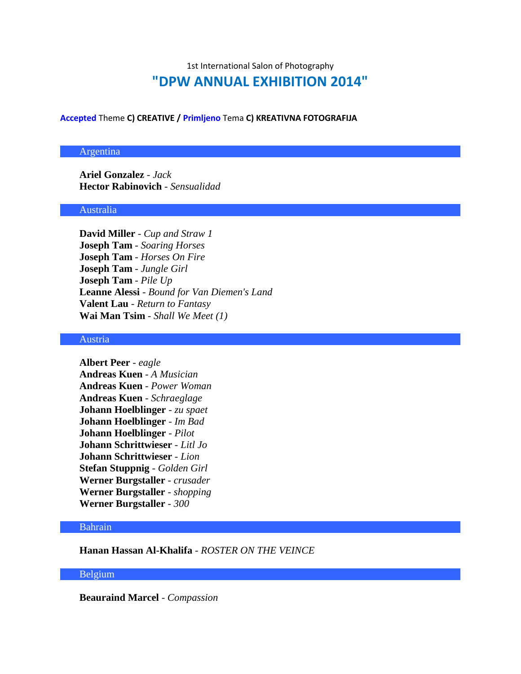# 1st International Salon of Photography **"DPW ANNUAL EXHIBITION 2014"**

**Accepted** Theme **C) CREATIVE / Primljeno** Tema **C) KREATIVNA FOTOGRAFIJA**

# Argentina

**Ariel Gonzalez** - *Jack* **Hector Rabinovich** - *Sensualidad*

# Australia

**David Miller** - *Cup and Straw 1* **Joseph Tam** - *Soaring Horses* **Joseph Tam** - *Horses On Fire* **Joseph Tam** - *Jungle Girl* **Joseph Tam** - *Pile Up* **Leanne Alessi** - *Bound for Van Diemen's Land* **Valent Lau** - *Return to Fantasy* **Wai Man Tsim** - *Shall We Meet (1)*

#### Austria

**Albert Peer** - *eagle* **Andreas Kuen** - *A Musician* **Andreas Kuen** - *Power Woman* **Andreas Kuen** - *Schraeglage* **Johann Hoelblinger** - *zu spaet* **Johann Hoelblinger** - *Im Bad* **Johann Hoelblinger** - *Pilot* **Johann Schrittwieser** - *Litl Jo* **Johann Schrittwieser** - *Lion* **Stefan Stuppnig** - *Golden Girl* **Werner Burgstaller** - *crusader* **Werner Burgstaller** - *shopping* **Werner Burgstaller** - *300*

### Bahrain

**Hanan Hassan Al-Khalifa** - *ROSTER ON THE VEINCE*

# Belgium

**Beauraind Marcel** - *Compassion*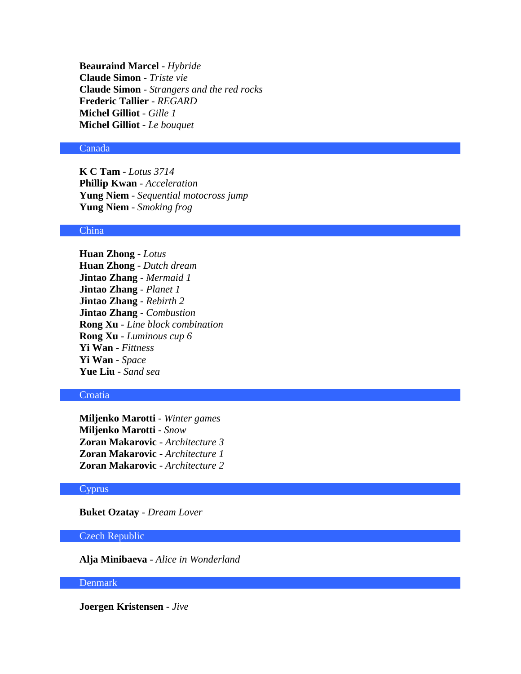**Beauraind Marcel** - *Hybride* **Claude Simon** - *Triste vie* **Claude Simon** - *Strangers and the red rocks* **Frederic Tallier** - *REGARD* **Michel Gilliot** - *Gille 1* **Michel Gilliot** - *Le bouquet*

# Canada

**K C Tam** - *Lotus 3714* **Phillip Kwan** - *Acceleration* **Yung Niem** - *Sequential motocross jump* **Yung Niem** - *Smoking frog*

# China

**Huan Zhong** - *Lotus* **Huan Zhong** - *Dutch dream* **Jintao Zhang** - *Mermaid 1* **Jintao Zhang** - *Planet 1* **Jintao Zhang** - *Rebirth 2* **Jintao Zhang** - *Combustion* **Rong Xu** - *Line block combination* **Rong Xu** - *Luminous cup 6* **Yi Wan** - *Fittness* **Yi Wan** - *Space* **Yue Liu** - *Sand sea*

# **Croatia**

**Miljenko Marotti** - *Winter games* **Miljenko Marotti** - *Snow* **Zoran Makarovic** - *Architecture 3* **Zoran Makarovic** - *Architecture 1* **Zoran Makarovic** - *Architecture 2*

## **Cyprus**

**Buket Ozatay** - *Dream Lover*

## Czech Republic

**Alja Minibaeva** - *Alice in Wonderland*

# Denmark

**Joergen Kristensen** - *Jive*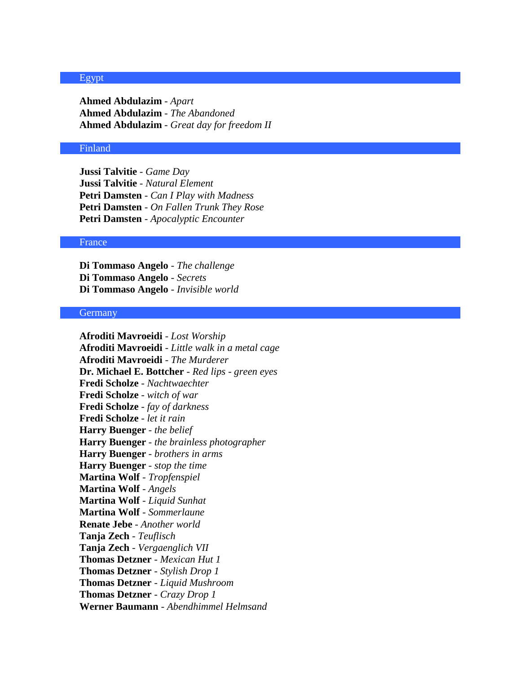#### Egypt

**Ahmed Abdulazim** - *Apart* **Ahmed Abdulazim** - *The Abandoned* **Ahmed Abdulazim** - *Great day for freedom II*

# Finland

**Jussi Talvitie** - *Game Day* **Jussi Talvitie** - *Natural Element* **Petri Damsten** - *Can I Play with Madness* **Petri Damsten** - *On Fallen Trunk They Rose* **Petri Damsten** - *Apocalyptic Encounter*

#### France

**Di Tommaso Angelo** - *The challenge* **Di Tommaso Angelo** - *Secrets* **Di Tommaso Angelo** - *Invisible world*

#### **Germany**

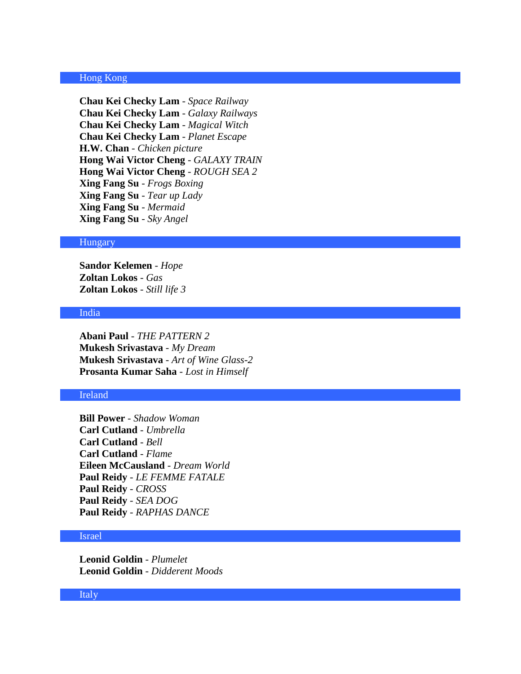## Hong Kong

**Chau Kei Checky Lam** - *Space Railway* **Chau Kei Checky Lam** - *Galaxy Railways* **Chau Kei Checky Lam** - *Magical Witch* **Chau Kei Checky Lam** - *Planet Escape* **H.W. Chan** - *Chicken picture* **Hong Wai Victor Cheng** - *GALAXY TRAIN* **Hong Wai Victor Cheng** - *ROUGH SEA 2* **Xing Fang Su** - *Frogs Boxing* **Xing Fang Su** - *Tear up Lady* **Xing Fang Su** - *Mermaid* **Xing Fang Su** - *Sky Angel*

#### **Hungary**

**Sandor Kelemen** - *Hope* **Zoltan Lokos** - *Gas* **Zoltan Lokos** - *Still life 3*

## India

**Abani Paul** - *THE PATTERN 2* **Mukesh Srivastava** - *My Dream* **Mukesh Srivastava** - *Art of Wine Glass-2* **Prosanta Kumar Saha** - *Lost in Himself*

# Ireland

**Bill Power** - *Shadow Woman* **Carl Cutland** - *Umbrella* **Carl Cutland** - *Bell* **Carl Cutland** - *Flame* **Eileen McCausland** - *Dream World* **Paul Reidy** - *LE FEMME FATALE* **Paul Reidy** - *CROSS* **Paul Reidy** - *SEA DOG* **Paul Reidy** - *RAPHAS DANCE*

## Israel

**Leonid Goldin** - *Plumelet* **Leonid Goldin** - *Didderent Moods*

## Italy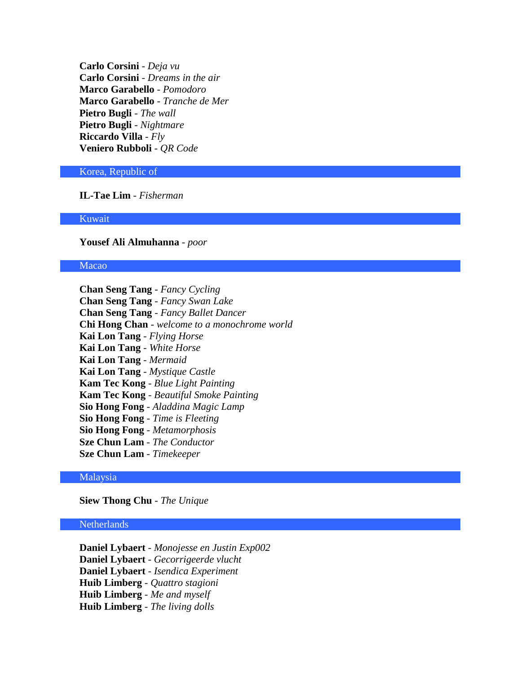**Carlo Corsini** - *Deja vu* **Carlo Corsini** - *Dreams in the air* **Marco Garabello** - *Pomodoro* **Marco Garabello** - *Tranche de Mer* **Pietro Bugli** - *The wall* **Pietro Bugli** - *Nightmare* **Riccardo Villa** - *Fly* **Veniero Rubboli** - *QR Code*

## Korea, Republic of

**IL-Tae Lim** - *Fisherman*

Kuwait

**Yousef Ali Almuhanna** - *poor*

#### Macao

**Chan Seng Tang** - *Fancy Cycling* **Chan Seng Tang** - *Fancy Swan Lake* **Chan Seng Tang** - *Fancy Ballet Dancer* **Chi Hong Chan** - *welcome to a monochrome world* **Kai Lon Tang** - *Flying Horse* **Kai Lon Tang** - *White Horse* **Kai Lon Tang** - *Mermaid* **Kai Lon Tang** - *Mystique Castle* **Kam Tec Kong** - *Blue Light Painting* **Kam Tec Kong** - *Beautiful Smoke Painting* **Sio Hong Fong** - *Aladdina Magic Lamp* **Sio Hong Fong** - *Time is Fleeting* **Sio Hong Fong** - *Metamorphosis* **Sze Chun Lam** - *The Conductor* **Sze Chun Lam** - *Timekeeper*

# Malaysia

**Siew Thong Chu** - *The Unique*

# **Netherlands**

**Daniel Lybaert** - *Monojesse en Justin Exp002* **Daniel Lybaert** - *Gecorrigeerde vlucht* **Daniel Lybaert** - *Isendica Experiment* **Huib Limberg** - *Quattro stagioni* **Huib Limberg** - *Me and myself* **Huib Limberg** - *The living dolls*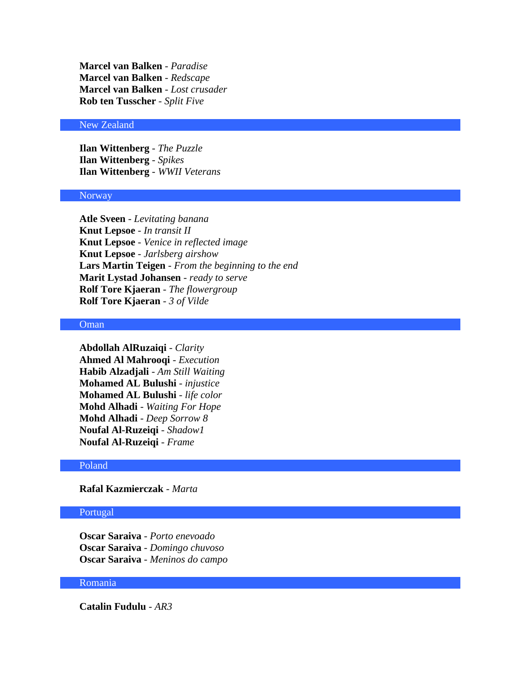**Marcel van Balken** - *Paradise* **Marcel van Balken** - *Redscape* **Marcel van Balken** - *Lost crusader* **Rob ten Tusscher** - *Split Five*

# New Zealand

**Ilan Wittenberg** - *The Puzzle* **Ilan Wittenberg** - *Spikes* **Ilan Wittenberg** - *WWII Veterans*

#### Norway

**Atle Sveen** - *Levitating banana* **Knut Lepsoe** - *In transit II* **Knut Lepsoe** - *Venice in reflected image* **Knut Lepsoe** - *Jarlsberg airshow* **Lars Martin Teigen** - *From the beginning to the end* **Marit Lystad Johansen** - *ready to serve* **Rolf Tore Kjaeran** - *The flowergroup* **Rolf Tore Kjaeran** - *3 of Vilde*

#### Oman

**Abdollah AlRuzaiqi** - *Clarity* **Ahmed Al Mahrooqi** - *Execution* **Habib Alzadjali** - *Am Still Waiting* **Mohamed AL Bulushi** - *injustice* **Mohamed AL Bulushi** - *life color* **Mohd Alhadi** - *Waiting For Hope* **Mohd Alhadi** - *Deep Sorrow 8* **Noufal Al-Ruzeiqi** - *Shadow1* **Noufal Al-Ruzeiqi** - *Frame*

#### Poland

**Rafal Kazmierczak** - *Marta*

# Portugal

**Oscar Saraiva** - *Porto enevoado* **Oscar Saraiva** - *Domingo chuvoso* **Oscar Saraiva** - *Meninos do campo*

#### Romania

**Catalin Fudulu** - *AR3*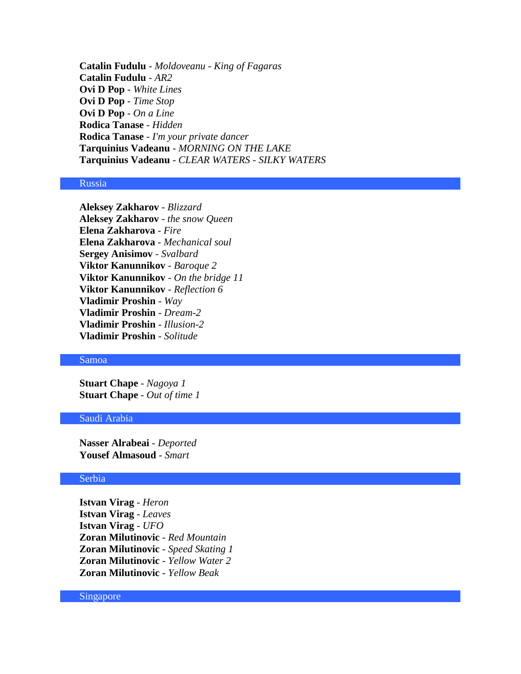**Catalin Fudulu** - *Moldoveanu - King of Fagaras* **Catalin Fudulu** - *AR2* **Ovi D Pop** - *White Lines* **Ovi D Pop** - *Time Stop* **Ovi D Pop** - *On a Line* **Rodica Tanase** - *Hidden* **Rodica Tanase** - *I'm your private dancer* **Tarquinius Vadeanu** - *MORNING ON THE LAKE* **Tarquinius Vadeanu** - *CLEAR WATERS - SILKY WATERS*

# Russia

**Aleksey Zakharov** - *Blizzard* **Aleksey Zakharov** - *the snow Queen* **Elena Zakharova** - *Fire* **Elena Zakharova** - *Mechanical soul* **Sergey Anisimov** - *Svalbard* **Viktor Kanunnikov** - *Baroque 2* **Viktor Kanunnikov** - *On the bridge 11* **Viktor Kanunnikov** - *Reflection 6* **Vladimir Proshin** - *Way* **Vladimir Proshin** - *Dream-2* **Vladimir Proshin** - *Illusion-2* **Vladimir Proshin** - *Solitude*

# Samoa

**Stuart Chape** - *Nagoya 1* **Stuart Chape** - *Out of time 1*

#### Saudi Arabia

**Nasser Alrabeai** - *Deported*  **Yousef Almasoud** - *Smart*

#### Serbia

**Istvan Virag** - *Heron* **Istvan Virag** - *Leaves* **Istvan Virag** - *UFO* **Zoran Milutinovic** - *Red Mountain* **Zoran Milutinovic** - *Speed Skating 1* **Zoran Milutinovic** - *Yellow Water 2* **Zoran Milutinovic** - *Yellow Beak*

Singapore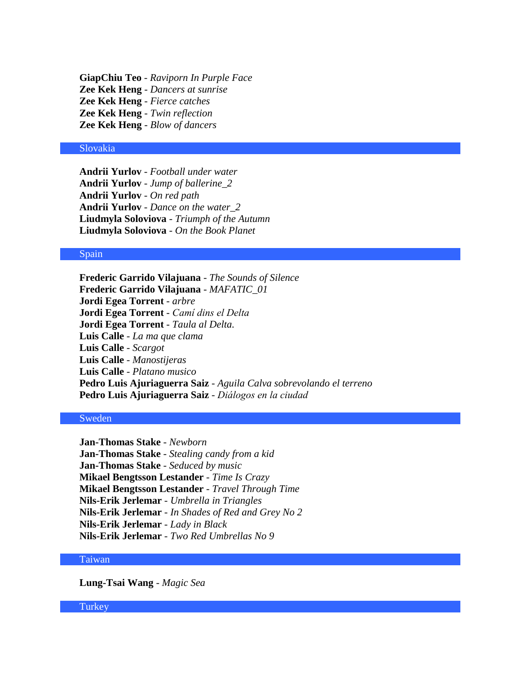**GiapChiu Teo** - *Raviporn In Purple Face* **Zee Kek Heng** - *Dancers at sunrise* **Zee Kek Heng** - *Fierce catches* **Zee Kek Heng** - *Twin reflection* **Zee Kek Heng** - *Blow of dancers*

# Slovakia

**Andrii Yurlov** - *Football under water* **Andrii Yurlov** - *Jump of ballerine\_2* **Andrii Yurlov** - *On red path* **Andrii Yurlov** - *Dance on the water\_2* **Liudmyla Soloviova** - *Triumph of the Autumn* **Liudmyla Soloviova** - *On the Book Planet*

#### Spain

**Frederic Garrido Vilajuana** - *The Sounds of Silence* **Frederic Garrido Vilajuana** - *MAFATIC\_01* **Jordi Egea Torrent** - *arbre* **Jordi Egea Torrent** - *Camí dins el Delta* **Jordi Egea Torrent** - *Taula al Delta.* **Luis Calle** - *La ma que clama* **Luis Calle** - *Scargot* **Luis Calle** - *Manostijeras* **Luis Calle** - *Platano musico* **Pedro Luis Ajuriaguerra Saiz** - *Aguila Calva sobrevolando el terreno* **Pedro Luis Ajuriaguerra Saiz** - *Diálogos en la ciudad*

# Sweden

**Jan-Thomas Stake** - *Newborn* **Jan-Thomas Stake** - *Stealing candy from a kid* **Jan-Thomas Stake** - *Seduced by music* **Mikael Bengtsson Lestander** - *Time Is Crazy* **Mikael Bengtsson Lestander** - *Travel Through Time* **Nils-Erik Jerlemar** - *Umbrella in Triangles* **Nils-Erik Jerlemar** - *In Shades of Red and Grey No 2* **Nils-Erik Jerlemar** - *Lady in Black* **Nils-Erik Jerlemar** - *Two Red Umbrellas No 9*

#### Taiwan

**Lung-Tsai Wang** - *Magic Sea*

**Turkey**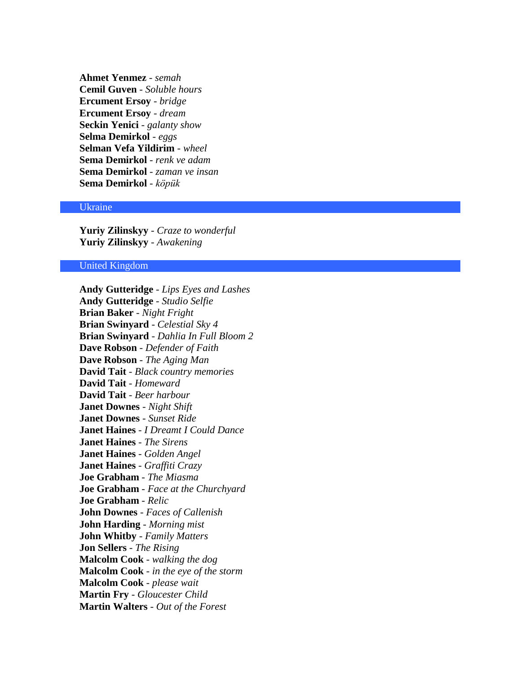**Ahmet Yenmez** - *semah* **Cemil Guven** - *Soluble hours* **Ercument Ersoy** - *bridge* **Ercument Ersoy** - *dream* **Seckin Yenici** - *galanty show* **Selma Demirkol** - *eggs* **Selman Vefa Yildirim** - *wheel* **Sema Demirkol** - *renk ve adam* **Sema Demirkol** - *zaman ve insan* **Sema Demirkol** - *köpük*

#### Ukraine

**Yuriy Zilinskyy** - *Craze to wonderful* **Yuriy Zilinskyy** - *Awakening*

## United Kingdom

**Andy Gutteridge** - *Lips Eyes and Lashes* **Andy Gutteridge** - *Studio Selfie* **Brian Baker** - *Night Fright* **Brian Swinyard** - *Celestial Sky 4* **Brian Swinyard** - *Dahlia In Full Bloom 2* **Dave Robson** - *Defender of Faith* **Dave Robson** - *The Aging Man* **David Tait** - *Black country memories* **David Tait** - *Homeward* **David Tait** - *Beer harbour* **Janet Downes** - *Night Shift* **Janet Downes** - *Sunset Ride* **Janet Haines** - *I Dreamt I Could Dance* **Janet Haines** - *The Sirens* **Janet Haines** - *Golden Angel* **Janet Haines** - *Graffiti Crazy* **Joe Grabham** - *The Miasma* **Joe Grabham** - *Face at the Churchyard* **Joe Grabham** - *Relic* **John Downes** - *Faces of Callenish* **John Harding** - *Morning mist* **John Whitby** - *Family Matters* **Jon Sellers** - *The Rising* **Malcolm Cook** - *walking the dog* **Malcolm Cook** - *in the eye of the storm* **Malcolm Cook** - *please wait* **Martin Fry** - *Gloucester Child* **Martin Walters** - *Out of the Forest*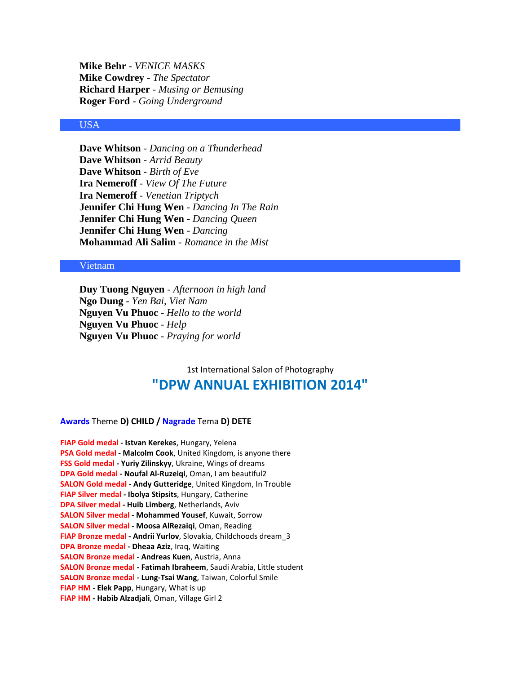**Mike Behr** - *VENICE MASKS* **Mike Cowdrey** - *The Spectator* **Richard Harper** - *Musing or Bemusing* **Roger Ford** - *Going Underground*

#### USA

**Dave Whitson** - *Dancing on a Thunderhead* **Dave Whitson** - *Arrid Beauty* **Dave Whitson** - *Birth of Eve* **Ira Nemeroff** - *View Of The Future* **Ira Nemeroff** - *Venetian Triptych* **Jennifer Chi Hung Wen** - *Dancing In The Rain* **Jennifer Chi Hung Wen** - *Dancing Queen* **Jennifer Chi Hung Wen** - *Dancing* **Mohammad Ali Salim** - *Romance in the Mist*

#### Vietnam

**Duy Tuong Nguyen** - *Afternoon in high land* **Ngo Dung** - *Yen Bai, Viet Nam* **Nguyen Vu Phuoc** - *Hello to the world* **Nguyen Vu Phuoc** - *Help* **Nguyen Vu Phuoc** - *Praying for world*

# 1st International Salon of Photography **"DPW ANNUAL EXHIBITION 2014"**

#### **Awards** Theme **D) CHILD / Nagrade** Tema **D) DETE**

**FIAP Gold medal - Istvan Kerekes**, Hungary, Yelena **PSA Gold medal - Malcolm Cook**, United Kingdom, is anyone there **FSS Gold medal - Yuriy Zilinskyy**, Ukraine, Wings of dreams **DPA Gold medal - Noufal Al-Ruzeiqi**, Oman, I am beautiful2 **SALON Gold medal - Andy Gutteridge**, United Kingdom, In Trouble **FIAP Silver medal - Ibolya Stipsits**, Hungary, Catherine **DPA Silver medal - Huib Limberg**, Netherlands, Aviv **SALON Silver medal - Mohammed Yousef**, Kuwait, Sorrow **SALON Silver medal - Moosa AlRezaiqi**, Oman, Reading **FIAP Bronze medal - Andrii Yurlov**, Slovakia, Childchoods dream\_3 **DPA Bronze medal - Dheaa Aziz**, Iraq, Waiting **SALON Bronze medal - Andreas Kuen**, Austria, Anna **SALON Bronze medal - Fatimah Ibraheem**, Saudi Arabia, Little student **SALON Bronze medal - Lung-Tsai Wang**, Taiwan, Colorful Smile **FIAP HM - Elek Papp**, Hungary, What is up **FIAP HM - Habib Alzadjali**, Oman, Village Girl 2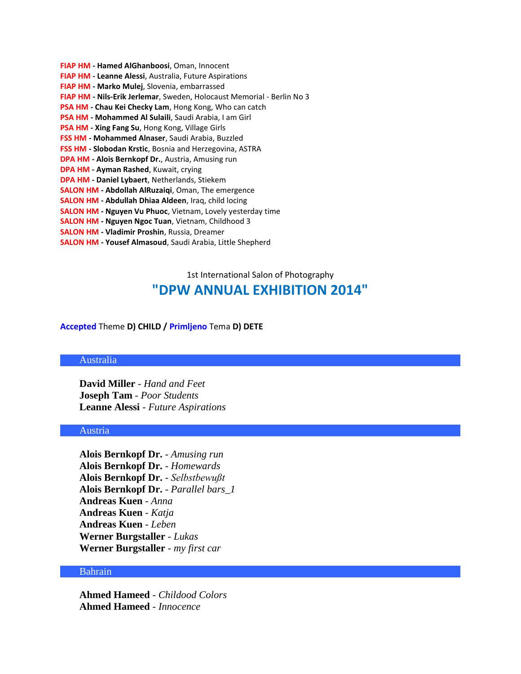**FIAP HM - Hamed AlGhanboosi**, Oman, Innocent **FIAP HM - Leanne Alessi**, Australia, Future Aspirations **FIAP HM - Marko Mulej**, Slovenia, embarrassed **FIAP HM - Nils-Erik Jerlemar**, Sweden, Holocaust Memorial - Berlin No 3 **PSA HM - Chau Kei Checky Lam**, Hong Kong, Who can catch **PSA HM - Mohammed Al Sulaili**, Saudi Arabia, I am Girl **PSA HM - Xing Fang Su**, Hong Kong, Village Girls **FSS HM - Mohammed Alnaser**, Saudi Arabia, Buzzled **FSS HM - Slobodan Krstic**, Bosnia and Herzegovina, ASTRA **DPA HM - Alois Bernkopf Dr.**, Austria, Amusing run **DPA HM - Ayman Rashed**, Kuwait, crying **DPA HM - Daniel Lybaert**, Netherlands, Stiekem **SALON HM - Abdollah AlRuzaiqi**, Oman, The emergence **SALON HM - Abdullah Dhiaa Aldeen**, Iraq, child locing **SALON HM - Nguyen Vu Phuoc**, Vietnam, Lovely yesterday time **SALON HM - Nguyen Ngoc Tuan**, Vietnam, Childhood 3 **SALON HM - Vladimir Proshin**, Russia, Dreamer **SALON HM - Yousef Almasoud**, Saudi Arabia, Little Shepherd

# 1st International Salon of Photography **"DPW ANNUAL EXHIBITION 2014"**

#### **Accepted** Theme **D) CHILD / Primljeno** Tema **D) DETE**

#### Australia

**David Miller** - *Hand and Feet* **Joseph Tam** - *Poor Students* **Leanne Alessi** - *Future Aspirations*

# Austria

**Alois Bernkopf Dr.** - *Amusing run* **Alois Bernkopf Dr.** - *Homewards* **Alois Bernkopf Dr.** - *Selbstbewußt* **Alois Bernkopf Dr.** - *Parallel bars\_1* **Andreas Kuen** - *Anna* **Andreas Kuen** - *Katja* **Andreas Kuen** - *Leben* **Werner Burgstaller** - *Lukas* **Werner Burgstaller** - *my first car*

## Bahrain

**Ahmed Hameed** - *Childood Colors* **Ahmed Hameed** - *Innocence*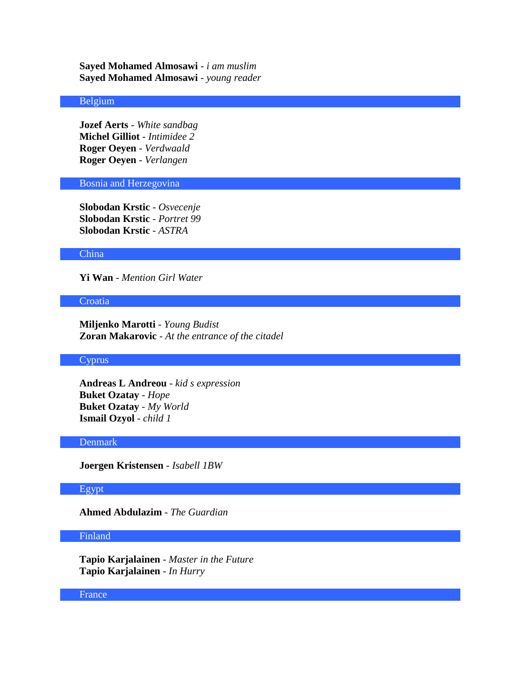**Sayed Mohamed Almosawi** - *i am muslim* **Sayed Mohamed Almosawi** - *young reader*

# Belgium

**Jozef Aerts** - *White sandbag* **Michel Gilliot** - *Intimidee 2* **Roger Oeyen** - *Verdwaald* **Roger Oeyen** - *Verlangen*

# Bosnia and Herzegovina

**Slobodan Krstic** - *Osvecenje* **Slobodan Krstic** - *Portret 99* **Slobodan Krstic** - *ASTRA*

## China

**Yi Wan** - *Mention Girl Water*

## **Croatia**

**Miljenko Marotti** - *Young Budist* **Zoran Makarovic** - *At the entrance of the citadel*

# Cyprus

**Andreas L Andreou** - *kid s expression* **Buket Ozatay** - *Hope* **Buket Ozatay** - *My World* **Ismail Ozyol** - *child 1*

#### Denmark

**Joergen Kristensen** - *Isabell 1BW*

# Egypt

**Ahmed Abdulazim** - *The Guardian*

## Finland

**Tapio Karjalainen** - *Master in the Future* **Tapio Karjalainen** - *In Hurry*

#### France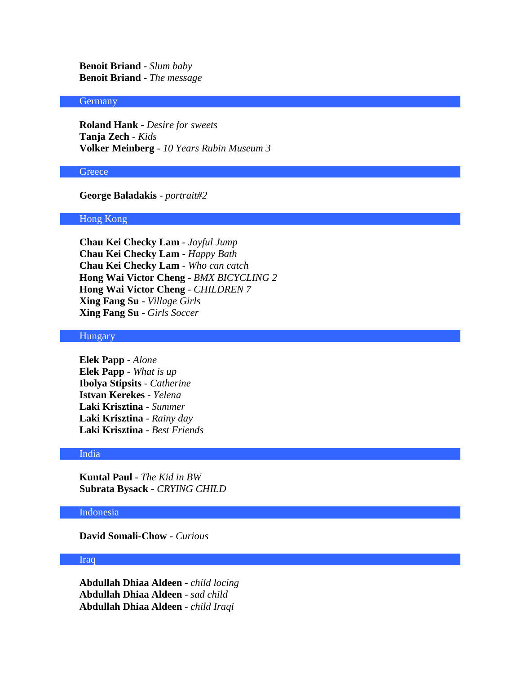**Benoit Briand** - *Slum baby* **Benoit Briand** - *The message*

## Germany

**Roland Hank** - *Desire for sweets* **Tanja Zech** - *Kids* **Volker Meinberg** - *10 Years Rubin Museum 3*

## **Greece**

# **George Baladakis** - *portrait#2*

## Hong Kong

**Chau Kei Checky Lam** - *Joyful Jump* **Chau Kei Checky Lam** - *Happy Bath* **Chau Kei Checky Lam** - *Who can catch* **Hong Wai Victor Cheng** - *BMX BICYCLING 2* **Hong Wai Victor Cheng** - *CHILDREN 7* **Xing Fang Su** - *Village Girls* **Xing Fang Su** - *Girls Soccer*

# **Hungary**

**Elek Papp** - *Alone* **Elek Papp** - *What is up* **Ibolya Stipsits** - *Catherine* **Istvan Kerekes** - *Yelena* **Laki Krisztina** - *Summer* **Laki Krisztina** - *Rainy day* **Laki Krisztina** - *Best Friends*

### India

**Kuntal Paul** - *The Kid in BW* **Subrata Bysack** - *CRYING CHILD*

# Indonesia

**David Somali-Chow** - *Curious*

#### Iraq

**Abdullah Dhiaa Aldeen** - *child locing* **Abdullah Dhiaa Aldeen** - *sad child* **Abdullah Dhiaa Aldeen** - *child Iraqi*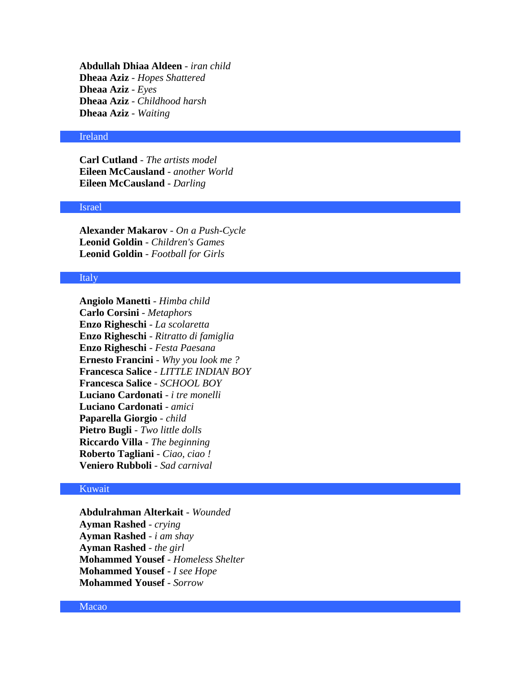**Abdullah Dhiaa Aldeen** - *iran child* **Dheaa Aziz** - *Hopes Shattered* **Dheaa Aziz** - *Eyes* **Dheaa Aziz** - *Childhood harsh* **Dheaa Aziz** - *Waiting*

#### Ireland

**Carl Cutland** - *The artists model* **Eileen McCausland** - *another World* **Eileen McCausland** - *Darling*

## Israel

**Alexander Makarov** - *On a Push-Cycle* **Leonid Goldin** - *Children's Games* **Leonid Goldin** - *Football for Girls*

#### Italy

**Angiolo Manetti** - *Himba child* **Carlo Corsini** - *Metaphors* **Enzo Righeschi** - *La scolaretta* **Enzo Righeschi** - *Ritratto di famiglia* **Enzo Righeschi** - *Festa Paesana* **Ernesto Francini** - *Why you look me ?* **Francesca Salice** - *LITTLE INDIAN BOY* **Francesca Salice** - *SCHOOL BOY* **Luciano Cardonati** - *i tre monelli* **Luciano Cardonati** - *amici* **Paparella Giorgio** - *child* **Pietro Bugli** - *Two little dolls* **Riccardo Villa** - *The beginning* **Roberto Tagliani** - *Ciao, ciao !* **Veniero Rubboli** - *Sad carnival*

## Kuwait

**Abdulrahman Alterkait** - *Wounded* **Ayman Rashed** - *crying* **Ayman Rashed** - *i am shay* **Ayman Rashed** - *the girl* **Mohammed Yousef** - *Homeless Shelter* **Mohammed Yousef** - *I see Hope* **Mohammed Yousef** - *Sorrow*

## Macao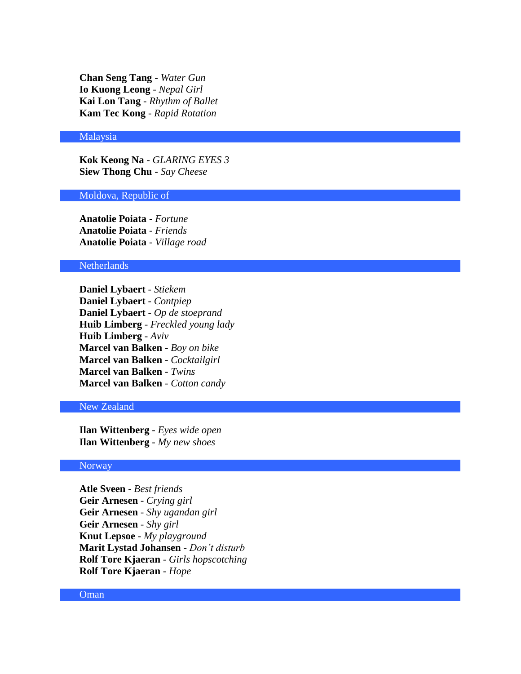**Chan Seng Tang** - *Water Gun* **Io Kuong Leong** - *Nepal Girl* **Kai Lon Tang** - *Rhythm of Ballet* **Kam Tec Kong** - *Rapid Rotation*

#### Malaysia

**Kok Keong Na** - *GLARING EYES 3* **Siew Thong Chu** - *Say Cheese*

#### Moldova, Republic of

**Anatolie Poiata** - *Fortune* **Anatolie Poiata** - *Friends* **Anatolie Poiata** - *Village road*

## Netherlands

**Daniel Lybaert** - *Stiekem* **Daniel Lybaert** - *Contpiep* **Daniel Lybaert** - *Op de stoeprand* **Huib Limberg** - *Freckled young lady* **Huib Limberg** - *Aviv* **Marcel van Balken** - *Boy on bike* **Marcel van Balken** - *Cocktailgirl* **Marcel van Balken** - *Twins* **Marcel van Balken** - *Cotton candy*

## New Zealand

**Ilan Wittenberg** - *Eyes wide open* **Ilan Wittenberg** - *My new shoes*

## Norway

**Atle Sveen** - *Best friends* **Geir Arnesen** - *Crying girl* **Geir Arnesen** - *Shy ugandan girl* **Geir Arnesen** - *Shy girl* **Knut Lepsoe** - *My playground* **Marit Lystad Johansen** - *Don´t disturb* **Rolf Tore Kjaeran** - *Girls hopscotching* **Rolf Tore Kjaeran** - *Hope*

#### **Oman**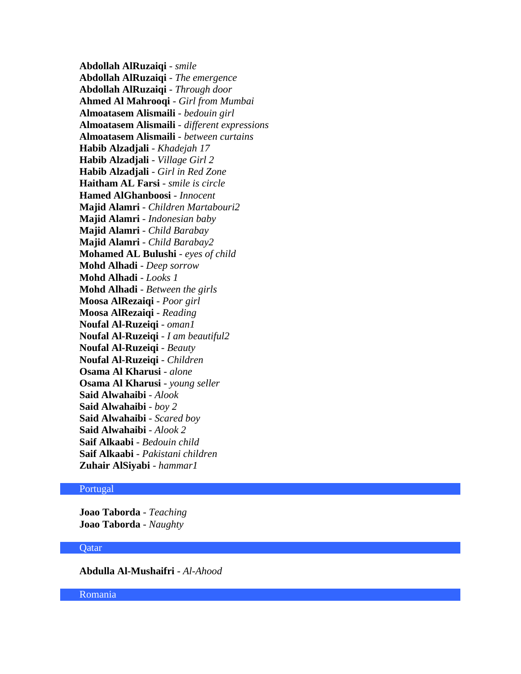**Abdollah AlRuzaiqi** - *smile* **Abdollah AlRuzaiqi** - *The emergence* **Abdollah AlRuzaiqi** - *Through door* **Ahmed Al Mahrooqi** - *Girl from Mumbai* **Almoatasem Alismaili** - *bedouin girl* **Almoatasem Alismaili** - *different expressions* **Almoatasem Alismaili** - *between curtains* **Habib Alzadjali** - *Khadejah 17* **Habib Alzadjali** - *Village Girl 2* **Habib Alzadjali** - *Girl in Red Zone* **Haitham AL Farsi** - *smile is circle* **Hamed AlGhanboosi** - *Innocent* **Majid Alamri** - *Children Martabouri2* **Majid Alamri** - *Indonesian baby* **Majid Alamri** - *Child Barabay* **Majid Alamri** - *Child Barabay2* **Mohamed AL Bulushi** - *eyes of child* **Mohd Alhadi** - *Deep sorrow* **Mohd Alhadi** - *Looks 1* **Mohd Alhadi** - *Between the girls* **Moosa AlRezaiqi** - *Poor girl* **Moosa AlRezaiqi** - *Reading* **Noufal Al-Ruzeiqi** - *oman1* **Noufal Al-Ruzeiqi** - *I am beautiful2* **Noufal Al-Ruzeiqi** - *Beauty* **Noufal Al-Ruzeiqi** - *Children* **Osama Al Kharusi** - *alone* **Osama Al Kharusi** - *young seller* **Said Alwahaibi** - *Alook* **Said Alwahaibi** - *boy 2* **Said Alwahaibi** - *Scared boy* **Said Alwahaibi** - *Alook 2* **Saif Alkaabi** - *Bedouin child* **Saif Alkaabi** - *Pakistani children* **Zuhair AlSiyabi** - *hammar1*

## Portugal

**Joao Taborda** - *Teaching* **Joao Taborda** - *Naughty*

#### Qatar

**Abdulla Al-Mushaifri** - *Al-Ahood*

Romania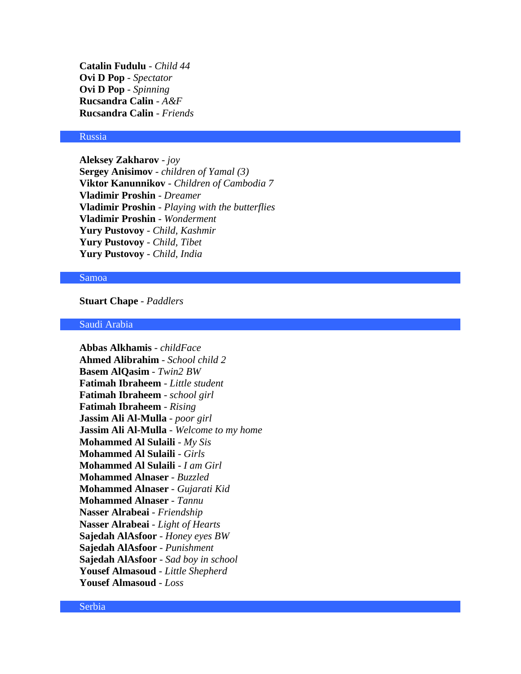**Catalin Fudulu** - *Child 44* **Ovi D Pop** - *Spectator* **Ovi D Pop** - *Spinning* **Rucsandra Calin** - *A&F* **Rucsandra Calin** - *Friends*

#### Russia

**Aleksey Zakharov** - *joy* **Sergey Anisimov** - *children of Yamal (3)* **Viktor Kanunnikov** - *Children of Cambodia 7* **Vladimir Proshin** - *Dreamer* **Vladimir Proshin** - *Playing with the butterflies* **Vladimir Proshin** - *Wonderment* **Yury Pustovoy** - *Child, Kashmir* **Yury Pustovoy** - *Child, Tibet* **Yury Pustovoy** - *Child, India*

#### Samoa

**Stuart Chape** - *Paddlers*

#### Saudi Arabia

**Abbas Alkhamis** - *childFace* **Ahmed Alibrahim** - *School child 2* **Basem AlQasim** - *Twin2 BW* **Fatimah Ibraheem** - *Little student* **Fatimah Ibraheem** - *school girl* **Fatimah Ibraheem** - *Rising* **Jassim Ali Al-Mulla** - *poor girl* **Jassim Ali Al-Mulla** - *Welcome to my home* **Mohammed Al Sulaili** - *My Sis* **Mohammed Al Sulaili** - *Girls* **Mohammed Al Sulaili** - *I am Girl* **Mohammed Alnaser** - *Buzzled* **Mohammed Alnaser** - *Gujarati Kid* **Mohammed Alnaser** - *Tannu* **Nasser Alrabeai** - *Friendship* **Nasser Alrabeai** - *Light of Hearts* **Sajedah AlAsfoor** - *Honey eyes BW* **Sajedah AlAsfoor** - *Punishment* **Sajedah AlAsfoor** - *Sad boy in school* **Yousef Almasoud** - *Little Shepherd* **Yousef Almasoud** - *Loss*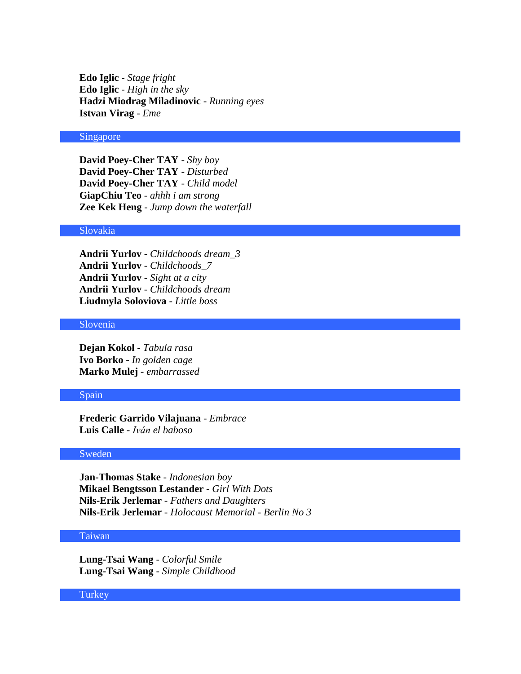**Edo Iglic** - *Stage fright* **Edo Iglic** - *High in the sky* **Hadzi Miodrag Miladinovic** - *Running eyes* **Istvan Virag** - *Eme*

#### Singapore

**David Poey-Cher TAY** - *Shy boy* **David Poey-Cher TAY** - *Disturbed* **David Poey-Cher TAY** - *Child model* **GiapChiu Teo** - *ahhh i am strong* **Zee Kek Heng** - *Jump down the waterfall*

# Slovakia

**Andrii Yurlov** - *Childchoods dream\_3* **Andrii Yurlov** - *Childchoods\_7* **Andrii Yurlov** - *Sight at a city* **Andrii Yurlov** - *Childchoods dream* **Liudmyla Soloviova** - *Little boss*

# Slovenia

**Dejan Kokol** - *Tabula rasa* **Ivo Borko** - *In golden cage* **Marko Mulej** - *embarrassed*

#### Spain

**Frederic Garrido Vilajuana** - *Embrace* **Luis Calle** - *Iván el baboso*

#### Sweden

**Jan-Thomas Stake** - *Indonesian boy* **Mikael Bengtsson Lestander** - *Girl With Dots* **Nils-Erik Jerlemar** - *Fathers and Daughters* **Nils-Erik Jerlemar** - *Holocaust Memorial - Berlin No 3*

## Taiwan

**Lung-Tsai Wang** - *Colorful Smile* **Lung-Tsai Wang** - *Simple Childhood*

**Turkey**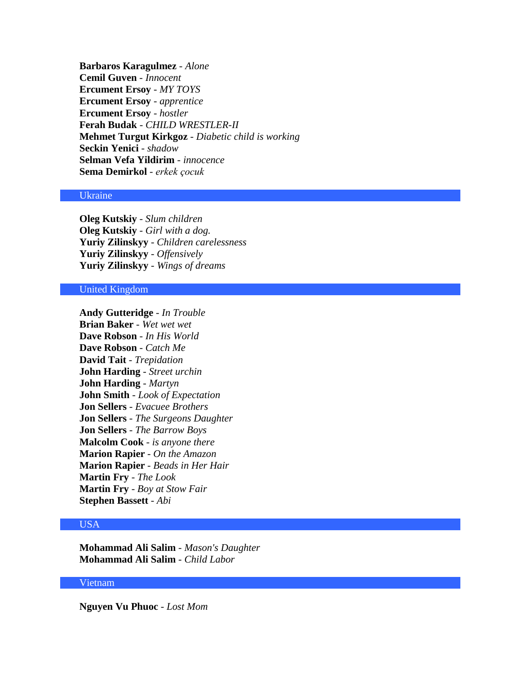**Barbaros Karagulmez** - *Alone* **Cemil Guven** - *Innocent* **Ercument Ersoy** - *MY TOYS* **Ercument Ersoy** - *apprentice* **Ercument Ersoy** - *hostler* **Ferah Budak** - *CHILD WRESTLER-II* **Mehmet Turgut Kirkgoz** - *Diabetic child is working* **Seckin Yenici** - *shadow* **Selman Vefa Yildirim** - *innocence* **Sema Demirkol** - *erkek çocuk*

#### Ukraine

**Oleg Kutskiy** - *Slum children* **Oleg Kutskiy** - *Girl with a dog.* **Yuriy Zilinskyy** - *Children carelessness* **Yuriy Zilinskyy** - *Offensively* **Yuriy Zilinskyy** - *Wings of dreams*

# United Kingdom

**Andy Gutteridge** - *In Trouble* **Brian Baker** - *Wet wet wet* **Dave Robson** - *In His World* **Dave Robson** - *Catch Me* **David Tait** - *Trepidation* **John Harding** - *Street urchin* **John Harding** - *Martyn* **John Smith** - *Look of Expectation* **Jon Sellers** - *Evacuee Brothers* **Jon Sellers** - *The Surgeons Daughter* **Jon Sellers** - *The Barrow Boys* **Malcolm Cook** - *is anyone there* **Marion Rapier** - *On the Amazon* **Marion Rapier** - *Beads in Her Hair* **Martin Fry** - *The Look* **Martin Fry** - *Boy at Stow Fair* **Stephen Bassett** - *Abi*

# USA

**Mohammad Ali Salim** - *Mason's Daughter* **Mohammad Ali Salim** - *Child Labor*

# Vietnam

**Nguyen Vu Phuoc** - *Lost Mom*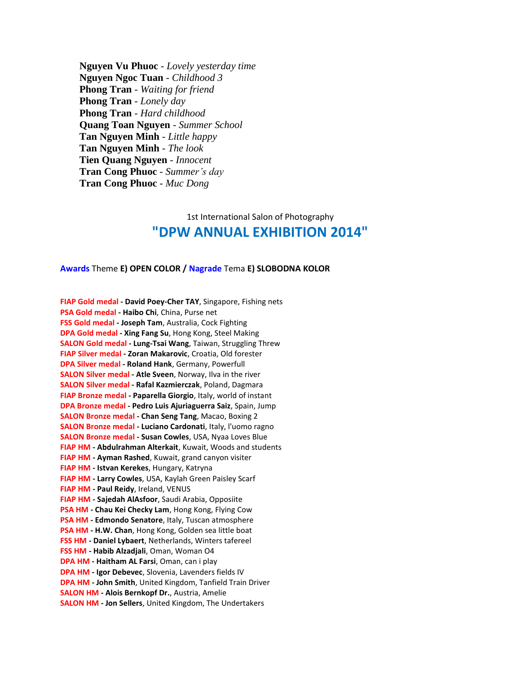**Nguyen Vu Phuoc** - *Lovely yesterday time* **Nguyen Ngoc Tuan** - *Childhood 3* **Phong Tran** - *Waiting for friend* **Phong Tran** - *Lonely day* **Phong Tran** - *Hard childhood* **Quang Toan Nguyen** - *Summer School* **Tan Nguyen Minh** - *Little happy* **Tan Nguyen Minh** - *The look* **Tien Quang Nguyen** - *Innocent* **Tran Cong Phuoc** - *Summer's day* **Tran Cong Phuoc** - *Muc Dong*

# 1st International Salon of Photography **"DPW ANNUAL EXHIBITION 2014"**

#### **Awards** Theme **E) OPEN COLOR / Nagrade** Tema **E) SLOBODNA KOLOR**

**FIAP Gold medal - David Poey-Cher TAY**, Singapore, Fishing nets **PSA Gold medal - Haibo Chi**, China, Purse net **FSS Gold medal - Joseph Tam**, Australia, Cock Fighting **DPA Gold medal - Xing Fang Su**, Hong Kong, Steel Making **SALON Gold medal - Lung-Tsai Wang**, Taiwan, Struggling Threw **FIAP Silver medal - Zoran Makarovic**, Croatia, Old forester **DPA Silver medal - Roland Hank**, Germany, Powerfull **SALON Silver medal - Atle Sveen**, Norway, Ilva in the river **SALON Silver medal - Rafal Kazmierczak**, Poland, Dagmara **FIAP Bronze medal - Paparella Giorgio**, Italy, world of instant **DPA Bronze medal - Pedro Luis Ajuriaguerra Saiz**, Spain, Jump **SALON Bronze medal - Chan Seng Tang**, Macao, Boxing 2 **SALON Bronze medal - Luciano Cardonati**, Italy, l'uomo ragno **SALON Bronze medal - Susan Cowles**, USA, Nyaa Loves Blue **FIAP HM - Abdulrahman Alterkait**, Kuwait, Woods and students **FIAP HM - Ayman Rashed**, Kuwait, grand canyon visiter **FIAP HM - Istvan Kerekes**, Hungary, Katryna **FIAP HM - Larry Cowles**, USA, Kaylah Green Paisley Scarf **FIAP HM - Paul Reidy**, Ireland, VENUS **FIAP HM - Sajedah AlAsfoor**, Saudi Arabia, Opposiite **PSA HM - Chau Kei Checky Lam**, Hong Kong, Flying Cow **PSA HM - Edmondo Senatore**, Italy, Tuscan atmosphere **PSA HM - H.W. Chan**, Hong Kong, Golden sea little boat **FSS HM - Daniel Lybaert**, Netherlands, Winters tafereel **FSS HM - Habib Alzadjali**, Oman, Woman O4 **DPA HM - Haitham AL Farsi**, Oman, can i play **DPA HM - Igor Debevec**, Slovenia, Lavenders fields IV **DPA HM - John Smith**, United Kingdom, Tanfield Train Driver **SALON HM - Alois Bernkopf Dr.**, Austria, Amelie **SALON HM - Jon Sellers**, United Kingdom, The Undertakers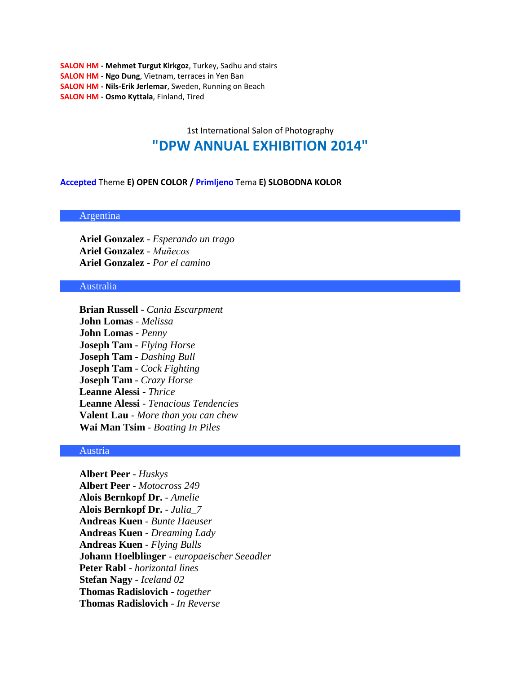**SALON HM - Mehmet Turgut Kirkgoz**, Turkey, Sadhu and stairs **SALON HM - Ngo Dung**, Vietnam, terraces in Yen Ban **SALON HM - Nils-Erik Jerlemar**, Sweden, Running on Beach **SALON HM - Osmo Kyttala**, Finland, Tired

# 1st International Salon of Photography **"DPW ANNUAL EXHIBITION 2014"**

#### **Accepted** Theme **E) OPEN COLOR / Primljeno** Tema **E) SLOBODNA KOLOR**

Argentina

**Ariel Gonzalez** - *Esperando un trago* **Ariel Gonzalez** - *Muñecos* **Ariel Gonzalez** - *Por el camino*

#### Australia

**Brian Russell** - *Cania Escarpment* **John Lomas** - *Melissa* **John Lomas** - *Penny* **Joseph Tam** - *Flying Horse* **Joseph Tam** - *Dashing Bull* **Joseph Tam** - *Cock Fighting* **Joseph Tam** - *Crazy Horse* **Leanne Alessi** - *Thrice* **Leanne Alessi** - *Tenacious Tendencies* **Valent Lau** - *More than you can chew* **Wai Man Tsim** - *Boating In Piles*

#### Austria

**Albert Peer** - *Huskys* **Albert Peer** - *Motocross 249* **Alois Bernkopf Dr.** - *Amelie* **Alois Bernkopf Dr.** - *Julia\_7* **Andreas Kuen** - *Bunte Haeuser* **Andreas Kuen** - *Dreaming Lady* **Andreas Kuen** - *Flying Bulls* **Johann Hoelblinger** - *europaeischer Seeadler* **Peter Rabl** - *horizontal lines* **Stefan Nagy** - *Iceland 02* **Thomas Radislovich** - *together* **Thomas Radislovich** - *In Reverse*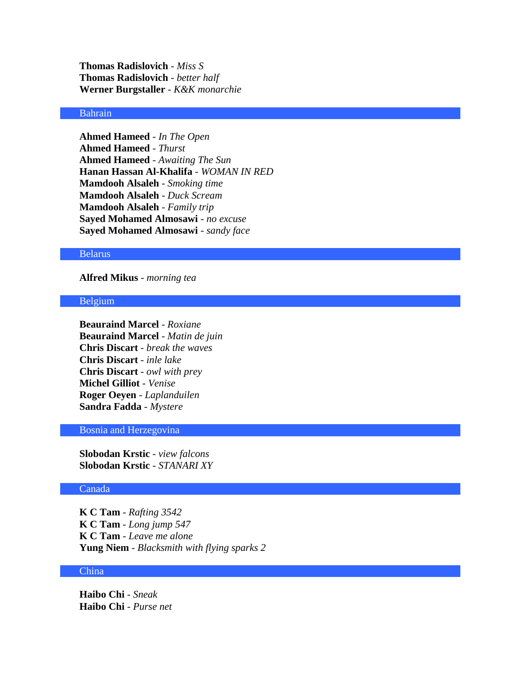**Thomas Radislovich** - *Miss S* **Thomas Radislovich** - *better half* **Werner Burgstaller** - *K&K monarchie*

# Bahrain

**Ahmed Hameed** - *In The Open* **Ahmed Hameed** - *Thurst* **Ahmed Hameed** - *Awaiting The Sun* **Hanan Hassan Al-Khalifa** - *WOMAN IN RED* **Mamdooh Alsaleh** - *Smoking time* **Mamdooh Alsaleh** - *Duck Scream* **Mamdooh Alsaleh** - *Family trip* **Sayed Mohamed Almosawi** - *no excuse* **Sayed Mohamed Almosawi** - *sandy face*

#### Belarus

# **Alfred Mikus** - *morning tea*

### Belgium

**Beauraind Marcel** - *Roxiane* **Beauraind Marcel** - *Matin de juin* **Chris Discart** - *break the waves* **Chris Discart** - *inle lake* **Chris Discart** - *owl with prey* **Michel Gilliot** - *Venise* **Roger Oeyen** - *Laplanduilen* **Sandra Fadda** - *Mystere*

## Bosnia and Herzegovina

**Slobodan Krstic** - *view falcons* **Slobodan Krstic** - *STANARI XY*

#### Canada

**K C Tam** - *Rafting 3542* **K C Tam** - *Long jump 547* **K C Tam** - *Leave me alone* **Yung Niem** - *Blacksmith with flying sparks 2*

# China

**Haibo Chi** - *Sneak* **Haibo Chi** - *Purse net*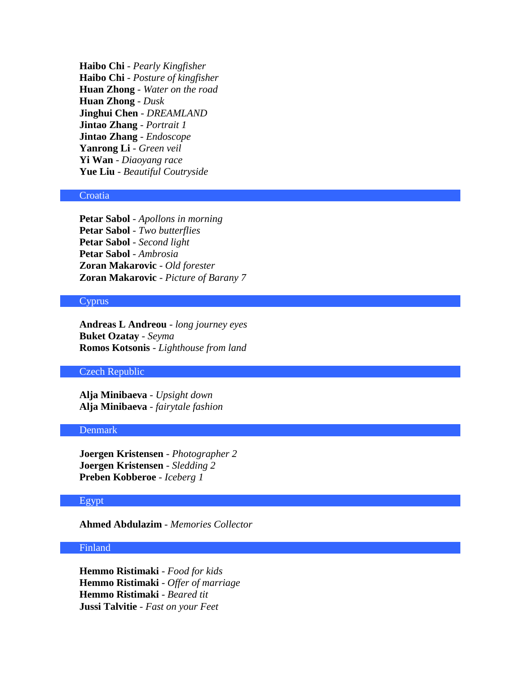**Haibo Chi** - *Pearly Kingfisher* **Haibo Chi** - *Posture of kingfisher* **Huan Zhong** - *Water on the road* **Huan Zhong** - *Dusk* **Jinghui Chen** - *DREAMLAND* **Jintao Zhang** - *Portrait 1* **Jintao Zhang** - *Endoscope* **Yanrong Li** - *Green veil* **Yi Wan** - *Diaoyang race* **Yue Liu** - *Beautiful Coutryside*

#### **Croatia**

**Petar Sabol** - *Apollons in morning* **Petar Sabol** - *Two butterflies* **Petar Sabol** - *Second light* **Petar Sabol** - *Ambrosia* **Zoran Makarovic** - *Old forester* **Zoran Makarovic** - *Picture of Barany 7*

#### Cyprus

**Andreas L Andreou** - *long journey eyes* **Buket Ozatay** - *Seyma* **Romos Kotsonis** - *Lighthouse from land*

#### Czech Republic

**Alja Minibaeva** - *Upsight down* **Alja Minibaeva** - *fairytale fashion*

# Denmark

**Joergen Kristensen** - *Photographer 2* **Joergen Kristensen** - *Sledding 2* **Preben Kobberoe** - *Iceberg 1*

## Egypt

**Ahmed Abdulazim** - *Memories Collector*

# Finland

**Hemmo Ristimaki** - *Food for kids* **Hemmo Ristimaki** - *Offer of marriage* **Hemmo Ristimaki** - *Beared tit* **Jussi Talvitie** - *Fast on your Feet*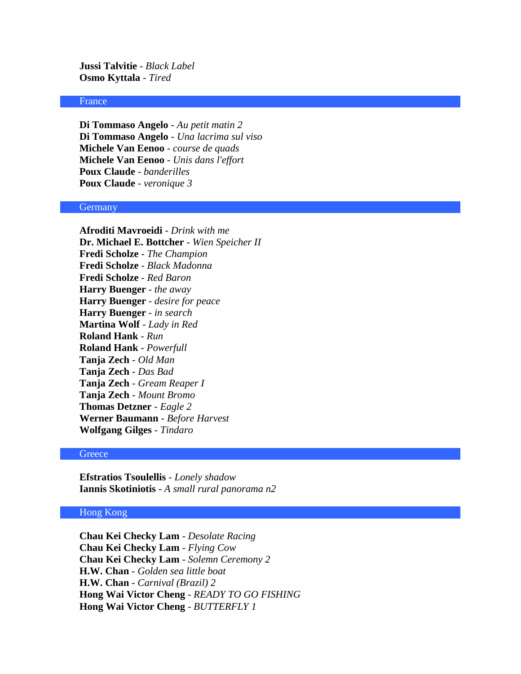**Jussi Talvitie** - *Black Label* **Osmo Kyttala** - *Tired*

#### France

**Di Tommaso Angelo** - *Au petit matin 2* **Di Tommaso Angelo** - *Una lacrima sul viso* **Michele Van Eenoo** - *course de quads* **Michele Van Eenoo** - *Unis dans l'effort* **Poux Claude** - *banderilles* **Poux Claude** - *veronique 3*

#### **Germany**

**Afroditi Mavroeidi** - *Drink with me* **Dr. Michael E. Bottcher** - *Wien Speicher II* **Fredi Scholze** - *The Champion* **Fredi Scholze** - *Black Madonna* **Fredi Scholze** - *Red Baron* **Harry Buenger** - *the away* **Harry Buenger** - *desire for peace* **Harry Buenger** - *in search* **Martina Wolf** - *Lady in Red* **Roland Hank** - *Run* **Roland Hank** - *Powerfull* **Tanja Zech** - *Old Man* **Tanja Zech** - *Das Bad* **Tanja Zech** - *Gream Reaper I* **Tanja Zech** - *Mount Bromo* **Thomas Detzner** - *Eagle 2* **Werner Baumann** - *Before Harvest* **Wolfgang Gilges** - *Tindaro*

# **Greece**

**Efstratios Tsoulellis** - *Lonely shadow* **Iannis Skotiniotis** - *A small rural panorama n2*

# Hong Kong

**Chau Kei Checky Lam** - *Desolate Racing* **Chau Kei Checky Lam** - *Flying Cow* **Chau Kei Checky Lam** - *Solemn Ceremony 2* **H.W. Chan** - *Golden sea little boat* **H.W. Chan** - *Carnival (Brazil) 2* **Hong Wai Victor Cheng** - *READY TO GO FISHING* **Hong Wai Victor Cheng** - *BUTTERFLY 1*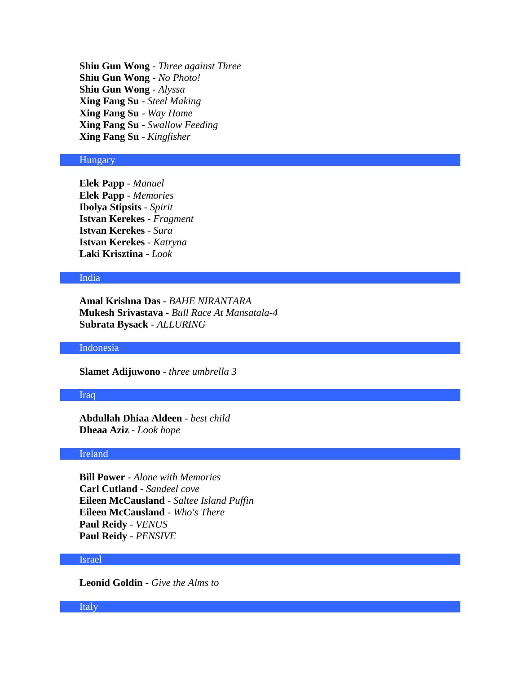**Shiu Gun Wong** - *Three against Three* **Shiu Gun Wong** - *No Photo!* **Shiu Gun Wong** - *Alyssa* **Xing Fang Su** - *Steel Making* **Xing Fang Su** - *Way Home* **Xing Fang Su** - *Swallow Feeding* **Xing Fang Su** - *Kingfisher*

## **Hungary**

**Elek Papp** - *Manuel* **Elek Papp** - *Memories* **Ibolya Stipsits** - *Spirit* **Istvan Kerekes** - *Fragment* **Istvan Kerekes** - *Sura* **Istvan Kerekes** - *Katryna* **Laki Krisztina** - *Look*

# India

**Amal Krishna Das** - *BAHE NIRANTARA* **Mukesh Srivastava** - *Bull Race At Mansatala-4* **Subrata Bysack** - *ALLURING*

### Indonesia

**Slamet Adijuwono** - *three umbrella 3*

#### Iraq

**Abdullah Dhiaa Aldeen** - *best child* **Dheaa Aziz** - *Look hope*

### Ireland

**Bill Power** - *Alone with Memories* **Carl Cutland** - *Sandeel cove* **Eileen McCausland** - *Saltee Island Puffin* **Eileen McCausland** - *Who's There* **Paul Reidy** - *VENUS* **Paul Reidy** - *PENSIVE*

#### Israel

**Leonid Goldin** - *Give the Alms to*

#### Italy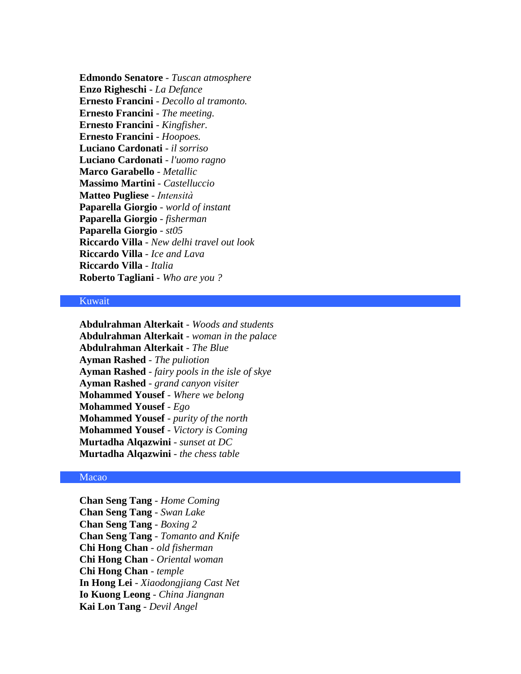**Edmondo Senatore** - *Tuscan atmosphere* **Enzo Righeschi** - *La Defance* **Ernesto Francini** - *Decollo al tramonto.* **Ernesto Francini** - *The meeting.* **Ernesto Francini** - *Kingfisher.* **Ernesto Francini** - *Hoopoes.* **Luciano Cardonati** - *il sorriso* **Luciano Cardonati** - *l'uomo ragno* **Marco Garabello** - *Metallic* **Massimo Martini** - *Castelluccio* **Matteo Pugliese** - *Intensità* **Paparella Giorgio** - *world of instant* **Paparella Giorgio** - *fisherman* **Paparella Giorgio** - *st05* **Riccardo Villa** - *New delhi travel out look* **Riccardo Villa** - *Ice and Lava* **Riccardo Villa** - *Italia* **Roberto Tagliani** - *Who are you ?*

# Kuwait

**Abdulrahman Alterkait** - *Woods and students* **Abdulrahman Alterkait** - *woman in the palace* **Abdulrahman Alterkait** - *The Blue* **Ayman Rashed** - *The puliotion* **Ayman Rashed** - *fairy pools in the isle of skye* **Ayman Rashed** - *grand canyon visiter* **Mohammed Yousef** - *Where we belong* **Mohammed Yousef** - *Ego* **Mohammed Yousef** - *purity of the north* **Mohammed Yousef** - *Victory is Coming* **Murtadha Alqazwini** - *sunset at DC* **Murtadha Alqazwini** - *the chess table*

# Macao

**Chan Seng Tang** - *Home Coming* **Chan Seng Tang** - *Swan Lake* **Chan Seng Tang** - *Boxing 2* **Chan Seng Tang** - *Tomanto and Knife* **Chi Hong Chan** - *old fisherman* **Chi Hong Chan** - *Oriental woman* **Chi Hong Chan** - *temple* **In Hong Lei** - *Xiaodongjiang Cast Net* **Io Kuong Leong** - *China Jiangnan* **Kai Lon Tang** - *Devil Angel*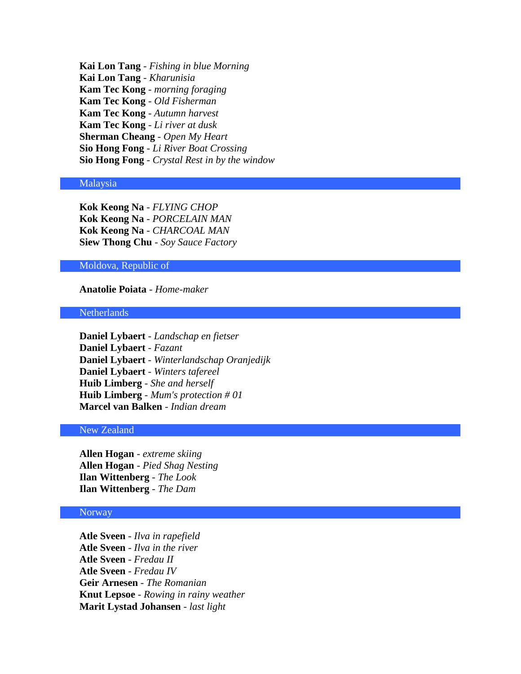**Kai Lon Tang** - *Fishing in blue Morning* **Kai Lon Tang** - *Kharunisia* **Kam Tec Kong** - *morning foraging* **Kam Tec Kong** - *Old Fisherman* **Kam Tec Kong** - *Autumn harvest* **Kam Tec Kong** - *Li river at dusk* **Sherman Cheang** - *Open My Heart* **Sio Hong Fong** - *Li River Boat Crossing* **Sio Hong Fong** - *Crystal Rest in by the window*

# Malaysia

**Kok Keong Na** - *FLYING CHOP* **Kok Keong Na** - *PORCELAIN MAN* **Kok Keong Na** - *CHARCOAL MAN* **Siew Thong Chu** - *Soy Sauce Factory*

## Moldova, Republic of

#### **Anatolie Poiata** - *Home-maker*

#### **Netherlands**

**Daniel Lybaert** - *Landschap en fietser* **Daniel Lybaert** - *Fazant* **Daniel Lybaert** - *Winterlandschap Oranjedijk* **Daniel Lybaert** - *Winters tafereel* **Huib Limberg** - *She and herself* **Huib Limberg** - *Mum's protection # 01* **Marcel van Balken** - *Indian dream*

# New Zealand

**Allen Hogan** - *extreme skiing* **Allen Hogan** - *Pied Shag Nesting* **Ilan Wittenberg** - *The Look* **Ilan Wittenberg** - *The Dam*

## Norway

**Atle Sveen** - *Ilva in rapefield* **Atle Sveen** - *Ilva in the river* **Atle Sveen** - *Fredau II* **Atle Sveen** - *Fredau IV* **Geir Arnesen** - *The Romanian* **Knut Lepsoe** - *Rowing in rainy weather* **Marit Lystad Johansen** - *last light*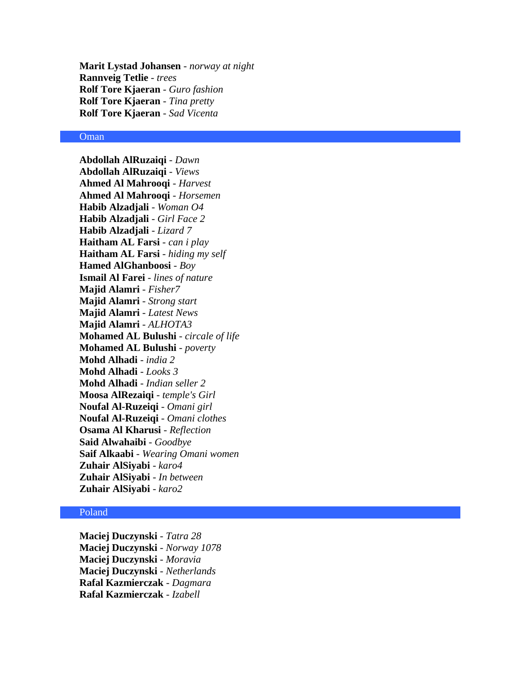**Marit Lystad Johansen** - *norway at night* **Rannveig Tetlie** - *trees* **Rolf Tore Kjaeran** - *Guro fashion* **Rolf Tore Kjaeran** - *Tina pretty* **Rolf Tore Kjaeran** - *Sad Vicenta*

## Oman

**Abdollah AlRuzaiqi** - *Dawn* **Abdollah AlRuzaiqi** - *Views* **Ahmed Al Mahrooqi** - *Harvest* **Ahmed Al Mahrooqi** - *Horsemen* **Habib Alzadjali** - *Woman O4* **Habib Alzadjali** - *Girl Face 2* **Habib Alzadjali** - *Lizard 7* **Haitham AL Farsi** - *can i play* **Haitham AL Farsi** - *hiding my self* **Hamed AlGhanboosi** - *Boy* **Ismail Al Farei** - *lines of nature* **Majid Alamri** - *Fisher7* **Majid Alamri** - *Strong start* **Majid Alamri** - *Latest News* **Majid Alamri** - *ALHOTA3* **Mohamed AL Bulushi** - *circale of life* **Mohamed AL Bulushi** - *poverty* **Mohd Alhadi** - *india 2* **Mohd Alhadi** - *Looks 3* **Mohd Alhadi** - *Indian seller 2* **Moosa AlRezaiqi** - *temple's Girl* **Noufal Al-Ruzeiqi** - *Omani girl* **Noufal Al-Ruzeiqi** - *Omani clothes* **Osama Al Kharusi** - *Reflection* **Said Alwahaibi** - *Goodbye* **Saif Alkaabi** - *Wearing Omani women* **Zuhair AlSiyabi** - *karo4* **Zuhair AlSiyabi** - *In between* **Zuhair AlSiyabi** - *karo2*

## Poland

**Maciej Duczynski** - *Tatra 28* **Maciej Duczynski** - *Norway 1078* **Maciej Duczynski** - *Moravia* **Maciej Duczynski** - *Netherlands* **Rafal Kazmierczak** - *Dagmara* **Rafal Kazmierczak** - *Izabell*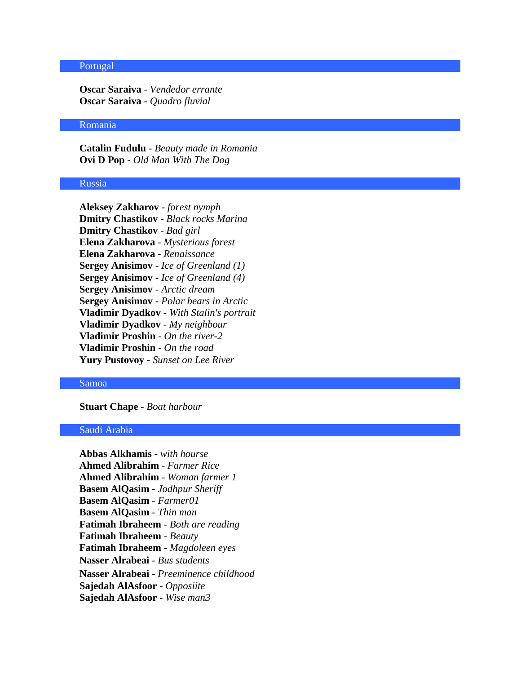# Portugal

**Oscar Saraiva** - *Vendedor errante* **Oscar Saraiva** - *Quadro fluvial*

#### Romania

**Catalin Fudulu** - *Beauty made in Romania* **Ovi D Pop** - *Old Man With The Dog*

# Russia

**Aleksey Zakharov** - *forest nymph* **Dmitry Chastikov** - *Black rocks Marina* **Dmitry Chastikov** - *Bad girl* **Elena Zakharova** - *Mysterious forest* **Elena Zakharova** - *Renaissance* **Sergey Anisimov** - *Ice of Greenland (1)* **Sergey Anisimov** - *Ice of Greenland (4)* **Sergey Anisimov** - *Arctic dream* **Sergey Anisimov** - *Polar bears in Arctic* **Vladimir Dyadkov** - *With Stalin's portrait* **Vladimir Dyadkov** - *My neighbour* **Vladimir Proshin** - *On the river-2* **Vladimir Proshin** - *On the road* **Yury Pustovoy** - *Sunset on Lee River*

#### Samoa

**Stuart Chape** - *Boat harbour*

## Saudi Arabia

**Abbas Alkhamis** - *with hourse* **Ahmed Alibrahim** - *Farmer Rice* **Ahmed Alibrahim** - *Woman farmer 1* **Basem AlQasim** - *Jodhpur Sheriff* **Basem AlQasim** - *Farmer01* **Basem AlQasim** - *Thin man* **Fatimah Ibraheem** - *Both are reading* **Fatimah Ibraheem** - *Beauty* **Fatimah Ibraheem** - *Magdoleen eyes* **Nasser Alrabeai** - *Bus students*  **Nasser Alrabeai** - *Preeminence childhood*  **Sajedah AlAsfoor** - *Opposiite* **Sajedah AlAsfoor** - *Wise man3*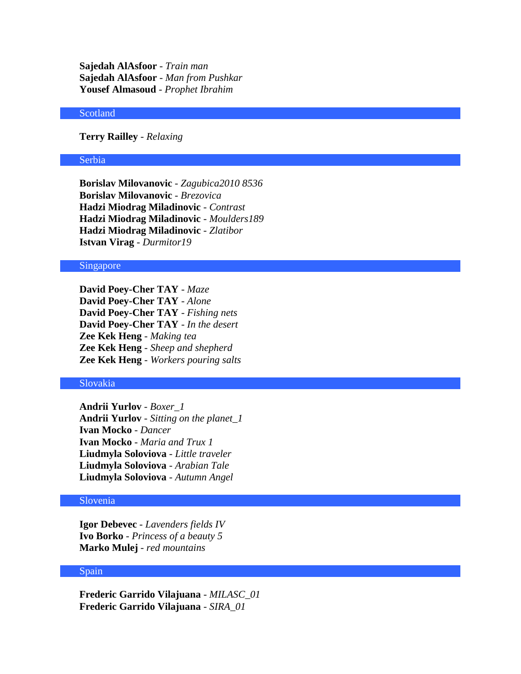**Sajedah AlAsfoor** - *Train man* **Sajedah AlAsfoor** - *Man from Pushkar* **Yousef Almasoud** - *Prophet Ibrahim*

## Scotland

# **Terry Railley** - *Relaxing*

#### Serbia

**Borislav Milovanovic** - *Zagubica2010 8536* **Borislav Milovanovic** - *Brezovica* **Hadzi Miodrag Miladinovic** - *Contrast* **Hadzi Miodrag Miladinovic** - *Moulders189* **Hadzi Miodrag Miladinovic** - *Zlatibor* **Istvan Virag** - *Durmitor19*

## Singapore

**David Poey-Cher TAY** - *Maze* **David Poey-Cher TAY** - *Alone* **David Poey-Cher TAY** - *Fishing nets* **David Poey-Cher TAY** - *In the desert* **Zee Kek Heng** - *Making tea* **Zee Kek Heng** - *Sheep and shepherd* **Zee Kek Heng** - *Workers pouring salts*

#### Slovakia

**Andrii Yurlov** - *Boxer\_1* **Andrii Yurlov** - *Sitting on the planet\_1* **Ivan Mocko** - *Dancer* **Ivan Mocko** - *Maria and Trux 1* **Liudmyla Soloviova** - *Little traveler* **Liudmyla Soloviova** - *Arabian Tale* **Liudmyla Soloviova** - *Autumn Angel*

# Slovenia

**Igor Debevec** - *Lavenders fields IV* **Ivo Borko** - *Princess of a beauty 5* **Marko Mulej** - *red mountains*

#### Spain

**Frederic Garrido Vilajuana** - *MILASC\_01* **Frederic Garrido Vilajuana** - *SIRA\_01*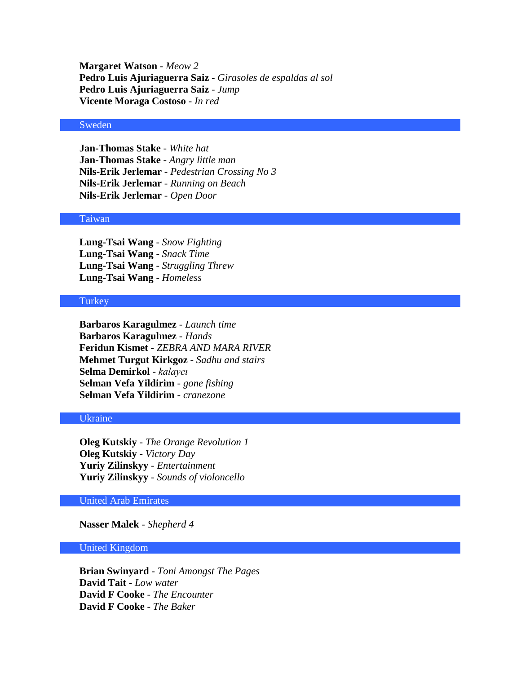**Margaret Watson** - *Meow 2* **Pedro Luis Ajuriaguerra Saiz** - *Girasoles de espaldas al sol* **Pedro Luis Ajuriaguerra Saiz** - *Jump* **Vicente Moraga Costoso** - *In red*

#### Sweden

**Jan-Thomas Stake** - *White hat* **Jan-Thomas Stake** - *Angry little man* **Nils-Erik Jerlemar** - *Pedestrian Crossing No 3* **Nils-Erik Jerlemar** - *Running on Beach* **Nils-Erik Jerlemar** - *Open Door*

## Taiwan

**Lung-Tsai Wang** - *Snow Fighting* **Lung-Tsai Wang** - *Snack Time* **Lung-Tsai Wang** - *Struggling Threw* **Lung-Tsai Wang** - *Homeless*

# **Turkey**

**Barbaros Karagulmez** - *Launch time* **Barbaros Karagulmez** - *Hands* **Feridun Kismet** - *ZEBRA AND MARA RIVER* **Mehmet Turgut Kirkgoz** - *Sadhu and stairs* **Selma Demirkol** - *kalaycı* **Selman Vefa Yildirim** - *gone fishing* **Selman Vefa Yildirim** - *cranezone*

## Ukraine

**Oleg Kutskiy** - *The Orange Revolution 1* **Oleg Kutskiy** - *Victory Day* **Yuriy Zilinskyy** - *Entertainment* **Yuriy Zilinskyy** - *Sounds of violoncello*

# United Arab Emirates

**Nasser Malek** - *Shepherd 4*

# United Kingdom

**Brian Swinyard** - *Toni Amongst The Pages* **David Tait** - *Low water* **David F Cooke** - *The Encounter* **David F Cooke** - *The Baker*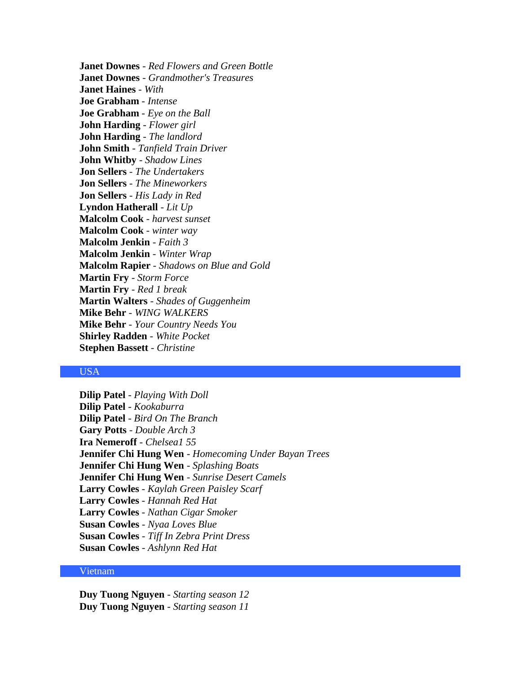**Janet Downes** - *Red Flowers and Green Bottle* **Janet Downes** - *Grandmother's Treasures* **Janet Haines** - *With* **Joe Grabham** - *Intense* **Joe Grabham** - *Eye on the Ball* **John Harding** - *Flower girl* **John Harding** - *The landlord* **John Smith** - *Tanfield Train Driver* **John Whitby** - *Shadow Lines* **Jon Sellers** - *The Undertakers* **Jon Sellers** - *The Mineworkers* **Jon Sellers** - *His Lady in Red* **Lyndon Hatherall** - *Lit Up* **Malcolm Cook** - *harvest sunset* **Malcolm Cook** - *winter way* **Malcolm Jenkin** - *Faith 3* **Malcolm Jenkin** - *Winter Wrap* **Malcolm Rapier** - *Shadows on Blue and Gold* **Martin Fry** - *Storm Force* **Martin Fry** - *Red 1 break* **Martin Walters** - *Shades of Guggenheim* **Mike Behr** - *WING WALKERS* **Mike Behr** - *Your Country Needs You* **Shirley Radden** - *White Pocket* **Stephen Bassett** - *Christine*

# USA

**Dilip Patel** - *Playing With Doll* **Dilip Patel** - *Kookaburra* **Dilip Patel** - *Bird On The Branch* **Gary Potts** - *Double Arch 3* **Ira Nemeroff** - *Chelsea1 55* **Jennifer Chi Hung Wen** - *Homecoming Under Bayan Trees* **Jennifer Chi Hung Wen** - *Splashing Boats* **Jennifer Chi Hung Wen** - *Sunrise Desert Camels* **Larry Cowles** - *Kaylah Green Paisley Scarf* **Larry Cowles** - *Hannah Red Hat* **Larry Cowles** - *Nathan Cigar Smoker* **Susan Cowles** - *Nyaa Loves Blue* **Susan Cowles** - *Tiff In Zebra Print Dress* **Susan Cowles** - *Ashlynn Red Hat*

# Vietnam

**Duy Tuong Nguyen** - *Starting season 12* **Duy Tuong Nguyen** - *Starting season 11*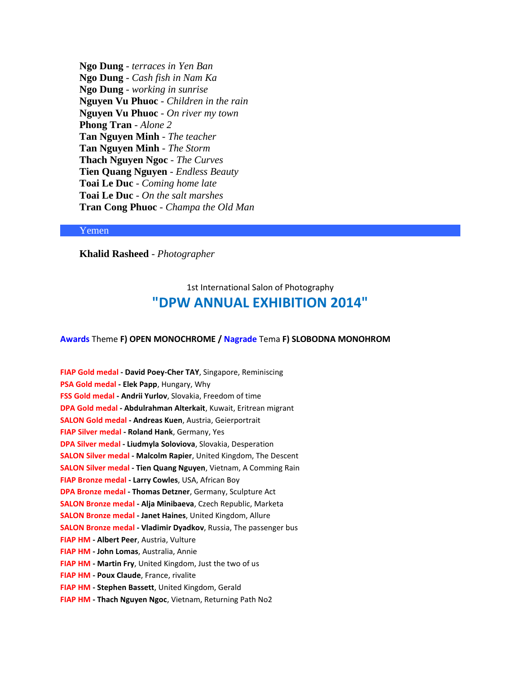**Ngo Dung** - *terraces in Yen Ban* **Ngo Dung** - *Cash fish in Nam Ka* **Ngo Dung** - *working in sunrise* **Nguyen Vu Phuoc** - *Children in the rain* **Nguyen Vu Phuoc** - *On river my town* **Phong Tran** - *Alone 2* **Tan Nguyen Minh** - *The teacher* **Tan Nguyen Minh** - *The Storm* **Thach Nguyen Ngoc** - *The Curves* **Tien Quang Nguyen** - *Endless Beauty* **Toai Le Duc** - *Coming home late* **Toai Le Duc** - *On the salt marshes* **Tran Cong Phuoc** - *Champa the Old Man*

## Yemen

**Khalid Rasheed** - *Photographer*

# 1st International Salon of Photography **"DPW ANNUAL EXHIBITION 2014"**

**Awards** Theme **F) OPEN MONOCHROME / Nagrade** Tema **F) SLOBODNA MONOHROM**

**FIAP Gold medal - David Poey-Cher TAY**, Singapore, Reminiscing **PSA Gold medal - Elek Papp**, Hungary, Why **FSS Gold medal - Andrii Yurlov**, Slovakia, Freedom of time **DPA Gold medal - Abdulrahman Alterkait**, Kuwait, Eritrean migrant **SALON Gold medal - Andreas Kuen**, Austria, Geierportrait **FIAP Silver medal - Roland Hank**, Germany, Yes **DPA Silver medal - Liudmyla Soloviova**, Slovakia, Desperation **SALON Silver medal - Malcolm Rapier**, United Kingdom, The Descent **SALON Silver medal - Tien Quang Nguyen**, Vietnam, A Comming Rain **FIAP Bronze medal - Larry Cowles**, USA, African Boy **DPA Bronze medal - Thomas Detzner**, Germany, Sculpture Act **SALON Bronze medal - Alja Minibaeva**, Czech Republic, Marketa **SALON Bronze medal - Janet Haines**, United Kingdom, Allure **SALON Bronze medal - Vladimir Dyadkov**, Russia, The passenger bus **FIAP HM - Albert Peer**, Austria, Vulture **FIAP HM - John Lomas**, Australia, Annie **FIAP HM - Martin Fry**, United Kingdom, Just the two of us **FIAP HM - Poux Claude**, France, rivalite **FIAP HM - Stephen Bassett**, United Kingdom, Gerald **FIAP HM - Thach Nguyen Ngoc**, Vietnam, Returning Path No2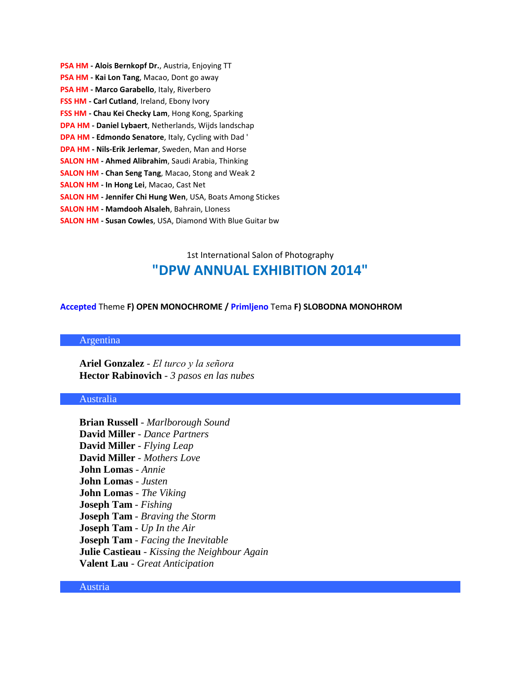| PSA HM - Alois Bernkopf Dr., Austria, Enjoying TT                  |
|--------------------------------------------------------------------|
| PSA HM - Kai Lon Tang, Macao, Dont go away                         |
| PSA HM - Marco Garabello, Italy, Riverbero                         |
| FSS HM - Carl Cutland, Ireland, Ebony Ivory                        |
| FSS HM - Chau Kei Checky Lam, Hong Kong, Sparking                  |
| <b>DPA HM - Daniel Lybaert, Netherlands, Wijds landschap</b>       |
| <b>DPA HM - Edmondo Senatore, Italy, Cycling with Dad '</b>        |
| DPA HM - Nils-Erik Jerlemar, Sweden, Man and Horse                 |
| <b>SALON HM - Ahmed Alibrahim, Saudi Arabia, Thinking</b>          |
| <b>SALON HM - Chan Seng Tang, Macao, Stong and Weak 2</b>          |
| <b>SALON HM - In Hong Lei, Macao, Cast Net</b>                     |
| <b>SALON HM - Jennifer Chi Hung Wen</b> , USA, Boats Among Stickes |
| <b>SALON HM - Mamdooh Alsaleh, Bahrain, Lloness</b>                |
| <b>SALON HM - Susan Cowles, USA, Diamond With Blue Guitar bw</b>   |

# 1st International Salon of Photography **"DPW ANNUAL EXHIBITION 2014"**

## **Accepted** Theme **F) OPEN MONOCHROME / Primljeno** Tema **F) SLOBODNA MONOHROM**

# Argentina

**Ariel Gonzalez** - *El turco y la señora* **Hector Rabinovich** - *3 pasos en las nubes*

# Australia

**Brian Russell** - *Marlborough Sound* **David Miller** - *Dance Partners* **David Miller** - *Flying Leap* **David Miller** - *Mothers Love* **John Lomas** - *Annie* **John Lomas** - *Justen* **John Lomas** - *The Viking* **Joseph Tam** - *Fishing* **Joseph Tam** - *Braving the Storm* **Joseph Tam** - *Up In the Air* **Joseph Tam** - *Facing the Inevitable* **Julie Castieau** - *Kissing the Neighbour Again* **Valent Lau** - *Great Anticipation*

## Austria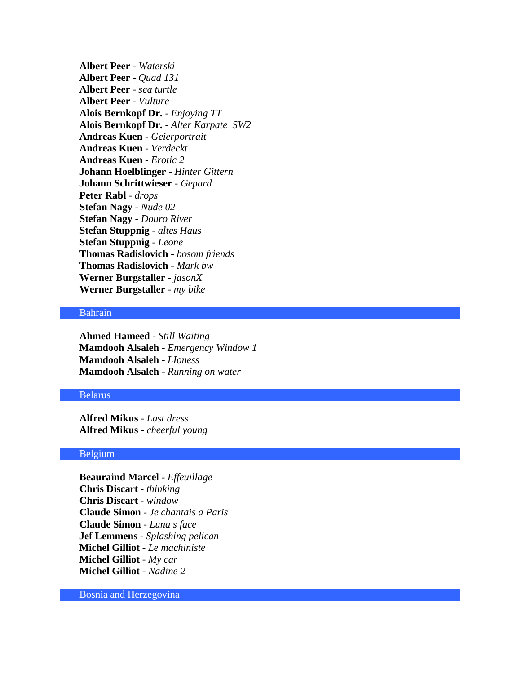**Albert Peer** - *Waterski* **Albert Peer** - *Quad 131* **Albert Peer** - *sea turtle* **Albert Peer** - *Vulture* **Alois Bernkopf Dr.** - *Enjoying TT* **Alois Bernkopf Dr.** - *Alter Karpate\_SW2* **Andreas Kuen** - *Geierportrait* **Andreas Kuen** - *Verdeckt* **Andreas Kuen** - *Erotic 2* **Johann Hoelblinger** - *Hinter Gittern* **Johann Schrittwieser** - *Gepard* **Peter Rabl** - *drops* **Stefan Nagy** - *Nude 02* **Stefan Nagy** - *Douro River* **Stefan Stuppnig** - *altes Haus* **Stefan Stuppnig** - *Leone* **Thomas Radislovich** - *bosom friends* **Thomas Radislovich** - *Mark bw* **Werner Burgstaller** - *jasonX* **Werner Burgstaller** - *my bike*

# Bahrain

**Ahmed Hameed** - *Still Waiting* **Mamdooh Alsaleh** - *Emergency Window 1* **Mamdooh Alsaleh** - *LIoness* **Mamdooh Alsaleh** - *Running on water*

# Belarus

**Alfred Mikus** - *Last dress* **Alfred Mikus** - *cheerful young*

# Belgium

**Beauraind Marcel** - *Effeuillage* **Chris Discart** - *thinking* **Chris Discart** - *window* **Claude Simon** - *Je chantais a Paris* **Claude Simon** - *Luna s face* **Jef Lemmens** - *Splashing pelican* **Michel Gilliot** - *Le machiniste* **Michel Gilliot** - *My car* **Michel Gilliot** - *Nadine 2*

Bosnia and Herzegovina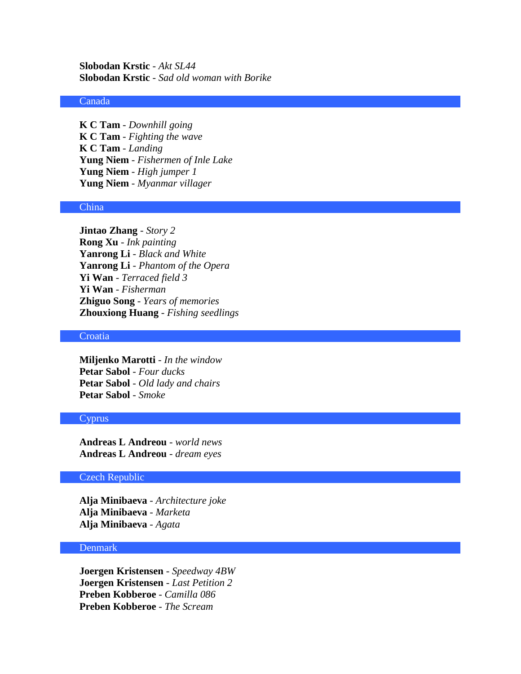**Slobodan Krstic** - *Akt SL44* **Slobodan Krstic** - *Sad old woman with Borike*

#### Canada

**K C Tam** - *Downhill going* **K C Tam** - *Fighting the wave* **K C Tam** - *Landing* **Yung Niem** - *Fishermen of Inle Lake* **Yung Niem** - *High jumper 1* **Yung Niem** - *Myanmar villager*

## China

**Jintao Zhang** - *Story 2* **Rong Xu** - *Ink painting* **Yanrong Li** - *Black and White* **Yanrong Li** - *Phantom of the Opera* **Yi Wan** - *Terraced field 3* **Yi Wan** - *Fisherman* **Zhiguo Song** - *Years of memories* **Zhouxiong Huang** - *Fishing seedlings*

#### **Croatia**

**Miljenko Marotti** - *In the window* **Petar Sabol** - *Four ducks* **Petar Sabol** - *Old lady and chairs* **Petar Sabol** - *Smoke*

## Cyprus

**Andreas L Andreou** - *world news* **Andreas L Andreou** - *dream eyes*

# Czech Republic

**Alja Minibaeva** - *Architecture joke* **Alja Minibaeva** - *Marketa* **Alja Minibaeva** - *Agata*

# **Denmark**

**Joergen Kristensen** - *Speedway 4BW* **Joergen Kristensen** - *Last Petition 2* **Preben Kobberoe** - *Camilla 086* **Preben Kobberoe** - *The Scream*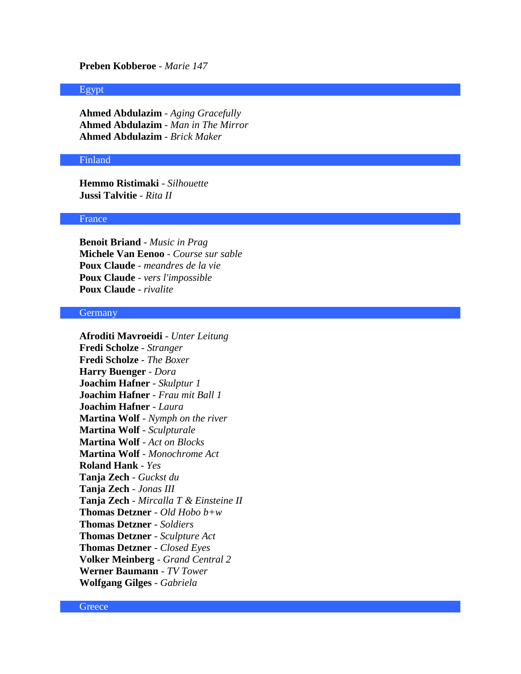# **Preben Kobberoe** - *Marie 147*

#### Egypt

**Ahmed Abdulazim** - *Aging Gracefully* **Ahmed Abdulazim** - *Man in The Mirror* **Ahmed Abdulazim** - *Brick Maker*

#### Finland

**Hemmo Ristimaki** - *Silhouette* **Jussi Talvitie** - *Rita II*

#### France

**Benoit Briand** - *Music in Prag* **Michele Van Eenoo** - *Course sur sable* **Poux Claude** - *meandres de la vie* **Poux Claude** - *vers l'impossible* **Poux Claude** - *rivalite*

#### Germany

**Afroditi Mavroeidi** - *Unter Leitung* **Fredi Scholze** - *Stranger* **Fredi Scholze** - *The Boxer* **Harry Buenger** - *Dora* **Joachim Hafner** - *Skulptur 1* **Joachim Hafner** - *Frau mit Ball 1* **Joachim Hafner** - *Laura* **Martina Wolf** - *Nymph on the river* **Martina Wolf** - *Sculpturale* **Martina Wolf** - *Act on Blocks* **Martina Wolf** - *Monochrome Act* **Roland Hank** - *Yes* **Tanja Zech** - *Guckst du* **Tanja Zech** - *Jonas III* **Tanja Zech** - *Mircalla T & Einsteine II* **Thomas Detzner** - *Old Hobo b+w* **Thomas Detzner** - *Soldiers* **Thomas Detzner** - *Sculpture Act* **Thomas Detzner** - *Closed Eyes* **Volker Meinberg** - *Grand Central 2* **Werner Baumann** - *TV Tower* **Wolfgang Gilges** - *Gabriela*

**Greece**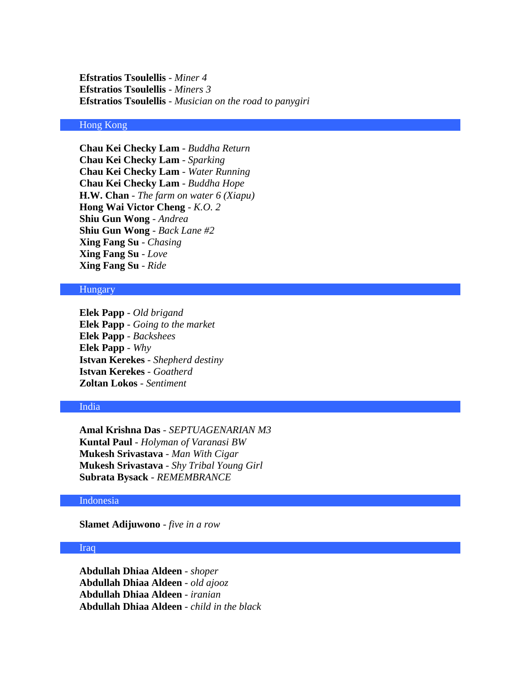**Efstratios Tsoulellis** - *Miner 4* **Efstratios Tsoulellis** - *Miners 3* **Efstratios Tsoulellis** - *Musician on the road to panygiri*

## Hong Kong

**Chau Kei Checky Lam** - *Buddha Return* **Chau Kei Checky Lam** - *Sparking* **Chau Kei Checky Lam** - *Water Running* **Chau Kei Checky Lam** - *Buddha Hope* **H.W. Chan** - *The farm on water 6 (Xiapu)* **Hong Wai Victor Cheng** - *K.O. 2* **Shiu Gun Wong** - *Andrea* **Shiu Gun Wong** - *Back Lane #2* **Xing Fang Su** - *Chasing* **Xing Fang Su** - *Love* **Xing Fang Su** - *Ride*

# Hungary

**Elek Papp** - *Old brigand* **Elek Papp** - *Going to the market* **Elek Papp** - *Backshees* **Elek Papp** - *Why* **Istvan Kerekes** - *Shepherd destiny* **Istvan Kerekes** - *Goatherd* **Zoltan Lokos** - *Sentiment*

## India

**Amal Krishna Das** - *SEPTUAGENARIAN M3* **Kuntal Paul** - *Holyman of Varanasi BW* **Mukesh Srivastava** - *Man With Cigar* **Mukesh Srivastava** - *Shy Tribal Young Girl* **Subrata Bysack** - *REMEMBRANCE*

# Indonesia

**Slamet Adijuwono** - *five in a row*

### Iraq

**Abdullah Dhiaa Aldeen** - *shoper* **Abdullah Dhiaa Aldeen** - *old ajooz* **Abdullah Dhiaa Aldeen** - *iranian* **Abdullah Dhiaa Aldeen** - *child in the black*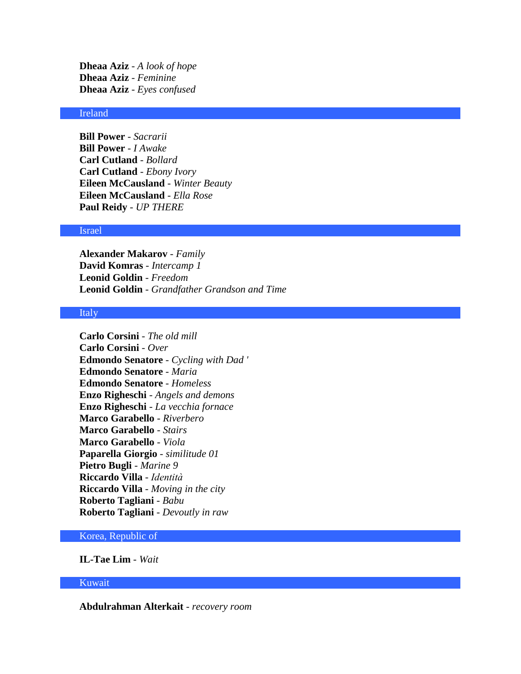**Dheaa Aziz** - *A look of hope* **Dheaa Aziz** - *Feminine* **Dheaa Aziz** - *Eyes confused*

# Ireland

**Bill Power** - *Sacrarii* **Bill Power** - *I Awake* **Carl Cutland** - *Bollard* **Carl Cutland** - *Ebony Ivory* **Eileen McCausland** - *Winter Beauty* **Eileen McCausland** - *Ella Rose* **Paul Reidy** - *UP THERE*

## Israel

**Alexander Makarov** - *Family* **David Komras** - *Intercamp 1* **Leonid Goldin** - *Freedom* **Leonid Goldin** - *Grandfather Grandson and Time*

#### Italy

**Carlo Corsini** - *The old mill* **Carlo Corsini** - *Over* **Edmondo Senatore** - *Cycling with Dad '* **Edmondo Senatore** - *Maria* **Edmondo Senatore** - *Homeless* **Enzo Righeschi** - *Angels and demons* **Enzo Righeschi** - *La vecchia fornace* **Marco Garabello** - *Riverbero* **Marco Garabello** - *Stairs* **Marco Garabello** - *Viola* **Paparella Giorgio** - *similitude 01* **Pietro Bugli** - *Marine 9* **Riccardo Villa** - *Identità* **Riccardo Villa** - *Moving in the city* **Roberto Tagliani** - *Babu* **Roberto Tagliani** - *Devoutly in raw*

# Korea, Republic of

**IL-Tae Lim** - *Wait*

# Kuwait

**Abdulrahman Alterkait** - *recovery room*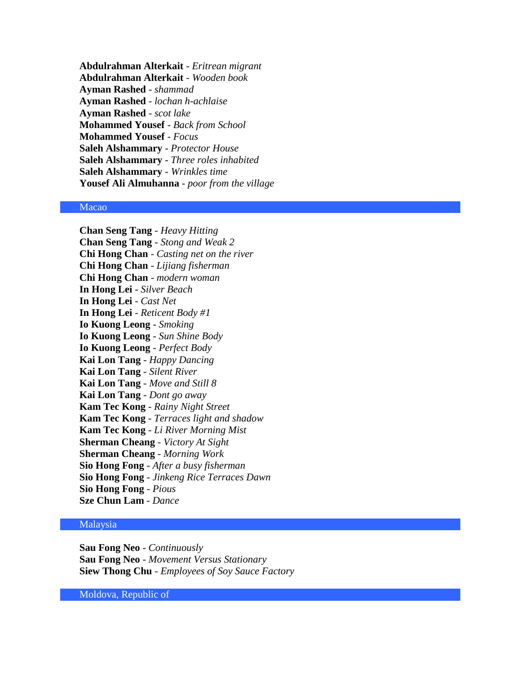**Abdulrahman Alterkait** - *Eritrean migrant* **Abdulrahman Alterkait** - *Wooden book* **Ayman Rashed** - *shammad* **Ayman Rashed** - *lochan h-achlaise* **Ayman Rashed** - *scot lake* **Mohammed Yousef** - *Back from School* **Mohammed Yousef** - *Focus* **Saleh Alshammary** - *Protector House* **Saleh Alshammary** - *Three roles inhabited* **Saleh Alshammary** - *Wrinkles time* **Yousef Ali Almuhanna** - *poor from the village*

# Macao

**Chan Seng Tang** - *Heavy Hitting* **Chan Seng Tang** - *Stong and Weak 2* **Chi Hong Chan** - *Casting net on the river* **Chi Hong Chan** - *Lijiang fisherman* **Chi Hong Chan** - *modern woman* **In Hong Lei** - *Silver Beach* **In Hong Lei** - *Cast Net* **In Hong Lei** - *Reticent Body #1* **Io Kuong Leong** - *Smoking* **Io Kuong Leong** - *Sun Shine Body* **Io Kuong Leong** - *Perfect Body* **Kai Lon Tang** - *Happy Dancing* **Kai Lon Tang** - *Silent River* **Kai Lon Tang** - *Move and Still 8* **Kai Lon Tang** - *Dont go away* **Kam Tec Kong** - *Rainy Night Street* **Kam Tec Kong** - *Terraces light and shadow* **Kam Tec Kong** - *Li River Morning Mist* **Sherman Cheang** - *Victory At Sight* **Sherman Cheang** - *Morning Work* **Sio Hong Fong** - *After a busy fisherman* **Sio Hong Fong** - *Jinkeng Rice Terraces Dawn* **Sio Hong Fong** - *Pious* **Sze Chun Lam** - *Dance*

## Malaysia

**Sau Fong Neo** - *Continuously* **Sau Fong Neo** - *Movement Versus Stationary* **Siew Thong Chu** - *Employees of Soy Sauce Factory*

Moldova, Republic of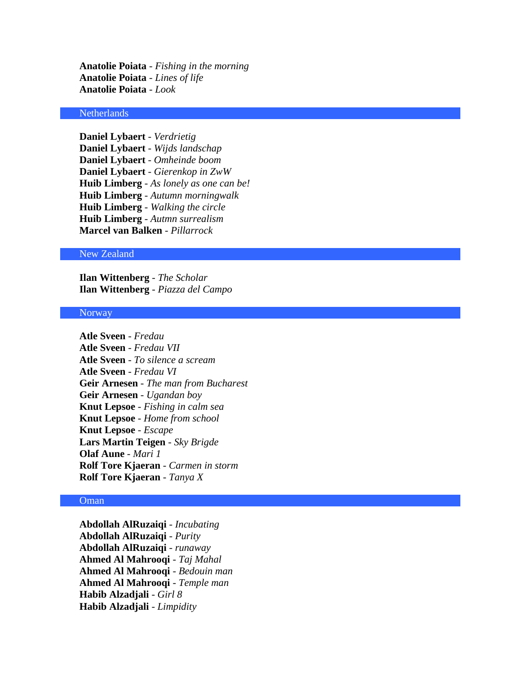**Anatolie Poiata** - *Fishing in the morning* **Anatolie Poiata** - *Lines of life* **Anatolie Poiata** - *Look*

# Netherlands

**Daniel Lybaert** - *Verdrietig* **Daniel Lybaert** - *Wijds landschap* **Daniel Lybaert** - *Omheinde boom* **Daniel Lybaert** - *Gierenkop in ZwW* **Huib Limberg** - *As lonely as one can be!* **Huib Limberg** - *Autumn morningwalk* **Huib Limberg** - *Walking the circle* **Huib Limberg** - *Autmn surrealism* **Marcel van Balken** - *Pillarrock*

#### New Zealand

**Ilan Wittenberg** - *The Scholar* **Ilan Wittenberg** - *Piazza del Campo*

#### **Norway**

**Atle Sveen** - *Fredau* **Atle Sveen** - *Fredau VII* **Atle Sveen** - *To silence a scream* **Atle Sveen** - *Fredau VI* **Geir Arnesen** - *The man from Bucharest* **Geir Arnesen** - *Ugandan boy* **Knut Lepsoe** - *Fishing in calm sea* **Knut Lepsoe** - *Home from school* **Knut Lepsoe** - *Escape* **Lars Martin Teigen** - *Sky Brigde* **Olaf Aune** - *Mari 1* **Rolf Tore Kjaeran** - *Carmen in storm* **Rolf Tore Kjaeran** - *Tanya X*

# Oman

**Abdollah AlRuzaiqi** - *Incubating* **Abdollah AlRuzaiqi** - *Purity* **Abdollah AlRuzaiqi** - *runaway* **Ahmed Al Mahrooqi** - *Taj Mahal* **Ahmed Al Mahrooqi** - *Bedouin man* **Ahmed Al Mahrooqi** - *Temple man* **Habib Alzadjali** - *Girl 8* **Habib Alzadjali** - *Limpidity*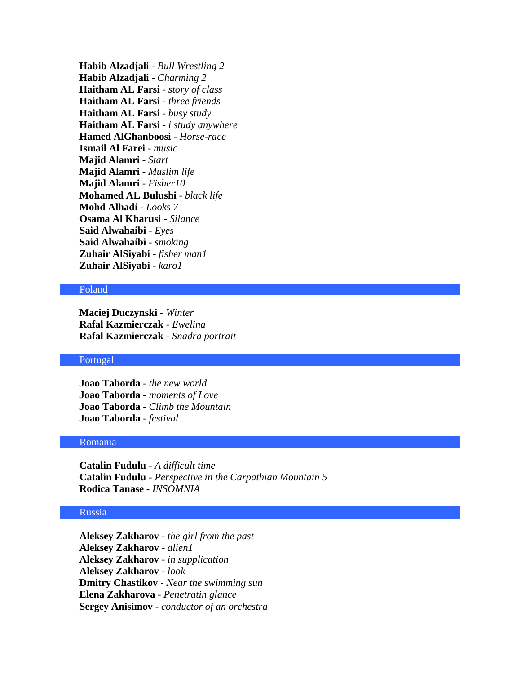**Habib Alzadjali** - *Bull Wrestling 2* **Habib Alzadjali** - *Charming 2* **Haitham AL Farsi** - *story of class* **Haitham AL Farsi** - *three friends* **Haitham AL Farsi** - *busy study* **Haitham AL Farsi** - *i study anywhere* **Hamed AlGhanboosi** - *Horse-race* **Ismail Al Farei** - *music* **Majid Alamri** - *Start* **Majid Alamri** - *Muslim life* **Majid Alamri** - *Fisher10* **Mohamed AL Bulushi** - *black life* **Mohd Alhadi** - *Looks 7* **Osama Al Kharusi** - *Silance* **Said Alwahaibi** - *Eyes* **Said Alwahaibi** - *smoking* **Zuhair AlSiyabi** - *fisher man1* **Zuhair AlSiyabi** - *karo1*

#### Poland

**Maciej Duczynski** - *Winter* **Rafal Kazmierczak** - *Ewelina* **Rafal Kazmierczak** - *Snadra portrait*

# Portugal

**Joao Taborda** - *the new world* **Joao Taborda** - *moments of Love* **Joao Taborda** - *Climb the Mountain* **Joao Taborda** - *festival*

### Romania

**Catalin Fudulu** - *A difficult time* **Catalin Fudulu** - *Perspective in the Carpathian Mountain 5* **Rodica Tanase** - *INSOMNIA*

# Russia

**Aleksey Zakharov** - *the girl from the past* **Aleksey Zakharov** - *alien1* **Aleksey Zakharov** - *in supplication* **Aleksey Zakharov** - *look* **Dmitry Chastikov** - *Near the swimming sun* **Elena Zakharova** - *Penetratin glance* **Sergey Anisimov** - *conductor of an orchestra*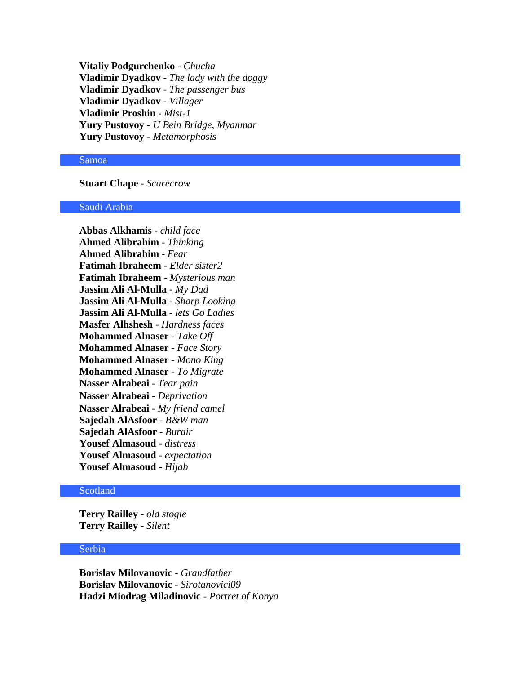**Vitaliy Podgurchenko** - *Chucha* **Vladimir Dyadkov** - *The lady with the doggy* **Vladimir Dyadkov** - *The passenger bus* **Vladimir Dyadkov** - *Villager* **Vladimir Proshin** - *Mist-1* **Yury Pustovoy** - *U Bein Bridge, Myanmar* **Yury Pustovoy** - *Metamorphosis*

#### Samoa

**Stuart Chape** - *Scarecrow*

#### Saudi Arabia

**Abbas Alkhamis** - *child face* **Ahmed Alibrahim** - *Thinking* **Ahmed Alibrahim** - *Fear* **Fatimah Ibraheem** - *Elder sister2* **Fatimah Ibraheem** - *Mysterious man* **Jassim Ali Al-Mulla** - *My Dad* **Jassim Ali Al-Mulla** - *Sharp Looking* **Jassim Ali Al-Mulla** - *lets Go Ladies* **Masfer Alhshesh** - *Hardness faces* **Mohammed Alnaser** - *Take Off* **Mohammed Alnaser** - *Face Story* **Mohammed Alnaser** - *Mono King* **Mohammed Alnaser** - *To Migrate* **Nasser Alrabeai** - *Tear pain* **Nasser Alrabeai** - *Deprivation*  **Nasser Alrabeai** - *My friend camel* **Sajedah AlAsfoor** - *B&W man* **Sajedah AlAsfoor** - *Burair* **Yousef Almasoud** - *distress* **Yousef Almasoud** - *expectation* **Yousef Almasoud** - *Hijab*

#### Scotland

**Terry Railley** - *old stogie* **Terry Railley** - *Silent*

#### Serbia

**Borislav Milovanovic** - *Grandfather* **Borislav Milovanovic** - *Sirotanovici09* **Hadzi Miodrag Miladinovic** - *Portret of Konya*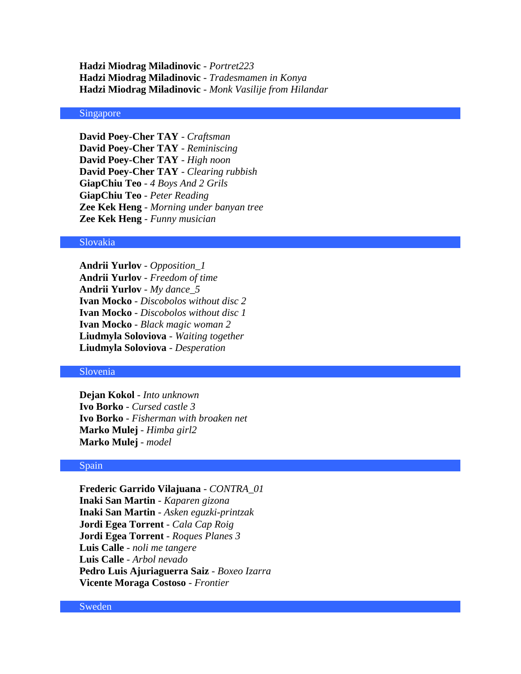**Hadzi Miodrag Miladinovic** - *Portret223* **Hadzi Miodrag Miladinovic** - *Tradesmamen in Konya* **Hadzi Miodrag Miladinovic** - *Monk Vasilije from Hilandar*

# Singapore

**David Poey-Cher TAY** - *Craftsman* **David Poey-Cher TAY** - *Reminiscing* **David Poey-Cher TAY** - *High noon* **David Poey-Cher TAY** - *Clearing rubbish* **GiapChiu Teo** - *4 Boys And 2 Grils* **GiapChiu Teo** - *Peter Reading* **Zee Kek Heng** - *Morning under banyan tree* **Zee Kek Heng** - *Funny musician*

#### Slovakia

**Andrii Yurlov** - *Opposition\_1* **Andrii Yurlov** - *Freedom of time* **Andrii Yurlov** - *My dance\_5* **Ivan Mocko** - *Discobolos without disc 2* **Ivan Mocko** - *Discobolos without disc 1* **Ivan Mocko** - *Black magic woman 2* **Liudmyla Soloviova** - *Waiting together* **Liudmyla Soloviova** - *Desperation*

# Slovenia

**Dejan Kokol** - *Into unknown* **Ivo Borko** - *Cursed castle 3* **Ivo Borko** - *Fisherman with broaken net* **Marko Mulej** - *Himba girl2* **Marko Mulej** - *model*

#### Spain

**Frederic Garrido Vilajuana** - *CONTRA\_01* **Inaki San Martin** - *Kaparen gizona* **Inaki San Martin** - *Asken eguzki-printzak* **Jordi Egea Torrent** - *Cala Cap Roig* **Jordi Egea Torrent** - *Roques Planes 3* **Luis Calle** - *noli me tangere* **Luis Calle** - *Arbol nevado* **Pedro Luis Ajuriaguerra Saiz** - *Boxeo Izarra* **Vicente Moraga Costoso** - *Frontier*

#### Sweden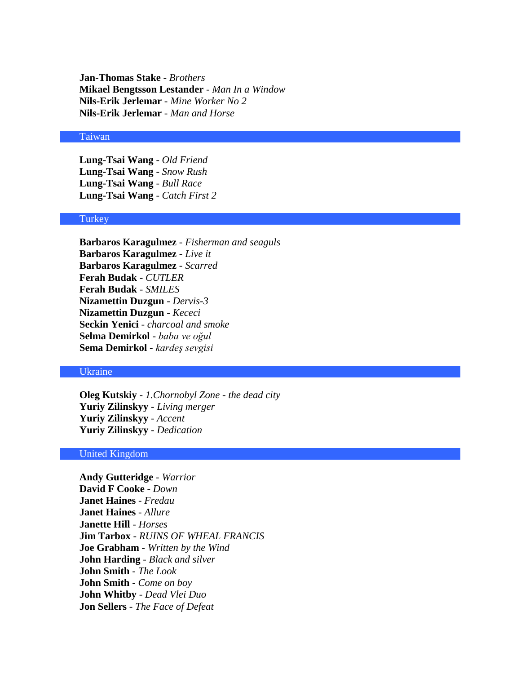**Jan-Thomas Stake** - *Brothers* **Mikael Bengtsson Lestander** - *Man In a Window* **Nils-Erik Jerlemar** - *Mine Worker No 2* **Nils-Erik Jerlemar** - *Man and Horse*

#### Taiwan

**Lung-Tsai Wang** - *Old Friend* **Lung-Tsai Wang** - *Snow Rush* **Lung-Tsai Wang** - *Bull Race* **Lung-Tsai Wang** - *Catch First 2*

# **Turkey**

**Barbaros Karagulmez** - *Fisherman and seaguls* **Barbaros Karagulmez** - *Live it* **Barbaros Karagulmez** - *Scarred* **Ferah Budak** - *CUTLER* **Ferah Budak** - *SMILES* **Nizamettin Duzgun** - *Dervis-3* **Nizamettin Duzgun** - *Kececi* **Seckin Yenici** - *charcoal and smoke* **Selma Demirkol** - *baba ve oğul* **Sema Demirkol** - *kardeş sevgisi*

# Ukraine

**Oleg Kutskiy** - *1.Chornobyl Zone - the dead city* **Yuriy Zilinskyy** - *Living merger* **Yuriy Zilinskyy** - *Accent* **Yuriy Zilinskyy** - *Dedication*

#### United Kingdom

**Andy Gutteridge** - *Warrior* **David F Cooke** - *Down* **Janet Haines** - *Fredau* **Janet Haines** - *Allure* **Janette Hill** - *Horses* **Jim Tarbox** - *RUINS OF WHEAL FRANCIS* **Joe Grabham** - *Written by the Wind* **John Harding** - *Black and silver* **John Smith** - *The Look* **John Smith** - *Come on boy* **John Whitby** - *Dead Vlei Duo* **Jon Sellers** - *The Face of Defeat*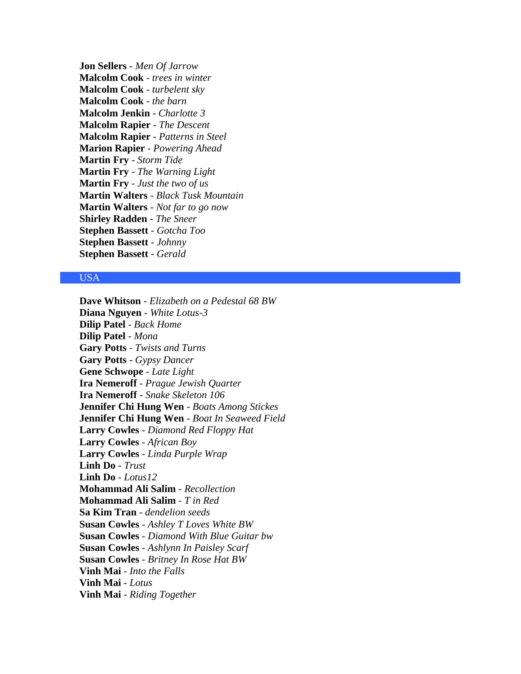**Jon Sellers** - *Men Of Jarrow* **Malcolm Cook** - *trees in winter* **Malcolm Cook** - *turbelent sky* **Malcolm Cook** - *the barn* **Malcolm Jenkin** - *Charlotte 3* **Malcolm Rapier** - *The Descent* **Malcolm Rapier** - *Patterns in Steel* **Marion Rapier** - *Powering Ahead* **Martin Fry** - *Storm Tide* **Martin Fry** - *The Warning Light* **Martin Fry** - *Just the two of us* **Martin Walters** - *Black Tusk Mountain* **Martin Walters** - *Not far to go now* **Shirley Radden** - *The Sneer* **Stephen Bassett** - *Gotcha Too* **Stephen Bassett** - *Johnny* **Stephen Bassett** - *Gerald*

# USA

**Dave Whitson** - *Elizabeth on a Pedestal 68 BW* **Diana Nguyen** - *White Lotus-3* **Dilip Patel** - *Back Home* **Dilip Patel** - *Mona* **Gary Potts** - *Twists and Turns* **Gary Potts** - *Gypsy Dancer* **Gene Schwope** - *Late Light* **Ira Nemeroff** - *Prague Jewish Quarter* **Ira Nemeroff** - *Snake Skeleton 106* **Jennifer Chi Hung Wen** - *Boats Among Stickes* **Jennifer Chi Hung Wen** - *Boat In Seaweed Field* **Larry Cowles** - *Diamond Red Floppy Hat* **Larry Cowles** - *African Boy* **Larry Cowles** - *Linda Purple Wrap* **Linh Do** - *Trust* **Linh Do** - *Lotus12* **Mohammad Ali Salim** - *Recollection* **Mohammad Ali Salim** - *T in Red* **Sa Kim Tran** - *dendelion seeds* **Susan Cowles** - *Ashley T Loves White BW* **Susan Cowles** - *Diamond With Blue Guitar bw* **Susan Cowles** - *Ashlynn In Paisley Scarf* **Susan Cowles** - *Britney In Rose Hat BW* **Vinh Mai** - *Into the Falls* **Vinh Mai** - *Lotus* **Vinh Mai** - *Riding Together*